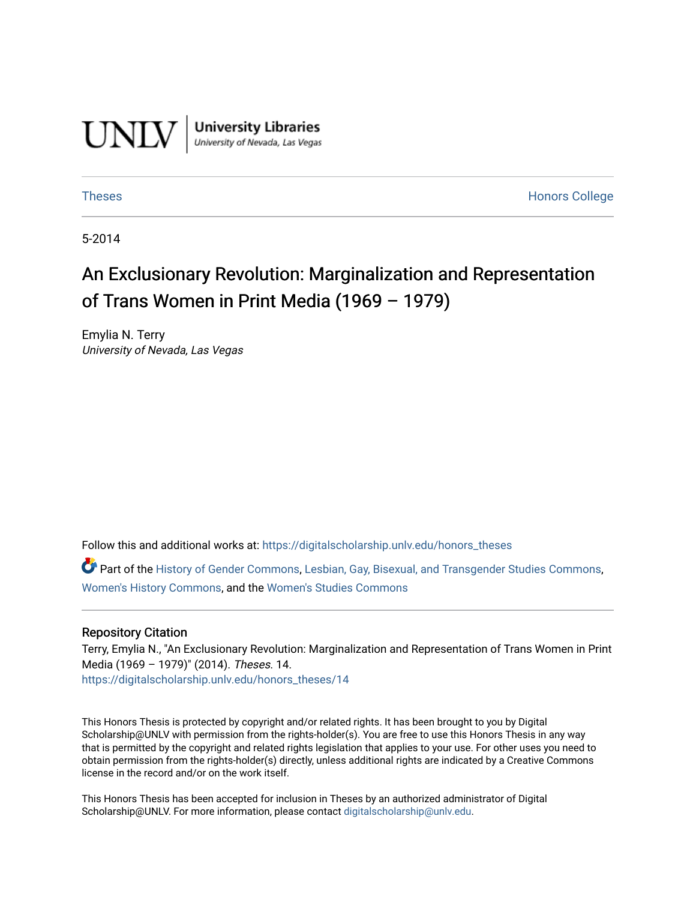

**University Libraries**<br>University of Nevada, Las Vegas

[Theses](https://digitalscholarship.unlv.edu/honors_theses) **Honors College** [Honors College](https://digitalscholarship.unlv.edu/honors) **Honors College** 

5-2014

# An Exclusionary Revolution: Marginalization and Representation of Trans Women in Print Media (1969 – 1979)

Emylia N. Terry University of Nevada, Las Vegas

Follow this and additional works at: [https://digitalscholarship.unlv.edu/honors\\_theses](https://digitalscholarship.unlv.edu/honors_theses?utm_source=digitalscholarship.unlv.edu%2Fhonors_theses%2F14&utm_medium=PDF&utm_campaign=PDFCoverPages) 

Part of the [History of Gender Commons,](http://network.bepress.com/hgg/discipline/498?utm_source=digitalscholarship.unlv.edu%2Fhonors_theses%2F14&utm_medium=PDF&utm_campaign=PDFCoverPages) [Lesbian, Gay, Bisexual, and Transgender Studies Commons](http://network.bepress.com/hgg/discipline/560?utm_source=digitalscholarship.unlv.edu%2Fhonors_theses%2F14&utm_medium=PDF&utm_campaign=PDFCoverPages), [Women's History Commons,](http://network.bepress.com/hgg/discipline/507?utm_source=digitalscholarship.unlv.edu%2Fhonors_theses%2F14&utm_medium=PDF&utm_campaign=PDFCoverPages) and the [Women's Studies Commons](http://network.bepress.com/hgg/discipline/561?utm_source=digitalscholarship.unlv.edu%2Fhonors_theses%2F14&utm_medium=PDF&utm_campaign=PDFCoverPages)

#### Repository Citation

Terry, Emylia N., "An Exclusionary Revolution: Marginalization and Representation of Trans Women in Print Media (1969 – 1979)" (2014). Theses. 14. [https://digitalscholarship.unlv.edu/honors\\_theses/14](https://digitalscholarship.unlv.edu/honors_theses/14?utm_source=digitalscholarship.unlv.edu%2Fhonors_theses%2F14&utm_medium=PDF&utm_campaign=PDFCoverPages)

This Honors Thesis is protected by copyright and/or related rights. It has been brought to you by Digital Scholarship@UNLV with permission from the rights-holder(s). You are free to use this Honors Thesis in any way that is permitted by the copyright and related rights legislation that applies to your use. For other uses you need to obtain permission from the rights-holder(s) directly, unless additional rights are indicated by a Creative Commons license in the record and/or on the work itself.

This Honors Thesis has been accepted for inclusion in Theses by an authorized administrator of Digital Scholarship@UNLV. For more information, please contact [digitalscholarship@unlv.edu.](mailto:digitalscholarship@unlv.edu)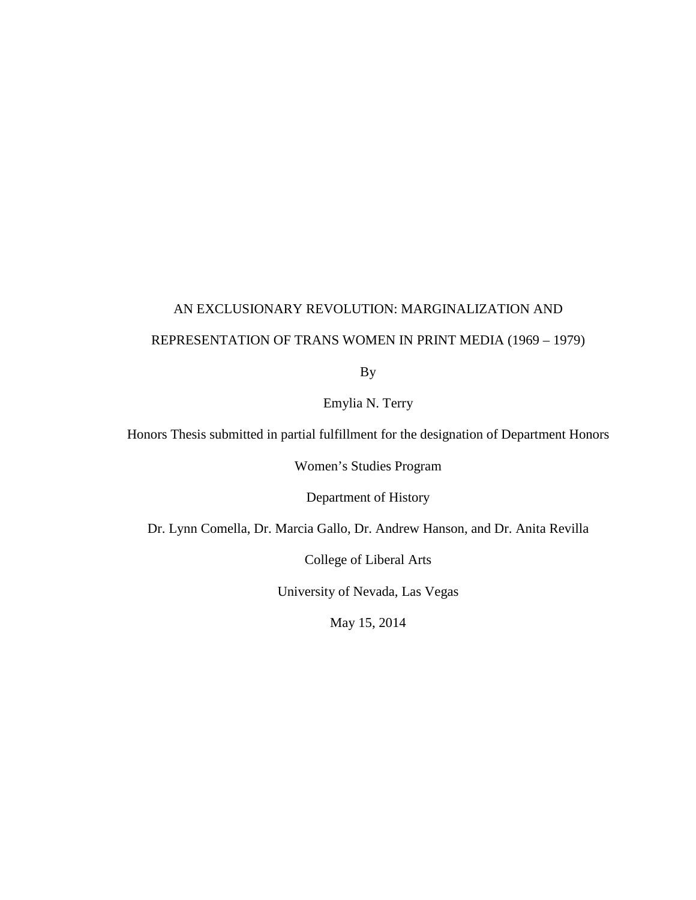## AN EXCLUSIONARY REVOLUTION: MARGINALIZATION AND

### REPRESENTATION OF TRANS WOMEN IN PRINT MEDIA (1969 – 1979)

By

Emylia N. Terry

Honors Thesis submitted in partial fulfillment for the designation of Department Honors

Women's Studies Program

Department of History

Dr. Lynn Comella, Dr. Marcia Gallo, Dr. Andrew Hanson, and Dr. Anita Revilla

College of Liberal Arts

University of Nevada, Las Vegas

May 15, 2014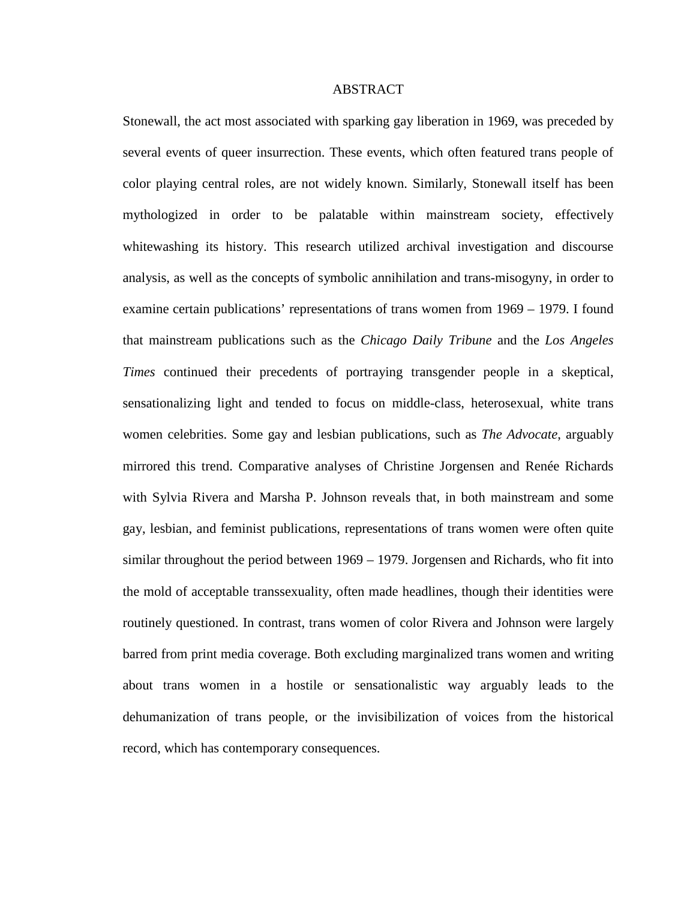#### ABSTRACT

Stonewall, the act most associated with sparking gay liberation in 1969, was preceded by several events of queer insurrection. These events, which often featured trans people of color playing central roles, are not widely known. Similarly, Stonewall itself has been mythologized in order to be palatable within mainstream society, effectively whitewashing its history. This research utilized archival investigation and discourse analysis, as well as the concepts of symbolic annihilation and trans-misogyny, in order to examine certain publications' representations of trans women from 1969 – 1979. I found that mainstream publications such as the *Chicago Daily Tribune* and the *Los Angeles Times* continued their precedents of portraying transgender people in a skeptical, sensationalizing light and tended to focus on middle-class, heterosexual, white trans women celebrities. Some gay and lesbian publications, such as *The Advocate*, arguably mirrored this trend. Comparative analyses of Christine Jorgensen and Renée Richards with Sylvia Rivera and Marsha P. Johnson reveals that, in both mainstream and some gay, lesbian, and feminist publications, representations of trans women were often quite similar throughout the period between 1969 – 1979. Jorgensen and Richards, who fit into the mold of acceptable transsexuality, often made headlines, though their identities were routinely questioned. In contrast, trans women of color Rivera and Johnson were largely barred from print media coverage. Both excluding marginalized trans women and writing about trans women in a hostile or sensationalistic way arguably leads to the dehumanization of trans people, or the invisibilization of voices from the historical record, which has contemporary consequences.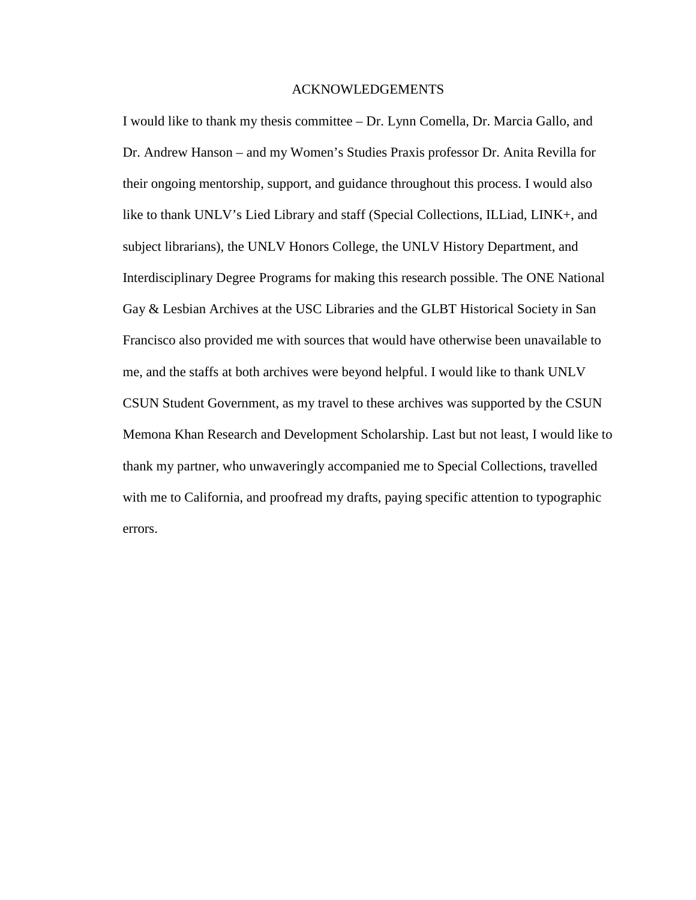#### ACKNOWLEDGEMENTS

I would like to thank my thesis committee – Dr. Lynn Comella, Dr. Marcia Gallo, and Dr. Andrew Hanson – and my Women's Studies Praxis professor Dr. Anita Revilla for their ongoing mentorship, support, and guidance throughout this process. I would also like to thank UNLV's Lied Library and staff (Special Collections, ILLiad, LINK+, and subject librarians), the UNLV Honors College, the UNLV History Department, and Interdisciplinary Degree Programs for making this research possible. The ONE National Gay & Lesbian Archives at the USC Libraries and the GLBT Historical Society in San Francisco also provided me with sources that would have otherwise been unavailable to me, and the staffs at both archives were beyond helpful. I would like to thank UNLV CSUN Student Government, as my travel to these archives was supported by the CSUN Memona Khan Research and Development Scholarship. Last but not least, I would like to thank my partner, who unwaveringly accompanied me to Special Collections, travelled with me to California, and proofread my drafts, paying specific attention to typographic errors.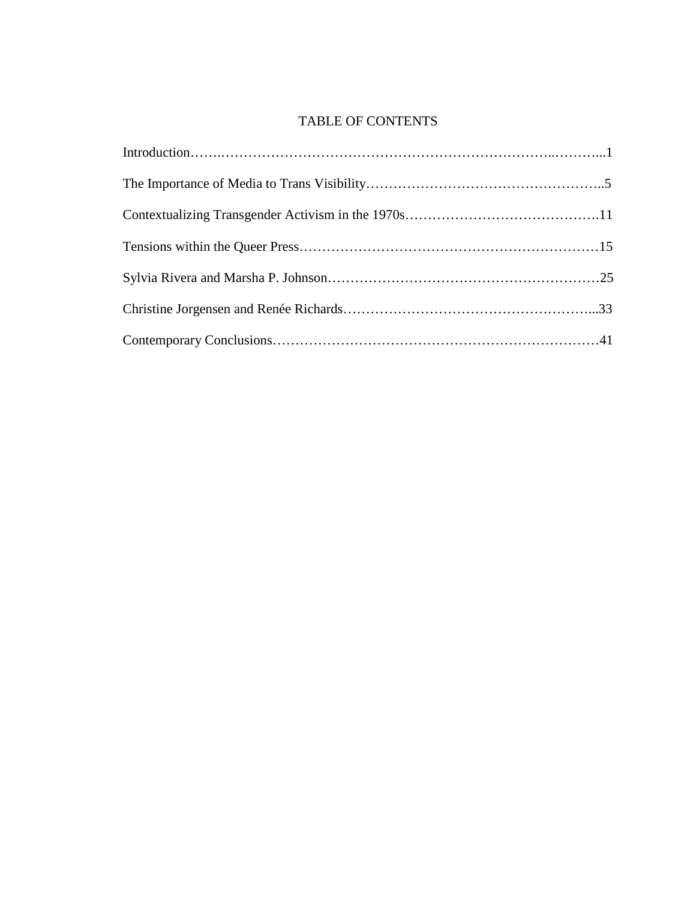## TABLE OF CONTENTS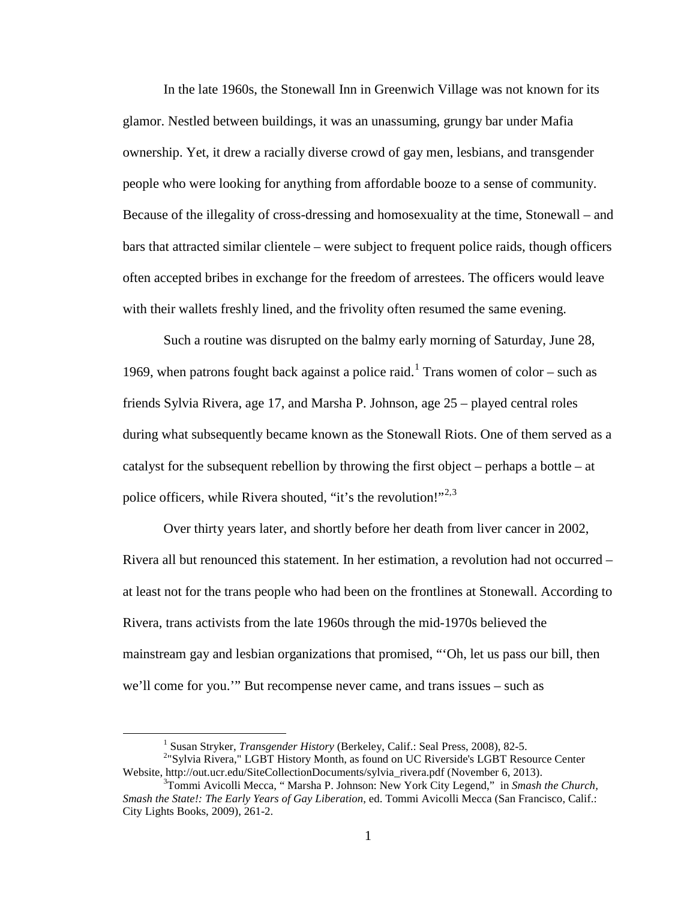In the late 1960s, the Stonewall Inn in Greenwich Village was not known for its glamor. Nestled between buildings, it was an unassuming, grungy bar under Mafia ownership. Yet, it drew a racially diverse crowd of gay men, lesbians, and transgender people who were looking for anything from affordable booze to a sense of community. Because of the illegality of cross-dressing and homosexuality at the time, Stonewall – and bars that attracted similar clientele – were subject to frequent police raids, though officers often accepted bribes in exchange for the freedom of arrestees. The officers would leave with their wallets freshly lined, and the frivolity often resumed the same evening.

Such a routine was disrupted on the balmy early morning of Saturday, June 28, [1](#page-5-0)969, when patrons fought back against a police raid.<sup>1</sup> Trans women of color – such as friends Sylvia Rivera, age 17, and Marsha P. Johnson, age 25 – played central roles during what subsequently became known as the Stonewall Riots. One of them served as a catalyst for the subsequent rebellion by throwing the first object – perhaps a bottle – at police officers, while Rivera shouted, "it's the revolution!"<sup>[2](#page-5-1),[3](#page-5-2)</sup>

Over thirty years later, and shortly before her death from liver cancer in 2002, Rivera all but renounced this statement. In her estimation, a revolution had not occurred – at least not for the trans people who had been on the frontlines at Stonewall. According to Rivera, trans activists from the late 1960s through the mid-1970s believed the mainstream gay and lesbian organizations that promised, "'Oh, let us pass our bill, then we'll come for you.'" But recompense never came, and trans issues – such as

<sup>&</sup>lt;sup>1</sup> Susan Stryker, *Transgender History* (Berkeley, Calif.: Seal Press, 2008), 82-5.

<span id="page-5-1"></span><span id="page-5-0"></span><sup>&</sup>lt;sup>2</sup>"Sylvia Rivera," LGBT History Month, as found on UC Riverside's LGBT Resource Center Website, http://out.ucr.edu/SiteCollectionDocuments/sylvia\_rivera.pdf (November 6, 2013).

<span id="page-5-2"></span><sup>3</sup> Tommi Avicolli Mecca, " Marsha P. Johnson: New York City Legend," in *Smash the Church, Smash the State!: The Early Years of Gay Liberation*, ed. Tommi Avicolli Mecca (San Francisco, Calif.: City Lights Books, 2009), 261-2.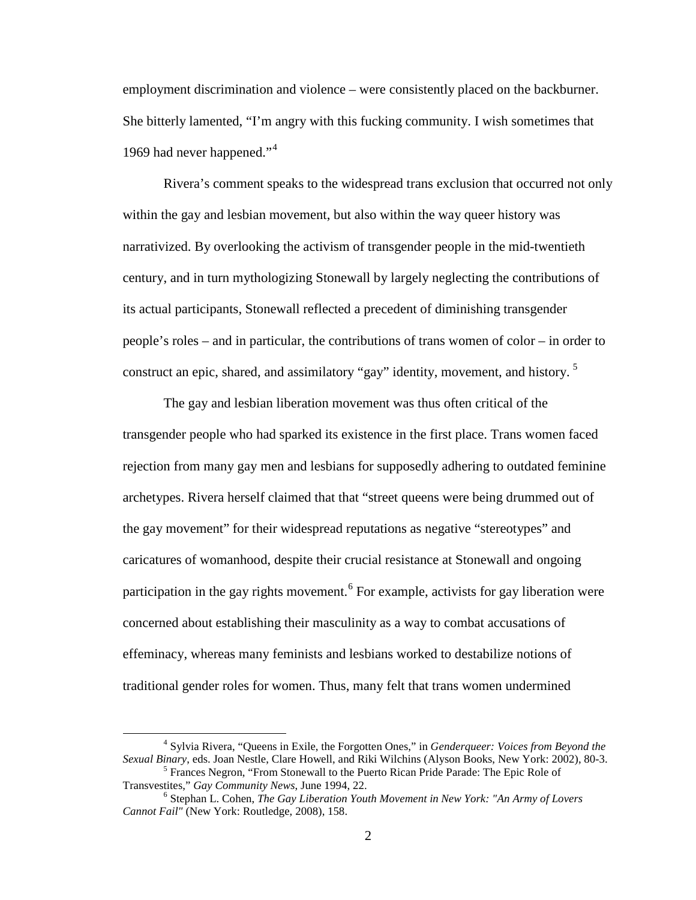employment discrimination and violence – were consistently placed on the backburner. She bitterly lamented, "I'm angry with this fucking community. I wish sometimes that 1969 had never happened."<sup>[4](#page-6-0)</sup>

Rivera's comment speaks to the widespread trans exclusion that occurred not only within the gay and lesbian movement, but also within the way queer history was narrativized. By overlooking the activism of transgender people in the mid-twentieth century, and in turn mythologizing Stonewall by largely neglecting the contributions of its actual participants, Stonewall reflected a precedent of diminishing transgender people's roles – and in particular, the contributions of trans women of color – in order to construct an epic, shared, and assimilatory "gay" identity, movement, and history. [5](#page-6-1)

The gay and lesbian liberation movement was thus often critical of the transgender people who had sparked its existence in the first place. Trans women faced rejection from many gay men and lesbians for supposedly adhering to outdated feminine archetypes. Rivera herself claimed that that "street queens were being drummed out of the gay movement" for their widespread reputations as negative "stereotypes" and caricatures of womanhood, despite their crucial resistance at Stonewall and ongoing participation in the gay rights movement.<sup>[6](#page-6-2)</sup> For example, activists for gay liberation were concerned about establishing their masculinity as a way to combat accusations of effeminacy, whereas many feminists and lesbians worked to destabilize notions of traditional gender roles for women. Thus, many felt that trans women undermined

<span id="page-6-0"></span><sup>4</sup> Sylvia Rivera, "Queens in Exile, the Forgotten Ones," in *Genderqueer: Voices from Beyond the* 

<span id="page-6-1"></span><sup>&</sup>lt;sup>5</sup> Frances Negron, "From Stonewall to the Puerto Rican Pride Parade: The Epic Role of Transvestites," *Gay Community News*, June 1994, 22.

<span id="page-6-2"></span><sup>&</sup>lt;sup>6</sup> Stephan L. Cohen, *The Gay Liberation Youth Movement in New York: "An Army of Lovers Cannot Fail"* (New York: Routledge, 2008), 158.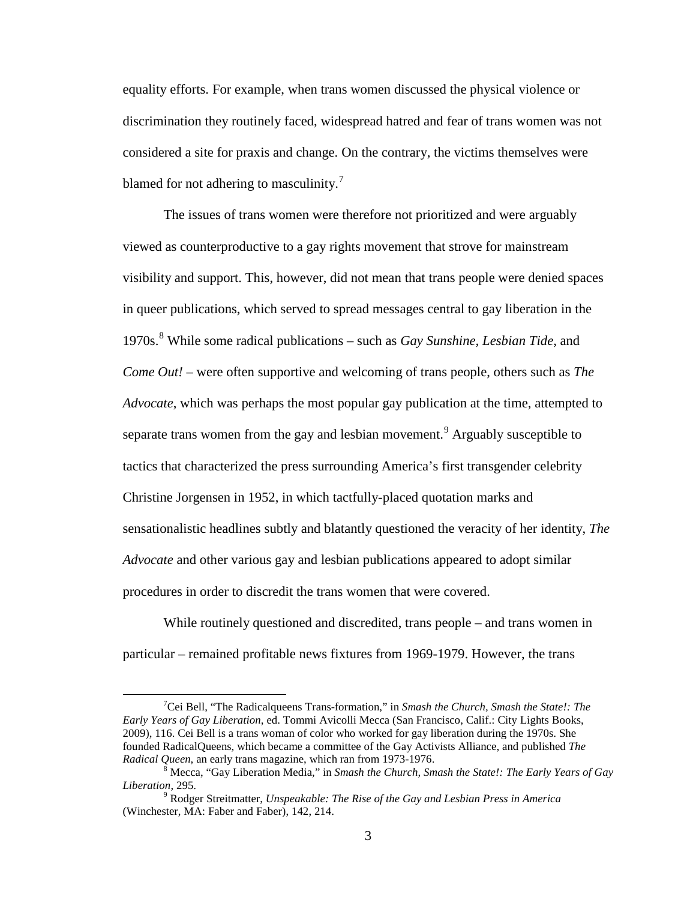equality efforts. For example, when trans women discussed the physical violence or discrimination they routinely faced, widespread hatred and fear of trans women was not considered a site for praxis and change. On the contrary, the victims themselves were blamed for not adhering to masculinity.<sup>[7](#page-7-0)</sup>

The issues of trans women were therefore not prioritized and were arguably viewed as counterproductive to a gay rights movement that strove for mainstream visibility and support. This, however, did not mean that trans people were denied spaces in queer publications, which served to spread messages central to gay liberation in the 1970s. [8](#page-7-1) While some radical publications – such as *Gay Sunshine, Lesbian Tide*, and *Come Out!* – were often supportive and welcoming of trans people, others such as *The Advocate*, which was perhaps the most popular gay publication at the time, attempted to separate trans women from the gay and lesbian movement.<sup>[9](#page-7-2)</sup> Arguably susceptible to tactics that characterized the press surrounding America's first transgender celebrity Christine Jorgensen in 1952, in which tactfully-placed quotation marks and sensationalistic headlines subtly and blatantly questioned the veracity of her identity, *The Advocate* and other various gay and lesbian publications appeared to adopt similar procedures in order to discredit the trans women that were covered.

While routinely questioned and discredited, trans people – and trans women in particular – remained profitable news fixtures from 1969-1979. However, the trans

<span id="page-7-0"></span> $\overline{7}$ Cei Bell, "The Radicalqueens Trans-formation," in *Smash the Church, Smash the State!: The Early Years of Gay Liberation*, ed. Tommi Avicolli Mecca (San Francisco, Calif.: City Lights Books, 2009), 116. Cei Bell is a trans woman of color who worked for gay liberation during the 1970s. She founded RadicalQueens, which became a committee of the Gay Activists Alliance, and published *The Radical Queen*, an early trans magazine, which ran from 1973-1976.<br><sup>8</sup> Mecca, "Gay Liberation Media," in *Smash the Church, Smash the State!: The Early Years of Gay* 

<span id="page-7-1"></span>*Liberation*, 295.

<span id="page-7-2"></span><sup>9</sup> Rodger Streitmatter, *Unspeakable: The Rise of the Gay and Lesbian Press in America*  (Winchester, MA: Faber and Faber), 142, 214.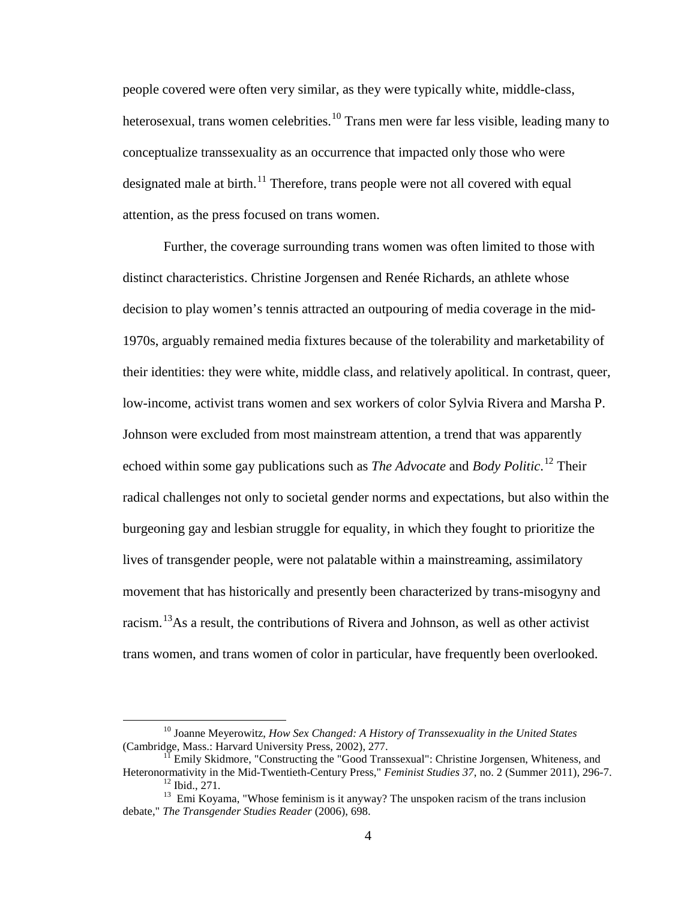people covered were often very similar, as they were typically white, middle-class, heterosexual, trans women celebrities.<sup>[10](#page-8-0)</sup> Trans men were far less visible, leading many to conceptualize transsexuality as an occurrence that impacted only those who were designated male at birth.<sup>[11](#page-8-1)</sup> Therefore, trans people were not all covered with equal attention, as the press focused on trans women.

Further, the coverage surrounding trans women was often limited to those with distinct characteristics. Christine Jorgensen and Renée Richards, an athlete whose decision to play women's tennis attracted an outpouring of media coverage in the mid-1970s, arguably remained media fixtures because of the tolerability and marketability of their identities: they were white, middle class, and relatively apolitical. In contrast, queer, low-income, activist trans women and sex workers of color Sylvia Rivera and Marsha P. Johnson were excluded from most mainstream attention, a trend that was apparently echoed within some gay publications such as *The Advocate* and *Body Politic*. [12](#page-8-2) Their radical challenges not only to societal gender norms and expectations, but also within the burgeoning gay and lesbian struggle for equality, in which they fought to prioritize the lives of transgender people, were not palatable within a mainstreaming, assimilatory movement that has historically and presently been characterized by trans-misogyny and racism.<sup>13</sup>As a result, the contributions of Rivera and Johnson, as well as other activist trans women, and trans women of color in particular, have frequently been overlooked.

<span id="page-8-0"></span><sup>&</sup>lt;sup>10</sup> Joanne Meyerowitz, *How Sex Changed: A History of Transsexuality in the United States* (Cambridge, Mass.: Harvard University Press, 2002), 277.

<span id="page-8-1"></span><sup>&</sup>lt;sup>11</sup> Emily Skidmore, "Constructing the "Good Transsexual": Christine Jorgensen, Whiteness, and Heteronormativity in the Mid-Twentieth-Century Press," *Feminist Studies 37*, no. 2 (Summer 2011), 296-7.

<span id="page-8-3"></span><span id="page-8-2"></span><sup>&</sup>lt;sup>12</sup> Ibid., 271.<br><sup>13</sup> Emi Koyama, "Whose feminism is it anyway? The unspoken racism of the trans inclusion debate," *The Transgender Studies Reader* (2006), 698.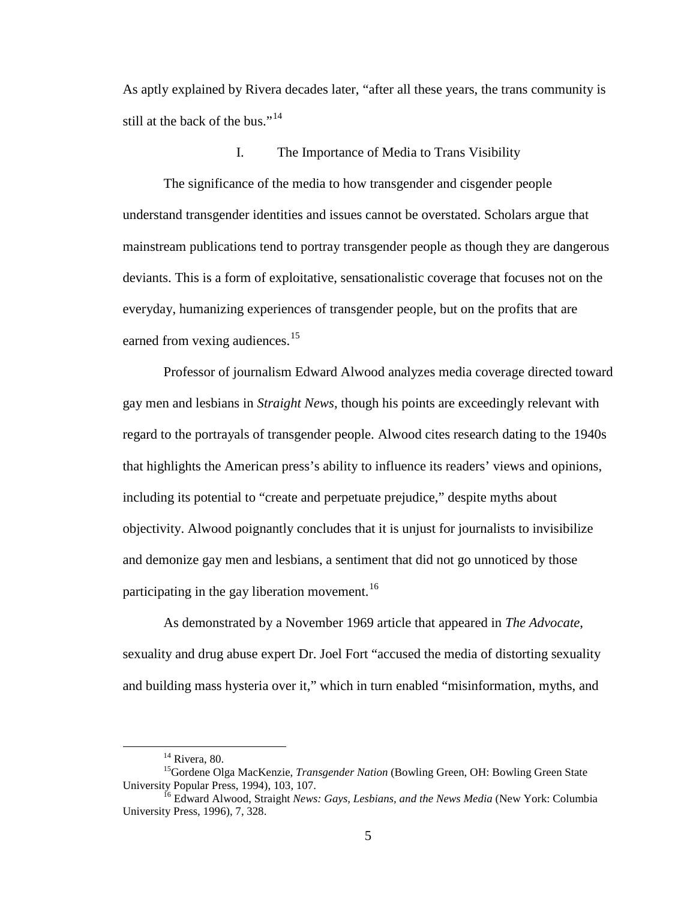As aptly explained by Rivera decades later, "after all these years, the trans community is still at the back of the bus."<sup>[14](#page-9-0)</sup>

#### I. The Importance of Media to Trans Visibility

The significance of the media to how transgender and cisgender people understand transgender identities and issues cannot be overstated. Scholars argue that mainstream publications tend to portray transgender people as though they are dangerous deviants. This is a form of exploitative, sensationalistic coverage that focuses not on the everyday, humanizing experiences of transgender people, but on the profits that are earned from vexing audiences.<sup>[15](#page-9-1)</sup>

Professor of journalism Edward Alwood analyzes media coverage directed toward gay men and lesbians in *Straight News*, though his points are exceedingly relevant with regard to the portrayals of transgender people. Alwood cites research dating to the 1940s that highlights the American press's ability to influence its readers' views and opinions, including its potential to "create and perpetuate prejudice," despite myths about objectivity. Alwood poignantly concludes that it is unjust for journalists to invisibilize and demonize gay men and lesbians, a sentiment that did not go unnoticed by those participating in the gay liberation movement.<sup>[16](#page-9-2)</sup>

As demonstrated by a November 1969 article that appeared in *The Advocate*, sexuality and drug abuse expert Dr. Joel Fort "accused the media of distorting sexuality and building mass hysteria over it," which in turn enabled "misinformation, myths, and

<span id="page-9-1"></span><span id="page-9-0"></span><sup>&</sup>lt;sup>14</sup> Rivera, 80.<br><sup>15</sup>Gordene Olga MacKenzie, *Transgender Nation* (Bowling Green, OH: Bowling Green State University Popular Press, 1994), 103, 107.<br><sup>16</sup> Edward Alwood, Straight *News: Gays, Lesbians, and the News Media* (New York: Columbia

<span id="page-9-2"></span>University Press, 1996), 7, 328.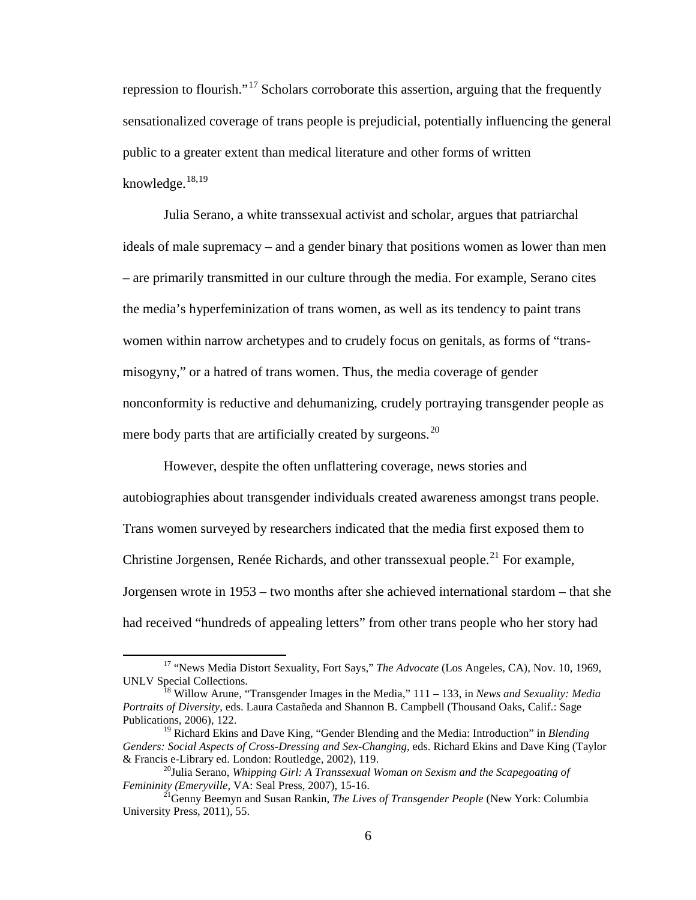repression to flourish."<sup>[17](#page-10-0)</sup> Scholars corroborate this assertion, arguing that the frequently sensationalized coverage of trans people is prejudicial, potentially influencing the general public to a greater extent than medical literature and other forms of written knowledge.<sup>[18](#page-10-1),[19](#page-10-2)</sup>

Julia Serano, a white transsexual activist and scholar, argues that patriarchal ideals of male supremacy – and a gender binary that positions women as lower than men – are primarily transmitted in our culture through the media. For example, Serano cites the media's hyperfeminization of trans women, as well as its tendency to paint trans women within narrow archetypes and to crudely focus on genitals, as forms of "transmisogyny," or a hatred of trans women. Thus, the media coverage of gender nonconformity is reductive and dehumanizing, crudely portraying transgender people as mere body parts that are artificially created by surgeons.  $20$ 

However, despite the often unflattering coverage, news stories and autobiographies about transgender individuals created awareness amongst trans people. Trans women surveyed by researchers indicated that the media first exposed them to Christine Jorgensen, Renée Richards, and other transsexual people.<sup>[21](#page-10-4)</sup> For example, Jorgensen wrote in 1953 – two months after she achieved international stardom – that she had received "hundreds of appealing letters" from other trans people who her story had

<span id="page-10-0"></span><sup>&</sup>lt;sup>17</sup> "News Media Distort Sexuality, Fort Says," *The Advocate* (Los Angeles, CA), Nov. 10, 1969, UNLV Special Collections.

<span id="page-10-1"></span><sup>&</sup>lt;sup>18</sup> Willow Arune, "Transgender Images in the Media," 111 – 133, in *News and Sexuality: Media Portraits of Diversity*, eds. Laura Castañeda and Shannon B. Campbell (Thousand Oaks, Calif.: Sage Publications, 2006), 122.

<span id="page-10-2"></span><sup>19</sup> Richard Ekins and Dave King, "Gender Blending and the Media: Introduction" in *Blending Genders: Social Aspects of Cross-Dressing and Sex-Changing*, eds. Richard Ekins and Dave King (Taylor

<span id="page-10-3"></span><sup>&</sup>lt;sup>20</sup> Julia Serano, *Whipping Girl: A Transsexual Woman on Sexism and the Scapegoating of Femininity (Emeryville, VA: Seal Press, 2007), 15-16.* 

<span id="page-10-4"></span><sup>&</sup>lt;sup>21</sup> Genny Beemyn and Susan Rankin, *The Lives of Transgender People* (New York: Columbia University Press, 2011), 55.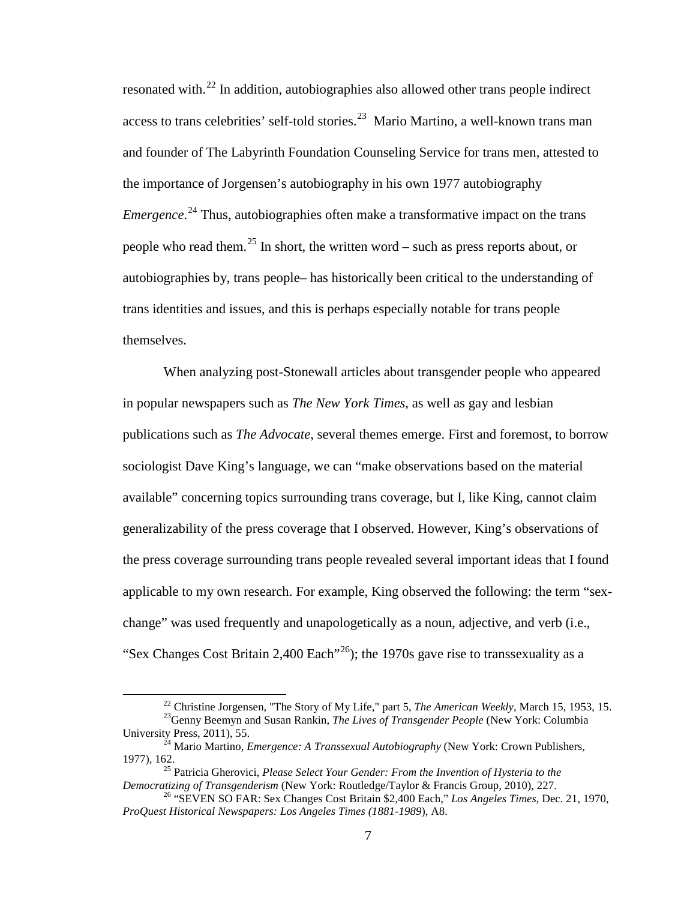resonated with.<sup>[22](#page-11-0)</sup> In addition, autobiographies also allowed other trans people indirect access to trans celebrities' self-told stories.<sup>[23](#page-11-1)</sup> Mario Martino, a well-known trans man and founder of The Labyrinth Foundation Counseling Service for trans men, attested to the importance of Jorgensen's autobiography in his own 1977 autobiography *Emergence*. [24](#page-11-2) Thus, autobiographies often make a transformative impact on the trans people who read them.<sup>[25](#page-11-3)</sup> In short, the written word – such as press reports about, or autobiographies by, trans people– has historically been critical to the understanding of trans identities and issues, and this is perhaps especially notable for trans people themselves.

When analyzing post-Stonewall articles about transgender people who appeared in popular newspapers such as *The New York Times*, as well as gay and lesbian publications such as *The Advocate*, several themes emerge. First and foremost, to borrow sociologist Dave King's language, we can "make observations based on the material available" concerning topics surrounding trans coverage, but I, like King, cannot claim generalizability of the press coverage that I observed. However, King's observations of the press coverage surrounding trans people revealed several important ideas that I found applicable to my own research. For example, King observed the following: the term "sexchange" was used frequently and unapologetically as a noun, adjective, and verb (i.e., "Sex Changes Cost Britain 2,400 Each"<sup>26</sup>); the 1970s gave rise to transsexuality as a

<span id="page-11-1"></span><span id="page-11-0"></span><sup>&</sup>lt;sup>22</sup> Christine Jorgensen, "The Story of My Life," part 5, *The American Weekly*, March 15, 1953, 15.<br><sup>23</sup> Genny Beemyn and Susan Rankin, *The Lives of Transgender People* (New York: Columbia University Press, 2011), 55.

<span id="page-11-2"></span><sup>&</sup>lt;sup>34</sup> Mario Martino, *Emergence: A Transsexual Autobiography* (New York: Crown Publishers,

<span id="page-11-3"></span><sup>1977), 162.&</sup>lt;br><sup>25</sup> Patricia Gherovici, *Please Select Your Gender: From the Invention of Hysteria to the*<br>*Democratizing of Transgenderism* (New York: Routledge/Taylor & Francis Group, 2010), 227.

<span id="page-11-4"></span><sup>&</sup>lt;sup>26</sup> "SEVEN SO FAR: Sex Changes Cost Britain \$2,400 Each," *Los Angeles Times*, Dec. 21, 1970, *ProQuest Historical Newspapers: Los Angeles Times (1881-1989*), A8.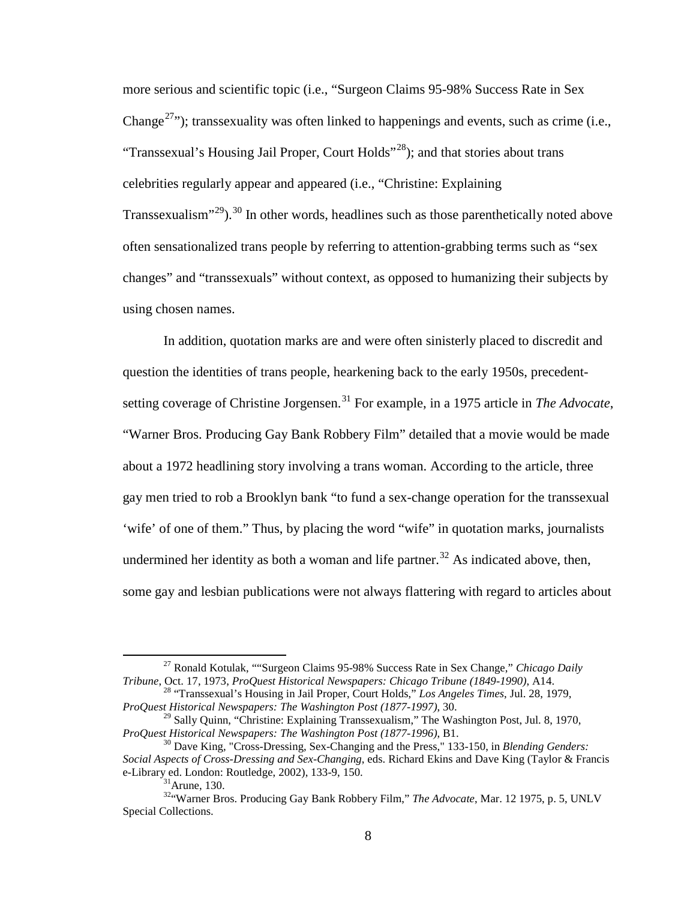more serious and scientific topic (i.e., "Surgeon Claims 95-98% Success Rate in Sex Change<sup>[27](#page-12-0)</sup>"); transsexuality was often linked to happenings and events, such as crime (i.e., "Transsexual's Housing Jail Proper, Court Holds"<sup>[28](#page-12-1)</sup>); and that stories about trans celebrities regularly appear and appeared (i.e., "Christine: Explaining Transsexualism"<sup>[29](#page-12-2)</sup>).<sup>[30](#page-12-3)</sup> In other words, headlines such as those parenthetically noted above often sensationalized trans people by referring to attention-grabbing terms such as "sex changes" and "transsexuals" without context, as opposed to humanizing their subjects by using chosen names.

In addition, quotation marks are and were often sinisterly placed to discredit and question the identities of trans people, hearkening back to the early 1950s, precedentsetting coverage of Christine Jorgensen. [31](#page-12-4) For example, in a 1975 article in *The Advocate*, "Warner Bros. Producing Gay Bank Robbery Film" detailed that a movie would be made about a 1972 headlining story involving a trans woman. According to the article, three gay men tried to rob a Brooklyn bank "to fund a sex-change operation for the transsexual 'wife' of one of them." Thus, by placing the word "wife" in quotation marks, journalists undermined her identity as both a woman and life partner.<sup>[32](#page-12-5)</sup> As indicated above, then, some gay and lesbian publications were not always flattering with regard to articles about

<span id="page-12-0"></span><sup>27</sup> Ronald Kotulak, ""Surgeon Claims 95-98% Success Rate in Sex Change," *Chicago Daily* 

<span id="page-12-1"></span><sup>&</sup>lt;sup>28</sup> "Transsexual's Housing in Jail Proper, Court Holds," *Los Angeles Times*, Jul. 28, 1979, *ProQuest Historical Newspapers: The Washington Post (1877-1997)*, 30.

<span id="page-12-2"></span><sup>&</sup>lt;sup>29</sup> Sally Quinn, "Christine: Explaining Transsexualism," The Washington Post, Jul. 8, 1970, *ProQuest Historical Newspapers: The Washington Post (1877-1996)*, B1.

<span id="page-12-3"></span><sup>&</sup>lt;sup>30</sup> Dave King, "Cross-Dressing, Sex-Changing and the Press," 133-150, in *Blending Genders: Social Aspects of Cross-Dressing and Sex-Changing*, eds. Richard Ekins and Dave King (Taylor & Francis e-Library ed. London: Routledge, 2002), 133-9, 150.<br><sup>31</sup>Arune, 130.

<span id="page-12-5"></span><span id="page-12-4"></span><sup>&</sup>lt;sup>32</sup>"Warner Bros. Producing Gay Bank Robbery Film," *The Advocate*, Mar. 12 1975, p. 5, UNLV Special Collections.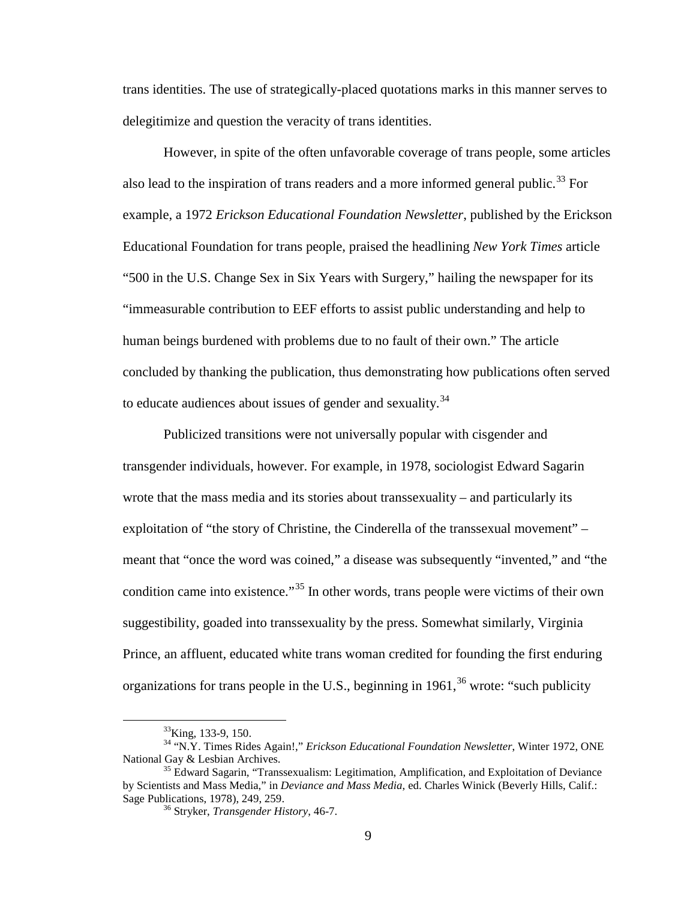trans identities. The use of strategically-placed quotations marks in this manner serves to delegitimize and question the veracity of trans identities.

However, in spite of the often unfavorable coverage of trans people, some articles also lead to the inspiration of trans readers and a more informed general public.<sup>[33](#page-13-0)</sup> For example, a 1972 *Erickson Educational Foundation Newsletter*, published by the Erickson Educational Foundation for trans people, praised the headlining *New York Times* article "500 in the U.S. Change Sex in Six Years with Surgery," hailing the newspaper for its "immeasurable contribution to EEF efforts to assist public understanding and help to human beings burdened with problems due to no fault of their own." The article concluded by thanking the publication, thus demonstrating how publications often served to educate audiences about issues of gender and sexuality.<sup>[34](#page-13-1)</sup>

Publicized transitions were not universally popular with cisgender and transgender individuals, however. For example, in 1978, sociologist Edward Sagarin wrote that the mass media and its stories about transsexuality – and particularly its exploitation of "the story of Christine, the Cinderella of the transsexual movement" – meant that "once the word was coined," a disease was subsequently "invented," and "the condition came into existence."<sup>[35](#page-13-2)</sup> In other words, trans people were victims of their own suggestibility, goaded into transsexuality by the press. Somewhat similarly, Virginia Prince, an affluent, educated white trans woman credited for founding the first enduring organizations for trans people in the U.S., beginning in  $1961$ ,  $^{36}$  $^{36}$  $^{36}$  wrote: "such publicity

<span id="page-13-1"></span><span id="page-13-0"></span><sup>&</sup>lt;sup>33</sup>King, 133-9, 150.<br><sup>34</sup> "N.Y. Times Rides Again!," *Erickson Educational Foundation Newsletter*, Winter 1972, ONE<br>National Gav & Lesbian Archives.

<span id="page-13-3"></span><span id="page-13-2"></span> $35$  Edward Sagarin, "Transsexualism: Legitimation, Amplification, and Exploitation of Deviance by Scientists and Mass Media," in *Deviance and Mass Media*, ed. Charles Winick (Beverly Hills, Calif.:

<sup>&</sup>lt;sup>36</sup> Stryker, *Transgender History*, 46-7.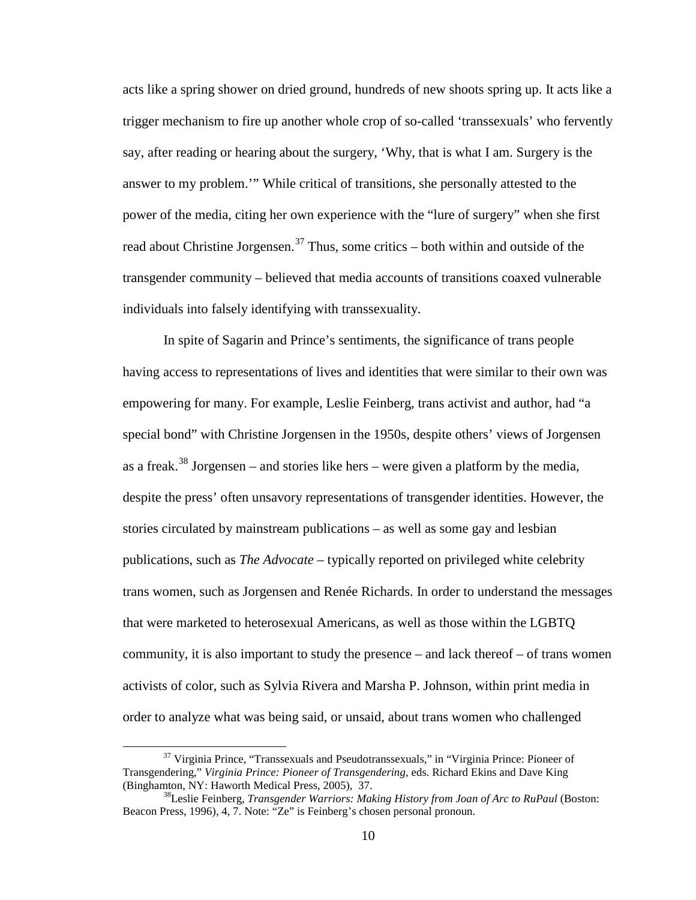acts like a spring shower on dried ground, hundreds of new shoots spring up. It acts like a trigger mechanism to fire up another whole crop of so-called 'transsexuals' who fervently say, after reading or hearing about the surgery, 'Why, that is what I am. Surgery is the answer to my problem.'" While critical of transitions, she personally attested to the power of the media, citing her own experience with the "lure of surgery" when she first read about Christine Jorgensen.<sup>[37](#page-14-0)</sup> Thus, some critics – both within and outside of the transgender community – believed that media accounts of transitions coaxed vulnerable individuals into falsely identifying with transsexuality.

In spite of Sagarin and Prince's sentiments, the significance of trans people having access to representations of lives and identities that were similar to their own was empowering for many. For example, Leslie Feinberg, trans activist and author, had "a special bond" with Christine Jorgensen in the 1950s, despite others' views of Jorgensen as a freak.<sup>[38](#page-14-1)</sup> Jorgensen – and stories like hers – were given a platform by the media, despite the press' often unsavory representations of transgender identities. However, the stories circulated by mainstream publications – as well as some gay and lesbian publications, such as *The Advocate* – typically reported on privileged white celebrity trans women, such as Jorgensen and Renée Richards. In order to understand the messages that were marketed to heterosexual Americans, as well as those within the LGBTQ community, it is also important to study the presence – and lack thereof – of trans women activists of color, such as Sylvia Rivera and Marsha P. Johnson, within print media in order to analyze what was being said, or unsaid, about trans women who challenged

<span id="page-14-0"></span><sup>&</sup>lt;sup>37</sup> Virginia Prince, "Transsexuals and Pseudotranssexuals," in "Virginia Prince: Pioneer of Transgendering," *Virginia Prince: Pioneer of Transgendering*, eds. Richard Ekins and Dave King

<span id="page-14-1"></span><sup>&</sup>lt;sup>38</sup>Leslie Feinberg, *Transgender Warriors: Making History from Joan of Arc to RuPaul* (Boston: Beacon Press, 1996)*,* 4, 7. Note: "Ze" is Feinberg's chosen personal pronoun.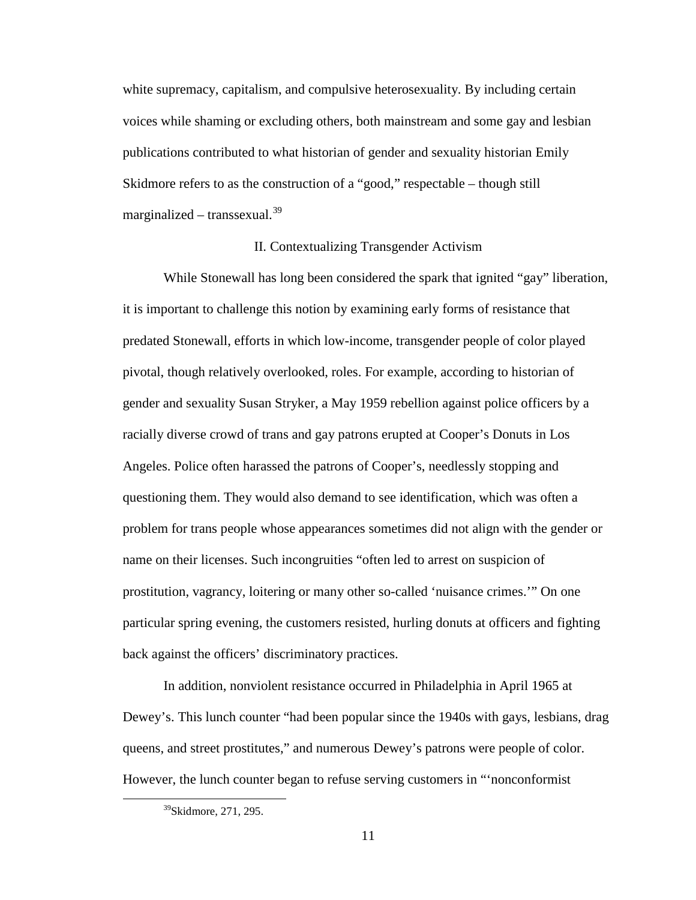white supremacy, capitalism, and compulsive heterosexuality. By including certain voices while shaming or excluding others, both mainstream and some gay and lesbian publications contributed to what historian of gender and sexuality historian Emily Skidmore refers to as the construction of a "good," respectable – though still marginalized – transsexual. $39$ 

#### II. Contextualizing Transgender Activism

While Stonewall has long been considered the spark that ignited "gay" liberation, it is important to challenge this notion by examining early forms of resistance that predated Stonewall, efforts in which low-income, transgender people of color played pivotal, though relatively overlooked, roles. For example, according to historian of gender and sexuality Susan Stryker, a May 1959 rebellion against police officers by a racially diverse crowd of trans and gay patrons erupted at Cooper's Donuts in Los Angeles. Police often harassed the patrons of Cooper's, needlessly stopping and questioning them. They would also demand to see identification, which was often a problem for trans people whose appearances sometimes did not align with the gender or name on their licenses. Such incongruities "often led to arrest on suspicion of prostitution, vagrancy, loitering or many other so-called 'nuisance crimes.'" On one particular spring evening, the customers resisted, hurling donuts at officers and fighting back against the officers' discriminatory practices.

In addition, nonviolent resistance occurred in Philadelphia in April 1965 at Dewey's. This lunch counter "had been popular since the 1940s with gays, lesbians, drag queens, and street prostitutes," and numerous Dewey's patrons were people of color. However, the lunch counter began to refuse serving customers in "'nonconformist

<span id="page-15-0"></span><sup>&</sup>lt;sup>39</sup>Skidmore, 271, 295.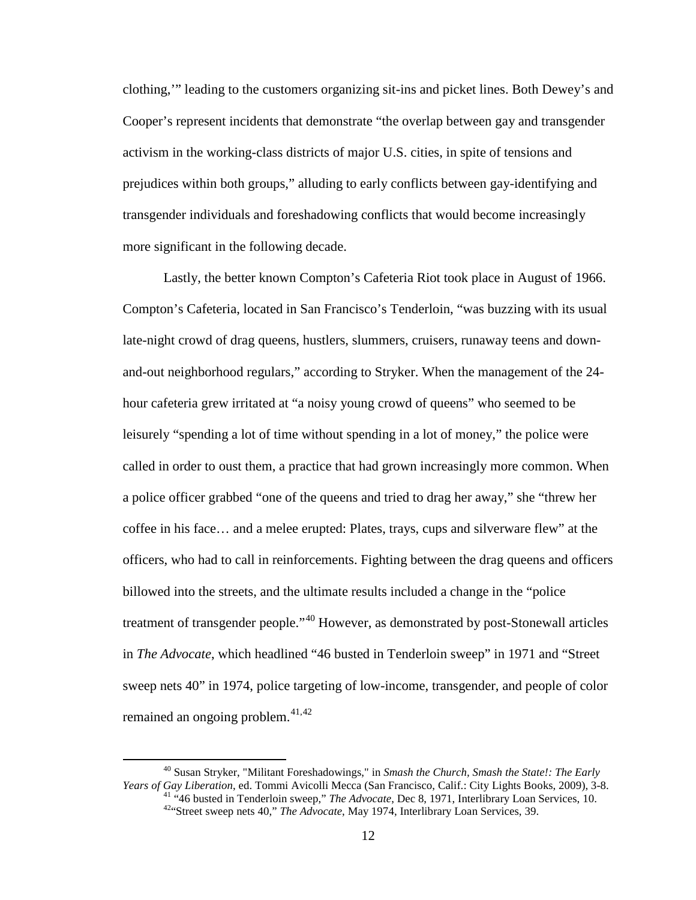clothing,'" leading to the customers organizing sit-ins and picket lines. Both Dewey's and Cooper's represent incidents that demonstrate "the overlap between gay and transgender activism in the working-class districts of major U.S. cities, in spite of tensions and prejudices within both groups," alluding to early conflicts between gay-identifying and transgender individuals and foreshadowing conflicts that would become increasingly more significant in the following decade.

Lastly, the better known Compton's Cafeteria Riot took place in August of 1966. Compton's Cafeteria, located in San Francisco's Tenderloin, "was buzzing with its usual late-night crowd of drag queens, hustlers, slummers, cruisers, runaway teens and downand-out neighborhood regulars," according to Stryker. When the management of the 24 hour cafeteria grew irritated at "a noisy young crowd of queens" who seemed to be leisurely "spending a lot of time without spending in a lot of money," the police were called in order to oust them, a practice that had grown increasingly more common. When a police officer grabbed "one of the queens and tried to drag her away," she "threw her coffee in his face… and a melee erupted: Plates, trays, cups and silverware flew" at the officers, who had to call in reinforcements. Fighting between the drag queens and officers billowed into the streets, and the ultimate results included a change in the "police treatment of transgender people."<sup>[40](#page-16-0)</sup> However, as demonstrated by post-Stonewall articles in *The Advocate*, which headlined "46 busted in Tenderloin sweep" in 1971 and "Street sweep nets 40" in 1974, police targeting of low-income, transgender, and people of color remained an ongoing problem. $41,42$  $41,42$  $41,42$ 

<span id="page-16-2"></span><span id="page-16-1"></span><span id="page-16-0"></span><sup>40</sup> Susan Stryker, "Militant Foreshadowings," in *Smash the Church, Smash the State!: The Early*  Years of Gay Liberation, ed. Tommi Avicolli Mecca (San Francisco, Calif.: City Lights Books, 2009), 3-8.<br><sup>41</sup> "46 busted in Tenderloin sweep," *The Advocate*, Dec 8, 1971, Interlibrary Loan Services, 10.<br><sup>42</sup> "Street sweep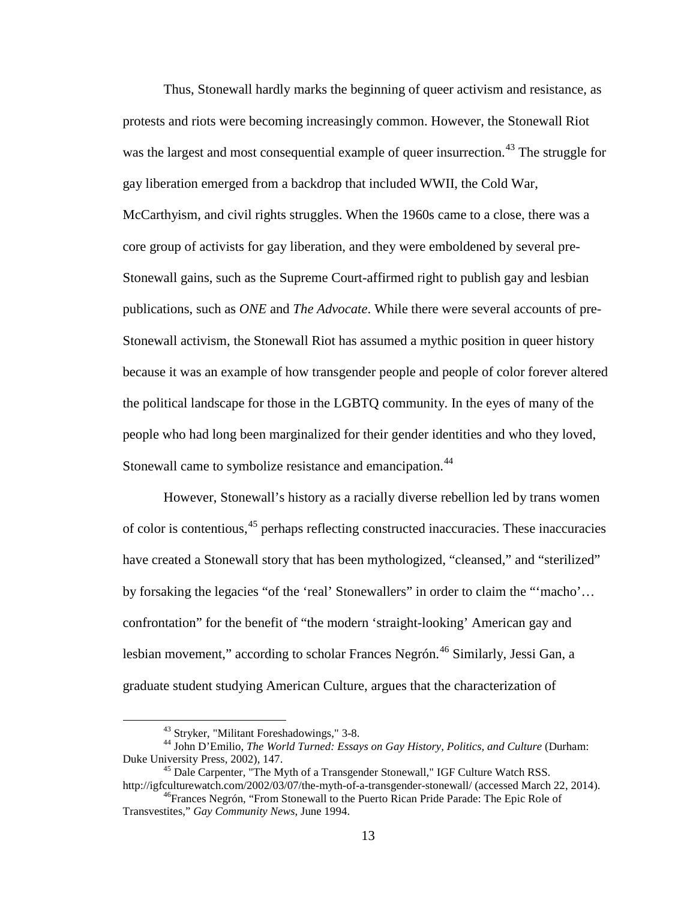Thus, Stonewall hardly marks the beginning of queer activism and resistance, as protests and riots were becoming increasingly common. However, the Stonewall Riot was the largest and most consequential example of queer insurrection.<sup>[43](#page-17-0)</sup> The struggle for gay liberation emerged from a backdrop that included WWII, the Cold War, McCarthyism, and civil rights struggles. When the 1960s came to a close, there was a core group of activists for gay liberation, and they were emboldened by several pre-Stonewall gains, such as the Supreme Court-affirmed right to publish gay and lesbian publications, such as *ONE* and *The Advocate*. While there were several accounts of pre-Stonewall activism, the Stonewall Riot has assumed a mythic position in queer history because it was an example of how transgender people and people of color forever altered the political landscape for those in the LGBTQ community. In the eyes of many of the people who had long been marginalized for their gender identities and who they loved, Stonewall came to symbolize resistance and emancipation.<sup>[44](#page-17-1)</sup>

However, Stonewall's history as a racially diverse rebellion led by trans women of color is contentious,<sup>[45](#page-17-2)</sup> perhaps reflecting constructed inaccuracies. These inaccuracies have created a Stonewall story that has been mythologized, "cleansed," and "sterilized" by forsaking the legacies "of the 'real' Stonewallers" in order to claim the "'macho'… confrontation" for the benefit of "the modern 'straight-looking' American gay and lesbian movement," according to scholar Frances Negrón.<sup>[46](#page-17-3)</sup> Similarly, Jessi Gan, a graduate student studying American Culture, argues that the characterization of

<span id="page-17-1"></span><span id="page-17-0"></span><sup>&</sup>lt;sup>43</sup> Stryker, "Militant Foreshadowings," 3-8.<br><sup>44</sup> John D'Emilio, *The World Turned: Essays on Gay History, Politics, and Culture* (Durham:<br>Duke University Press, 2002), 147.

<span id="page-17-2"></span><sup>&</sup>lt;sup>45</sup> Dale Carpenter, "The Myth of a Transgender Stonewall," IGF Culture Watch RSS.<br>http://igfculturewatch.com/2002/03/07/the-myth-of-a-transgender-stonewall/ (accessed March 22, 2014). <sup>46</sup> Frances Negrón, "From Stonewall to the Puerto Rican Pride Parade: The Epic Role of

<span id="page-17-3"></span>Transvestites," *Gay Community News*, June 1994.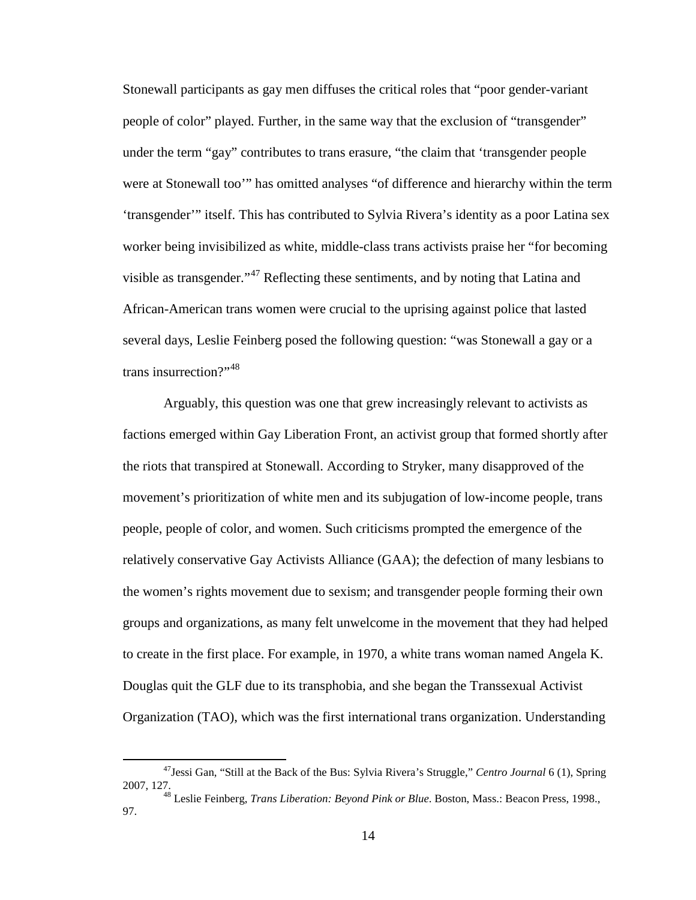Stonewall participants as gay men diffuses the critical roles that "poor gender-variant people of color" played. Further, in the same way that the exclusion of "transgender" under the term "gay" contributes to trans erasure, "the claim that 'transgender people were at Stonewall too'" has omitted analyses "of difference and hierarchy within the term 'transgender'" itself. This has contributed to Sylvia Rivera's identity as a poor Latina sex worker being invisibilized as white, middle-class trans activists praise her "for becoming visible as transgender."[47](#page-18-0) Reflecting these sentiments, and by noting that Latina and African-American trans women were crucial to the uprising against police that lasted several days, Leslie Feinberg posed the following question: "was Stonewall a gay or a trans insurrection?"<sup>[48](#page-18-1)</sup>

Arguably, this question was one that grew increasingly relevant to activists as factions emerged within Gay Liberation Front, an activist group that formed shortly after the riots that transpired at Stonewall. According to Stryker, many disapproved of the movement's prioritization of white men and its subjugation of low-income people, trans people, people of color, and women. Such criticisms prompted the emergence of the relatively conservative Gay Activists Alliance (GAA); the defection of many lesbians to the women's rights movement due to sexism; and transgender people forming their own groups and organizations, as many felt unwelcome in the movement that they had helped to create in the first place. For example, in 1970, a white trans woman named Angela K. Douglas quit the GLF due to its transphobia, and she began the Transsexual Activist Organization (TAO), which was the first international trans organization. Understanding

<span id="page-18-0"></span>47Jessi Gan, "Still at the Back of the Bus: Sylvia Rivera's Struggle," *Centro Journal* 6 (1), Spring 2007, 127. <sup>48</sup> Leslie Feinberg, *Trans Liberation: Beyond Pink or Blue*. Boston, Mass.: Beacon Press, 1998.,

<span id="page-18-1"></span><sup>97.</sup>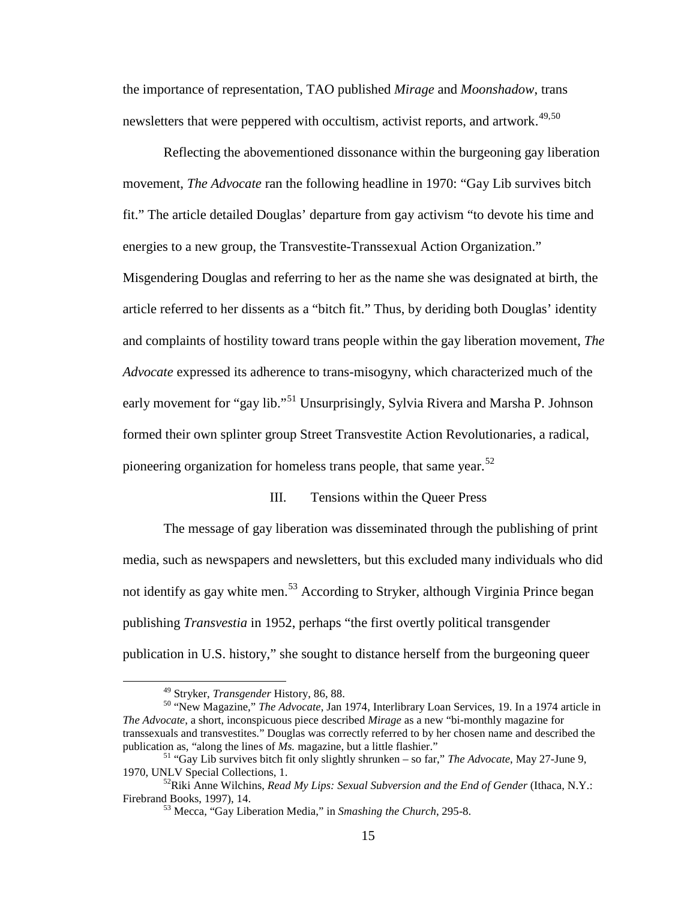the importance of representation, TAO published *Mirage* and *Moonshadow*, trans newsletters that were peppered with occultism, activist reports, and artwork.<sup>[49,](#page-19-0)[50](#page-19-1)</sup>

Reflecting the abovementioned dissonance within the burgeoning gay liberation movement, *The Advocate* ran the following headline in 1970: "Gay Lib survives bitch fit." The article detailed Douglas' departure from gay activism "to devote his time and energies to a new group, the Transvestite-Transsexual Action Organization." Misgendering Douglas and referring to her as the name she was designated at birth, the article referred to her dissents as a "bitch fit." Thus, by deriding both Douglas' identity and complaints of hostility toward trans people within the gay liberation movement, *The Advocate* expressed its adherence to trans-misogyny, which characterized much of the early movement for "gay lib."<sup>[51](#page-19-2)</sup> Unsurprisingly, Sylvia Rivera and Marsha P. Johnson formed their own splinter group Street Transvestite Action Revolutionaries, a radical, pioneering organization for homeless trans people, that same year.<sup>[52](#page-19-3)</sup>

#### III. Tensions within the Queer Press

The message of gay liberation was disseminated through the publishing of print media, such as newspapers and newsletters, but this excluded many individuals who did not identify as gay white men.<sup>[53](#page-19-4)</sup> According to Stryker, although Virginia Prince began publishing *Transvestia* in 1952, perhaps "the first overtly political transgender publication in U.S. history," she sought to distance herself from the burgeoning queer

<span id="page-19-1"></span><span id="page-19-0"></span><sup>49</sup> Stryker, *Transgender* History, 86, 88. <sup>50</sup> "New Magazine," *The Advocate*, Jan 1974, Interlibrary Loan Services, 19. In a 1974 article in *The Advocate*, a short, inconspicuous piece described *Mirage* as a new "bi-monthly magazine for transsexuals and transvestites." Douglas was correctly referred to by her chosen name and described the publication as, "along the lines of  $Ms$ , magazine, but a little flashier."

<span id="page-19-2"></span><sup>&</sup>lt;sup>51</sup> "Gay Lib survives bitch fit only slightly shrunken – so far," *The Advocate*, May 27-June 9,

<span id="page-19-4"></span><span id="page-19-3"></span><sup>1970,</sup> UNLV Special Collections, 1.<br><sup>52</sup>Riki Anne Wilchins, *Read My Lips: Sexual Subversion and the End of Gender* (Ithaca, N.Y.:<br>Firebrand Books, 1997), 14.

<sup>&</sup>lt;sup>53</sup> Mecca, "Gay Liberation Media," in *Smashing the Church*, 295-8.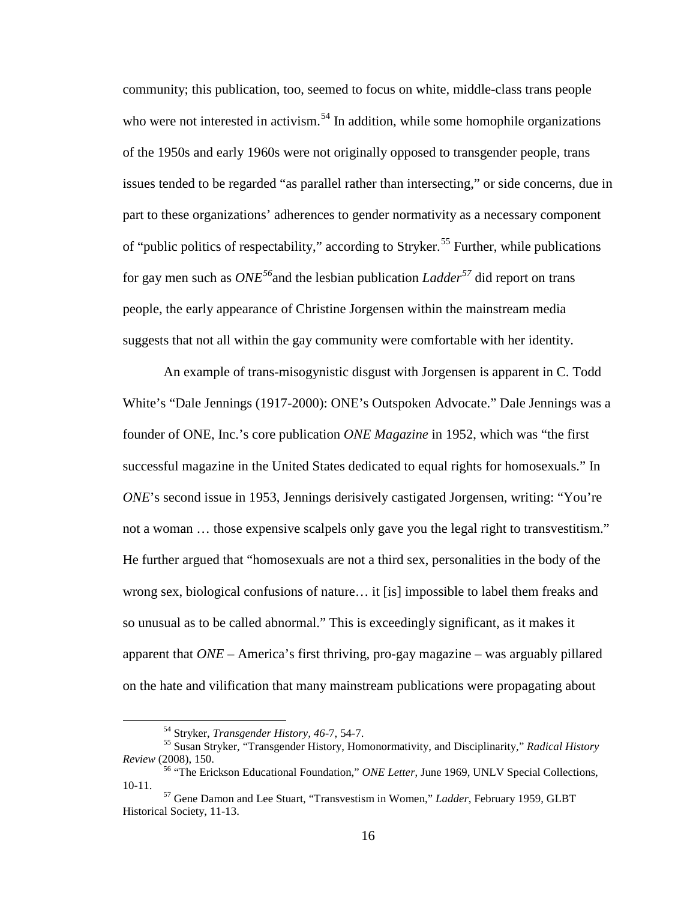community; this publication, too, seemed to focus on white, middle-class trans people who were not interested in activism.<sup>[54](#page-20-0)</sup> In addition, while some homophile organizations of the 1950s and early 1960s were not originally opposed to transgender people, trans issues tended to be regarded "as parallel rather than intersecting," or side concerns, due in part to these organizations' adherences to gender normativity as a necessary component of "public politics of respectability," according to Stryker.<sup>[55](#page-20-1)</sup> Further, while publications for gay men such as *ONE[56](#page-20-2)*and the lesbian publication *Ladder[57](#page-20-3)* did report on trans people, the early appearance of Christine Jorgensen within the mainstream media suggests that not all within the gay community were comfortable with her identity.

An example of trans-misogynistic disgust with Jorgensen is apparent in C. Todd White's "Dale Jennings (1917-2000): ONE's Outspoken Advocate." Dale Jennings was a founder of ONE, Inc.'s core publication *ONE Magazine* in 1952, which was "the first successful magazine in the United States dedicated to equal rights for homosexuals." In *ONE*'s second issue in 1953, Jennings derisively castigated Jorgensen, writing: "You're not a woman … those expensive scalpels only gave you the legal right to transvestitism." He further argued that "homosexuals are not a third sex, personalities in the body of the wrong sex, biological confusions of nature… it [is] impossible to label them freaks and so unusual as to be called abnormal." This is exceedingly significant, as it makes it apparent that *ONE* – America's first thriving, pro-gay magazine – was arguably pillared on the hate and vilification that many mainstream publications were propagating about

<span id="page-20-1"></span><span id="page-20-0"></span><sup>54</sup> Stryker, *Transgender History, 46*-7, 54-7. <sup>55</sup> Susan Stryker, "Transgender History, Homonormativity, and Disciplinarity," *Radical History Review* (2008), 150.

<span id="page-20-2"></span><sup>56</sup> "The Erickson Educational Foundation," *ONE Letter*, June 1969, UNLV Special Collections, 10-11. <sup>57</sup> Gene Damon and Lee Stuart, "Transvestism in Women," *Ladder*, February 1959, GLBT

<span id="page-20-3"></span>Historical Society, 11-13.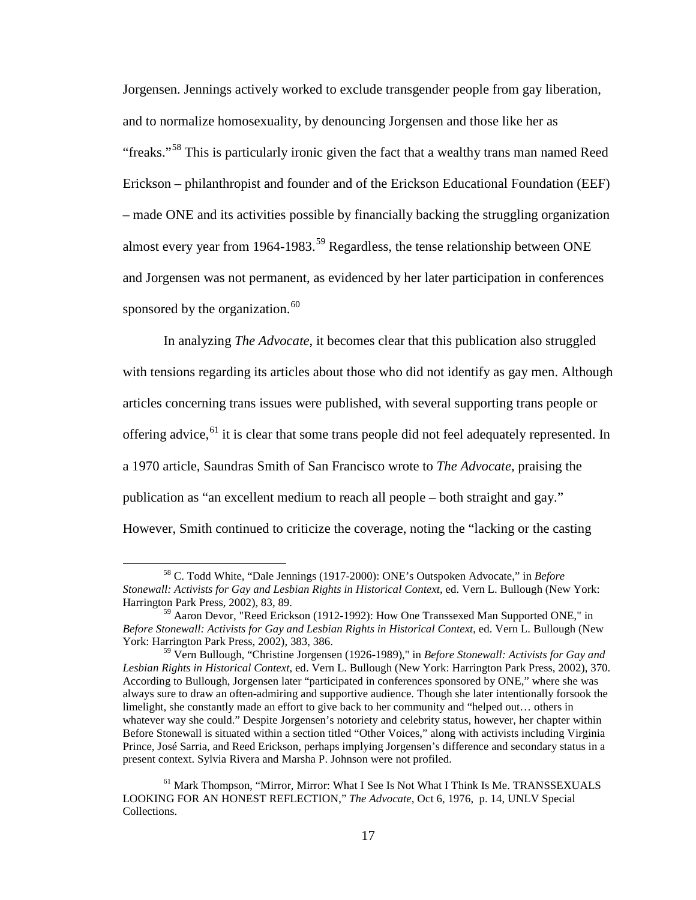Jorgensen. Jennings actively worked to exclude transgender people from gay liberation, and to normalize homosexuality, by denouncing Jorgensen and those like her as "freaks."<sup>[58](#page-21-0)</sup> This is particularly ironic given the fact that a wealthy trans man named Reed Erickson – philanthropist and founder and of the Erickson Educational Foundation (EEF) – made ONE and its activities possible by financially backing the struggling organization almost every year from 1964-1983.<sup>[59](#page-21-1)</sup> Regardless, the tense relationship between ONE and Jorgensen was not permanent, as evidenced by her later participation in conferences sponsored by the organization.<sup>[60](#page-21-2)</sup>

In analyzing *The Advocate*, it becomes clear that this publication also struggled with tensions regarding its articles about those who did not identify as gay men. Although articles concerning trans issues were published, with several supporting trans people or offering advice,  $61$  it is clear that some trans people did not feel adequately represented. In a 1970 article, Saundras Smith of San Francisco wrote to *The Advocate,* praising the publication as "an excellent medium to reach all people – both straight and gay." However, Smith continued to criticize the coverage, noting the "lacking or the casting

<span id="page-21-0"></span><sup>58</sup> C. Todd White, "Dale Jennings (1917-2000): ONE's Outspoken Advocate," in *Before Stonewall: Activists for Gay and Lesbian Rights in Historical Context*, ed. Vern L. Bullough (New York: Harrington Park Press, 2002), 83, 89.

<span id="page-21-1"></span><sup>&</sup>lt;sup>59</sup> Aaron Devor, "Reed Erickson (1912-1992): How One Transsexed Man Supported ONE," in *Before Stonewall: Activists for Gay and Lesbian Rights in Historical Context*, ed. Vern L. Bullough (New York: Harrington Park Press, 2002), 383, 386.

<sup>59</sup> Vern Bullough, "Christine Jorgensen (1926-1989)," in *Before Stonewall: Activists for Gay and Lesbian Rights in Historical Context*, ed. Vern L. Bullough (New York: Harrington Park Press, 2002), 370. According to Bullough, Jorgensen later "participated in conferences sponsored by ONE," where she was always sure to draw an often-admiring and supportive audience. Though she later intentionally forsook the limelight, she constantly made an effort to give back to her community and "helped out… others in whatever way she could." Despite Jorgensen's notoriety and celebrity status, however, her chapter within Before Stonewall is situated within a section titled "Other Voices," along with activists including Virginia Prince, José Sarria, and Reed Erickson, perhaps implying Jorgensen's difference and secondary status in a present context. Sylvia Rivera and Marsha P. Johnson were not profiled.

<span id="page-21-3"></span><span id="page-21-2"></span><sup>&</sup>lt;sup>61</sup> Mark Thompson, "Mirror, Mirror: What I See Is Not What I Think Is Me. TRANSSEXUALS LOOKING FOR AN HONEST REFLECTION," *The Advocate*, Oct 6, 1976, p. 14, UNLV Special Collections.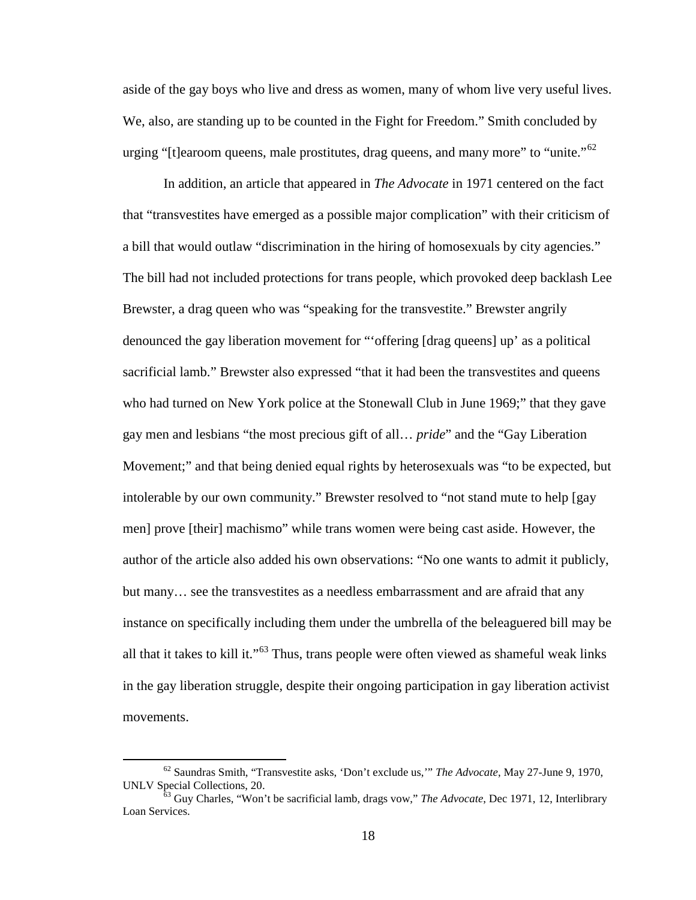aside of the gay boys who live and dress as women, many of whom live very useful lives. We, also, are standing up to be counted in the Fight for Freedom." Smith concluded by urging "[t]earoom queens, male prostitutes, drag queens, and many more" to "unite."<sup>[62](#page-22-0)</sup>

In addition, an article that appeared in *The Advocate* in 1971 centered on the fact that "transvestites have emerged as a possible major complication" with their criticism of a bill that would outlaw "discrimination in the hiring of homosexuals by city agencies." The bill had not included protections for trans people, which provoked deep backlash Lee Brewster, a drag queen who was "speaking for the transvestite." Brewster angrily denounced the gay liberation movement for "'offering [drag queens] up' as a political sacrificial lamb." Brewster also expressed "that it had been the transvestites and queens who had turned on New York police at the Stonewall Club in June 1969;" that they gave gay men and lesbians "the most precious gift of all… *pride*" and the "Gay Liberation Movement;" and that being denied equal rights by heterosexuals was "to be expected, but intolerable by our own community." Brewster resolved to "not stand mute to help [gay men] prove [their] machismo" while trans women were being cast aside. However, the author of the article also added his own observations: "No one wants to admit it publicly, but many… see the transvestites as a needless embarrassment and are afraid that any instance on specifically including them under the umbrella of the beleaguered bill may be all that it takes to kill it."<sup>[63](#page-22-1)</sup> Thus, trans people were often viewed as shameful weak links in the gay liberation struggle, despite their ongoing participation in gay liberation activist movements.

<span id="page-22-0"></span><sup>62</sup> Saundras Smith, "Transvestite asks, 'Don't exclude us,'" *The Advocate*, May 27-June 9, 1970, UNLV Special Collections, 20.<br><sup>63</sup> Guy Charles, "Won't be sacrificial lamb, drags vow," *The Advocate*, Dec 1971, 12, Interlibrary

<span id="page-22-1"></span>Loan Services.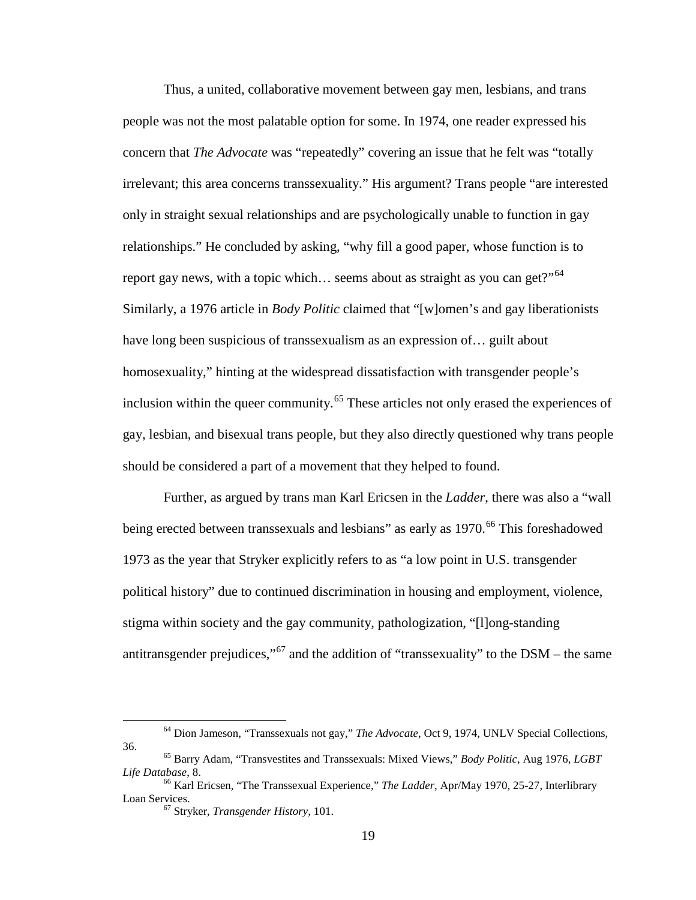Thus, a united, collaborative movement between gay men, lesbians, and trans people was not the most palatable option for some. In 1974, one reader expressed his concern that *The Advocate* was "repeatedly" covering an issue that he felt was "totally irrelevant; this area concerns transsexuality." His argument? Trans people "are interested only in straight sexual relationships and are psychologically unable to function in gay relationships." He concluded by asking, "why fill a good paper, whose function is to report gay news, with a topic which... seems about as straight as you can get?"<sup>[64](#page-23-0)</sup> Similarly, a 1976 article in *Body Politic* claimed that "[w]omen's and gay liberationists have long been suspicious of transsexualism as an expression of… guilt about homosexuality," hinting at the widespread dissatisfaction with transgender people's inclusion within the queer community.<sup>[65](#page-23-1)</sup> These articles not only erased the experiences of gay, lesbian, and bisexual trans people, but they also directly questioned why trans people should be considered a part of a movement that they helped to found.

Further, as argued by trans man Karl Ericsen in the *Ladder*, there was also a "wall being erected between transsexuals and lesbians" as early as 1970.<sup>[66](#page-23-2)</sup> This foreshadowed 1973 as the year that Stryker explicitly refers to as "a low point in U.S. transgender political history" due to continued discrimination in housing and employment, violence, stigma within society and the gay community, pathologization, "[l]ong-standing antitransgender prejudices,"<sup>[67](#page-23-3)</sup> and the addition of "transsexuality" to the  $DSM$  – the same

<span id="page-23-0"></span><sup>64</sup> Dion Jameson, "Transsexuals not gay," *The Advocate*, Oct 9, 1974, UNLV Special Collections, 36. <sup>65</sup> Barry Adam, "Transvestites and Transsexuals: Mixed Views," *Body Politic*, Aug 1976, *LGBT* 

<span id="page-23-1"></span>*Life Database*, 8. <sup>66</sup> Karl Ericsen, "The Transsexual Experience," *The Ladder*, Apr/May 1970, 25-27, Interlibrary

<span id="page-23-3"></span><span id="page-23-2"></span>Loan Services. <sup>67</sup> Stryker, *Transgender History*, 101.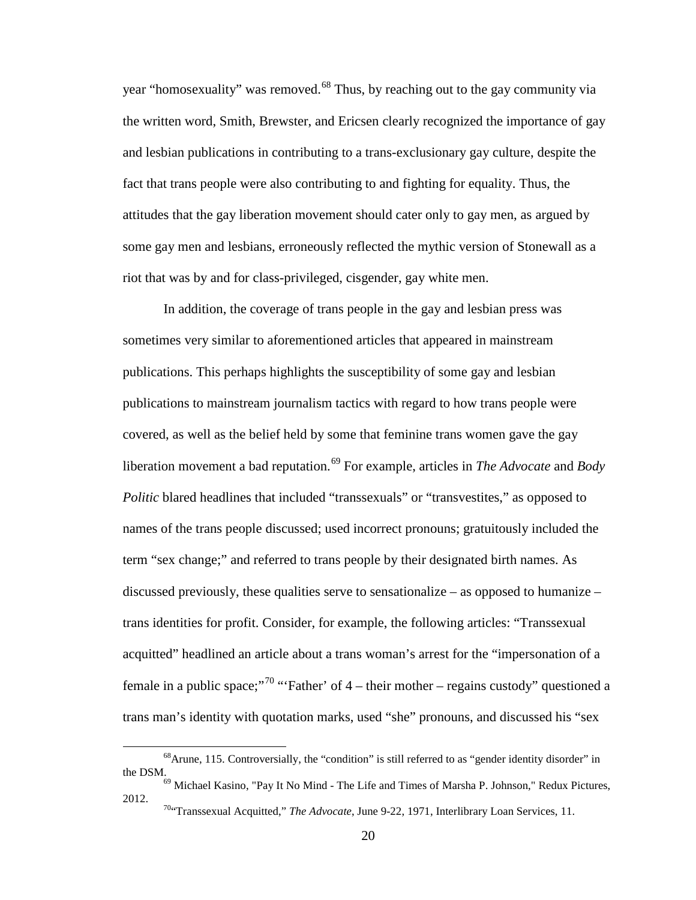year "homosexuality" was removed.<sup>[68](#page-24-0)</sup> Thus, by reaching out to the gay community via the written word, Smith, Brewster, and Ericsen clearly recognized the importance of gay and lesbian publications in contributing to a trans-exclusionary gay culture, despite the fact that trans people were also contributing to and fighting for equality. Thus, the attitudes that the gay liberation movement should cater only to gay men, as argued by some gay men and lesbians, erroneously reflected the mythic version of Stonewall as a riot that was by and for class-privileged, cisgender, gay white men.

In addition, the coverage of trans people in the gay and lesbian press was sometimes very similar to aforementioned articles that appeared in mainstream publications. This perhaps highlights the susceptibility of some gay and lesbian publications to mainstream journalism tactics with regard to how trans people were covered, as well as the belief held by some that feminine trans women gave the gay liberation movement a bad reputation.<sup>[69](#page-24-1)</sup> For example, articles in *The Advocate* and *Body Politic* blared headlines that included "transsexuals" or "transvestites," as opposed to names of the trans people discussed; used incorrect pronouns; gratuitously included the term "sex change;" and referred to trans people by their designated birth names. As discussed previously, these qualities serve to sensationalize – as opposed to humanize – trans identities for profit. Consider, for example, the following articles: "Transsexual acquitted" headlined an article about a trans woman's arrest for the "impersonation of a female in a public space;"<sup>[70](#page-24-2)</sup> "'Father' of 4 – their mother – regains custody" questioned a trans man's identity with quotation marks, used "she" pronouns, and discussed his "sex

<span id="page-24-0"></span> $^{68}$ Arune, 115. Controversially, the "condition" is still referred to as "gender identity disorder" in

<span id="page-24-2"></span><span id="page-24-1"></span>the DSM.<br><sup>69</sup> Michael Kasino, "Pay It No Mind - The Life and Times of Marsha P. Johnson," Redux Pictures, 2012. 70"Transsexual Acquitted," *The Advocate*, June 9-22, 1971, Interlibrary Loan Services, 11.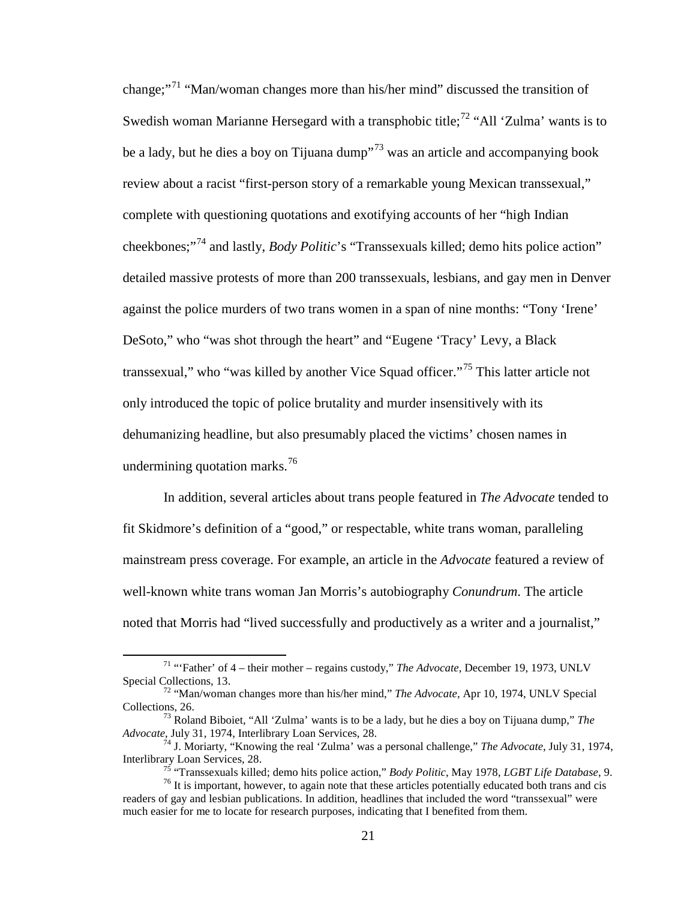change;"<sup>[71](#page-25-0)</sup> "Man/woman changes more than his/her mind" discussed the transition of Swedish woman Marianne Hersegard with a transphobic title;<sup>[72](#page-25-1)</sup> "All 'Zulma' wants is to be a lady, but he dies a boy on Tijuana dump<sup>7[73](#page-25-2)</sup> was an article and accompanying book review about a racist "first-person story of a remarkable young Mexican transsexual," complete with questioning quotations and exotifying accounts of her "high Indian cheekbones;"[74](#page-25-3) and lastly, *Body Politic*'s "Transsexuals killed; demo hits police action" detailed massive protests of more than 200 transsexuals, lesbians, and gay men in Denver against the police murders of two trans women in a span of nine months: "Tony 'Irene' DeSoto," who "was shot through the heart" and "Eugene 'Tracy' Levy, a Black transsexual," who "was killed by another Vice Squad officer."[75](#page-25-4) This latter article not only introduced the topic of police brutality and murder insensitively with its dehumanizing headline, but also presumably placed the victims' chosen names in undermining quotation marks.<sup>[76](#page-25-5)</sup>

In addition, several articles about trans people featured in *The Advocate* tended to fit Skidmore's definition of a "good," or respectable, white trans woman, paralleling mainstream press coverage. For example, an article in the *Advocate* featured a review of well-known white trans woman Jan Morris's autobiography *Conundrum*. The article noted that Morris had "lived successfully and productively as a writer and a journalist,"

<span id="page-25-0"></span><sup>&</sup>lt;sup>71</sup> "Father' of 4 – their mother – regains custody," *The Advocate*, December 19, 1973, UNLV Special Collections, 13.

<span id="page-25-1"></span><sup>&</sup>lt;sup>72</sup> "Man/woman changes more than his/her mind," *The Advocate*, Apr 10, 1974, UNLV Special Collections, 26. <sup>73</sup> Roland Biboiet, "All 'Zulma' wants is to be a lady, but he dies a boy on Tijuana dump," *The* 

<span id="page-25-2"></span>*Advocate*, July 31, 1974, Interlibrary Loan Services, 28.

<span id="page-25-3"></span><sup>&</sup>lt;sup>74</sup> J. Moriarty, "Knowing the real 'Zulma' was a personal challenge," *The Advocate*, July 31, 1974, Interlibrary Loan Services, 28.

<sup>&</sup>lt;sup>75</sup> "Transsexuals killed; demo hits police action," *Body Politic*, May 1978, *LGBT Life Database*, 9.<br><sup>76</sup> It is important, however, to again note that these articles potentially educated both trans and cis

<span id="page-25-5"></span><span id="page-25-4"></span>readers of gay and lesbian publications. In addition, headlines that included the word "transsexual" were much easier for me to locate for research purposes, indicating that I benefited from them.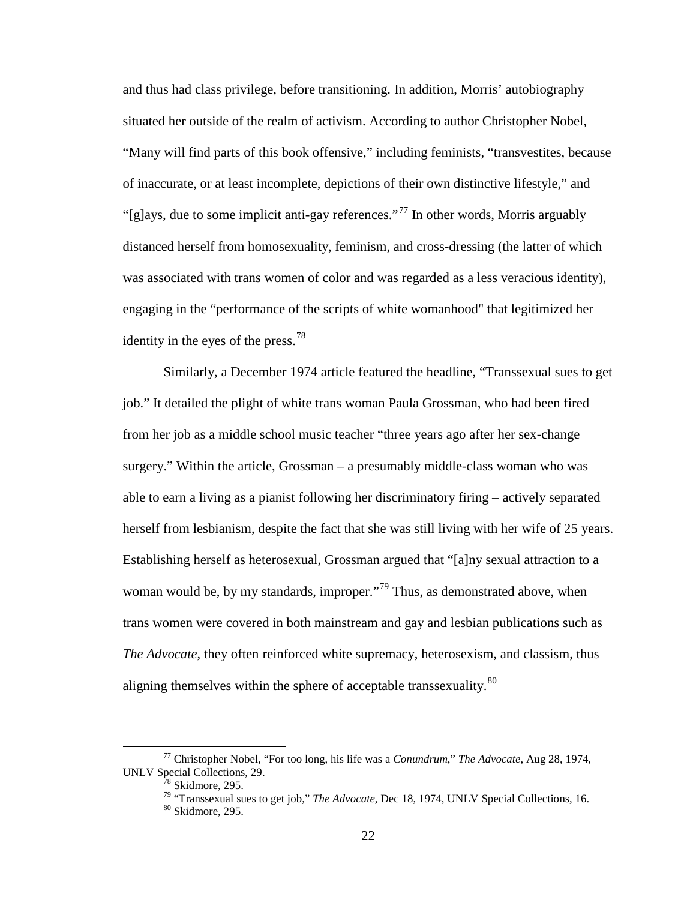and thus had class privilege, before transitioning. In addition, Morris' autobiography situated her outside of the realm of activism. According to author Christopher Nobel, "Many will find parts of this book offensive," including feminists, "transvestites, because of inaccurate, or at least incomplete, depictions of their own distinctive lifestyle," and "[g]ays, due to some implicit anti-gay references."<sup>[77](#page-26-0)</sup> In other words, Morris arguably distanced herself from homosexuality, feminism, and cross-dressing (the latter of which was associated with trans women of color and was regarded as a less veracious identity), engaging in the "performance of the scripts of white womanhood" that legitimized her identity in the eyes of the press.<sup>[78](#page-26-1)</sup>

Similarly, a December 1974 article featured the headline, "Transsexual sues to get job." It detailed the plight of white trans woman Paula Grossman, who had been fired from her job as a middle school music teacher "three years ago after her sex-change surgery." Within the article, Grossman – a presumably middle-class woman who was able to earn a living as a pianist following her discriminatory firing – actively separated herself from lesbianism, despite the fact that she was still living with her wife of 25 years. Establishing herself as heterosexual, Grossman argued that "[a]ny sexual attraction to a woman would be, by my standards, improper."<sup>[79](#page-26-2)</sup> Thus, as demonstrated above, when trans women were covered in both mainstream and gay and lesbian publications such as *The Advocate*, they often reinforced white supremacy, heterosexism, and classism, thus aligning themselves within the sphere of acceptable transsexuality.<sup>[80](#page-26-3)</sup>

<span id="page-26-3"></span><span id="page-26-2"></span><span id="page-26-1"></span><span id="page-26-0"></span><sup>77</sup> Christopher Nobel, "For too long, his life was a *Conundrum*," *The Advocate*, Aug 28, 1974,

<sup>&</sup>lt;sup>78</sup> Skidmore, 295.<br><sup>79</sup> "Transsexual sues to get job," *The Advocate*, Dec 18, 1974, UNLV Special Collections, 16.<br><sup>80</sup> Skidmore, 295.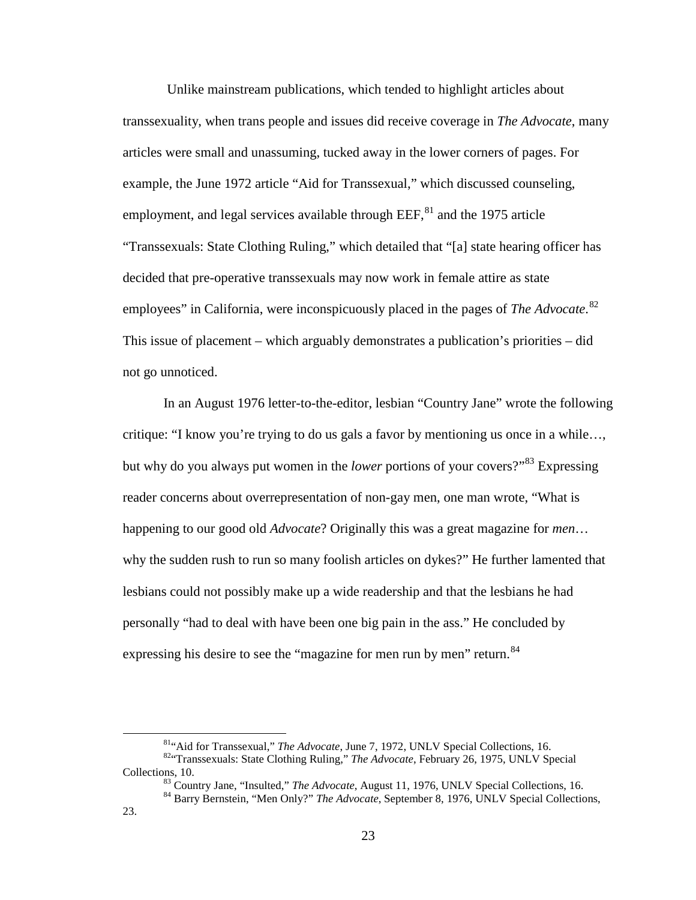Unlike mainstream publications, which tended to highlight articles about transsexuality, when trans people and issues did receive coverage in *The Advocate*, many articles were small and unassuming, tucked away in the lower corners of pages. For example, the June 1972 article "Aid for Transsexual," which discussed counseling, employment, and legal services available through  $EEF$ ,  $81$  and the 1975 article "Transsexuals: State Clothing Ruling," which detailed that "[a] state hearing officer has decided that pre-operative transsexuals may now work in female attire as state employees" in California, were inconspicuously placed in the pages of *The Advocate*.<sup>[82](#page-27-1)</sup> This issue of placement – which arguably demonstrates a publication's priorities – did not go unnoticed.

In an August 1976 letter-to-the-editor, lesbian "Country Jane" wrote the following critique: "I know you're trying to do us gals a favor by mentioning us once in a while…, but why do you always put women in the *lower* portions of your covers?"[83](#page-27-2) Expressing reader concerns about overrepresentation of non-gay men, one man wrote, "What is happening to our good old *Advocate*? Originally this was a great magazine for *men*… why the sudden rush to run so many foolish articles on dykes?" He further lamented that lesbians could not possibly make up a wide readership and that the lesbians he had personally "had to deal with have been one big pain in the ass." He concluded by expressing his desire to see the "magazine for men run by men" return.<sup>[84](#page-27-3)</sup>

<span id="page-27-1"></span><span id="page-27-0"></span><sup>&</sup>lt;sup>81</sup>"Aid for Transsexual," *The Advocate*, June 7, 1972, UNLV Special Collections, 16.<br><sup>82</sup>"Transsexuals: State Clothing Ruling," *The Advocate*, February 26, 1975, UNLV Special Collections, 10. <sup>83</sup> Country Jane, "Insulted," *The Advocate*, August 11, 1976, UNLV Special Collections, 16. <sup>84</sup> Barry Bernstein, "Men Only?" *The Advocate*, September 8, 1976, UNLV Special Collections,

<span id="page-27-3"></span><span id="page-27-2"></span><sup>23.</sup>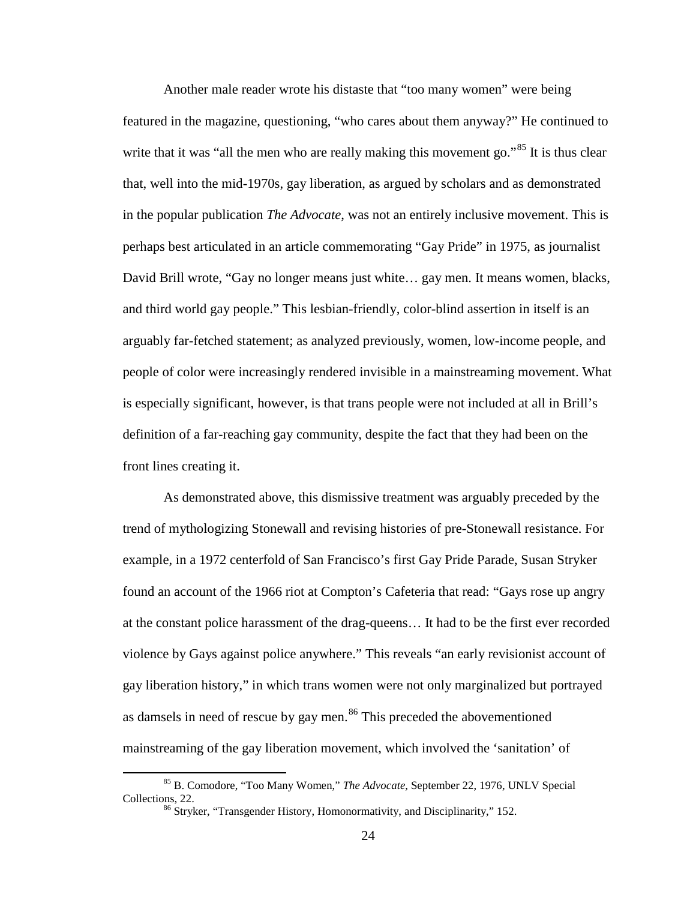Another male reader wrote his distaste that "too many women" were being featured in the magazine, questioning, "who cares about them anyway?" He continued to write that it was "all the men who are really making this movement go."<sup>[85](#page-28-0)</sup> It is thus clear that, well into the mid-1970s, gay liberation, as argued by scholars and as demonstrated in the popular publication *The Advocate*, was not an entirely inclusive movement. This is perhaps best articulated in an article commemorating "Gay Pride" in 1975, as journalist David Brill wrote, "Gay no longer means just white… gay men. It means women, blacks, and third world gay people." This lesbian-friendly, color-blind assertion in itself is an arguably far-fetched statement; as analyzed previously, women, low-income people, and people of color were increasingly rendered invisible in a mainstreaming movement. What is especially significant, however, is that trans people were not included at all in Brill's definition of a far-reaching gay community, despite the fact that they had been on the front lines creating it.

As demonstrated above, this dismissive treatment was arguably preceded by the trend of mythologizing Stonewall and revising histories of pre-Stonewall resistance. For example, in a 1972 centerfold of San Francisco's first Gay Pride Parade, Susan Stryker found an account of the 1966 riot at Compton's Cafeteria that read: "Gays rose up angry at the constant police harassment of the drag-queens… It had to be the first ever recorded violence by Gays against police anywhere." This reveals "an early revisionist account of gay liberation history," in which trans women were not only marginalized but portrayed as damsels in need of rescue by gay men. $86$  This preceded the abovementioned mainstreaming of the gay liberation movement, which involved the 'sanitation' of

<span id="page-28-1"></span><span id="page-28-0"></span><sup>&</sup>lt;sup>85</sup> B. Comodore, "Too Many Women," *The Advocate*, September 22, 1976, UNLV Special Collections. 22.

<sup>&</sup>lt;sup>86</sup> Stryker, "Transgender History, Homonormativity, and Disciplinarity," 152.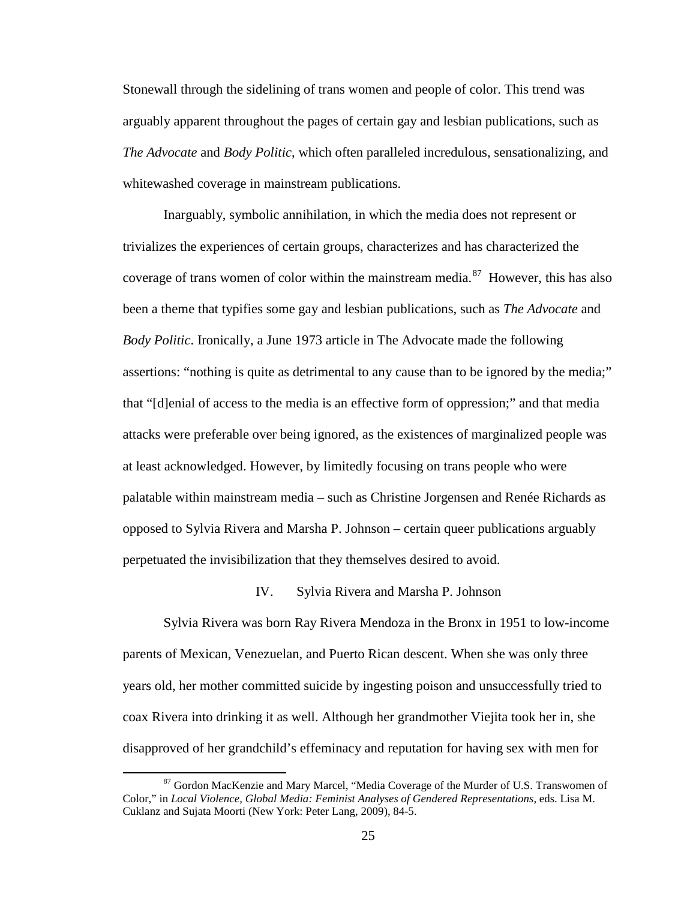Stonewall through the sidelining of trans women and people of color. This trend was arguably apparent throughout the pages of certain gay and lesbian publications, such as *The Advocate* and *Body Politic*, which often paralleled incredulous, sensationalizing, and whitewashed coverage in mainstream publications.

Inarguably, symbolic annihilation, in which the media does not represent or trivializes the experiences of certain groups, characterizes and has characterized the coverage of trans women of color within the mainstream media. $87$  However, this has also been a theme that typifies some gay and lesbian publications, such as *The Advocate* and *Body Politic*. Ironically, a June 1973 article in The Advocate made the following assertions: "nothing is quite as detrimental to any cause than to be ignored by the media;" that "[d]enial of access to the media is an effective form of oppression;" and that media attacks were preferable over being ignored, as the existences of marginalized people was at least acknowledged. However, by limitedly focusing on trans people who were palatable within mainstream media – such as Christine Jorgensen and Renée Richards as opposed to Sylvia Rivera and Marsha P. Johnson – certain queer publications arguably perpetuated the invisibilization that they themselves desired to avoid.

#### IV. Sylvia Rivera and Marsha P. Johnson

Sylvia Rivera was born Ray Rivera Mendoza in the Bronx in 1951 to low-income parents of Mexican, Venezuelan, and Puerto Rican descent. When she was only three years old, her mother committed suicide by ingesting poison and unsuccessfully tried to coax Rivera into drinking it as well. Although her grandmother Viejita took her in, she disapproved of her grandchild's effeminacy and reputation for having sex with men for

<span id="page-29-0"></span><sup>&</sup>lt;sup>87</sup> Gordon MacKenzie and Mary Marcel, "Media Coverage of the Murder of U.S. Transwomen of Color," in *Local Violence, Global Media: Feminist Analyses of Gendered Representations*, eds. Lisa M. Cuklanz and Sujata Moorti (New York: Peter Lang, 2009), 84-5.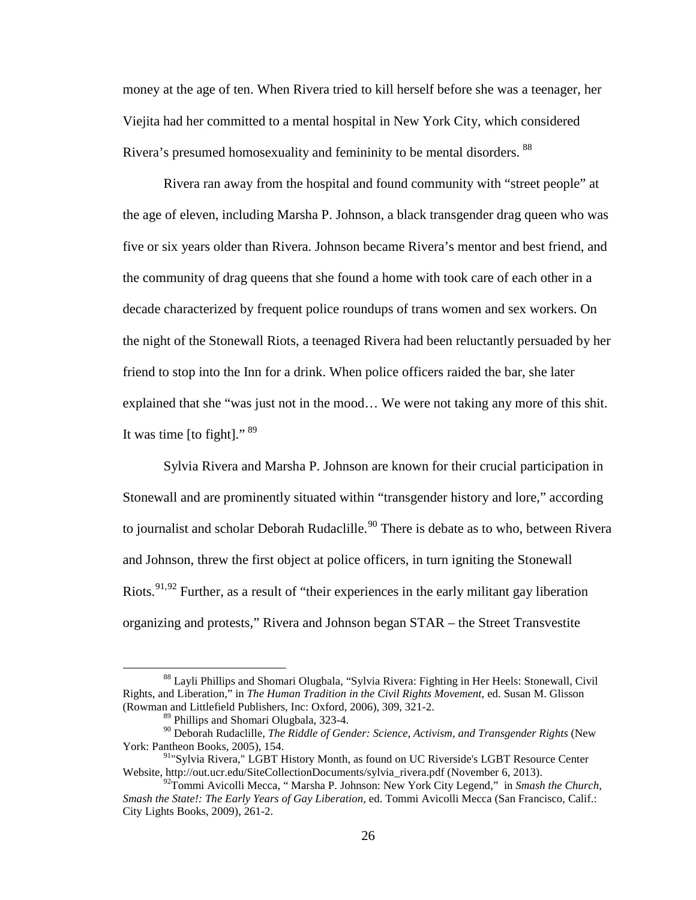money at the age of ten. When Rivera tried to kill herself before she was a teenager, her Viejita had her committed to a mental hospital in New York City, which considered Rivera's presumed homosexuality and femininity to be mental disorders.<sup>[88](#page-30-0)</sup>

Rivera ran away from the hospital and found community with "street people" at the age of eleven, including Marsha P. Johnson, a black transgender drag queen who was five or six years older than Rivera. Johnson became Rivera's mentor and best friend, and the community of drag queens that she found a home with took care of each other in a decade characterized by frequent police roundups of trans women and sex workers. On the night of the Stonewall Riots, a teenaged Rivera had been reluctantly persuaded by her friend to stop into the Inn for a drink. When police officers raided the bar, she later explained that she "was just not in the mood… We were not taking any more of this shit. It was time [to fight]."  $89$ 

Sylvia Rivera and Marsha P. Johnson are known for their crucial participation in Stonewall and are prominently situated within "transgender history and lore," according to journalist and scholar Deborah Rudaclille.<sup>[90](#page-30-2)</sup> There is debate as to who, between Rivera and Johnson, threw the first object at police officers, in turn igniting the Stonewall Riots.  $91,92$  $91,92$  Further, as a result of "their experiences in the early militant gay liberation organizing and protests," Rivera and Johnson began STAR – the Street Transvestite

<span id="page-30-0"></span><sup>88</sup> Layli Phillips and Shomari Olugbala, "Sylvia Rivera: Fighting in Her Heels: Stonewall, Civil Rights, and Liberation," in *The Human Tradition in the Civil Rights Movement*, ed. Susan M. Glisson (Rowman and Littlefield Publishers, Inc: Oxford, 2006), 309, 321-2.<br><sup>89</sup> Phillips and Shomari Olugbala, 323-4.

<span id="page-30-2"></span><span id="page-30-1"></span><sup>90</sup> Deborah Rudaclille, *The Riddle of Gender: Science, Activism, and Transgender Rights* (New York: Pantheon Books, 2005), 154.

<span id="page-30-3"></span><sup>91&</sup>quot;Sylvia Rivera," LGBT History Month, as found on UC Riverside's LGBT Resource Center Website, http://out.ucr.edu/SiteCollectionDocuments/sylvia\_rivera.pdf (November 6, 2013).

<span id="page-30-4"></span><sup>92</sup>Tommi Avicolli Mecca, " Marsha P. Johnson: New York City Legend," in *Smash the Church, Smash the State!: The Early Years of Gay Liberation*, ed. Tommi Avicolli Mecca (San Francisco, Calif.: City Lights Books, 2009), 261-2.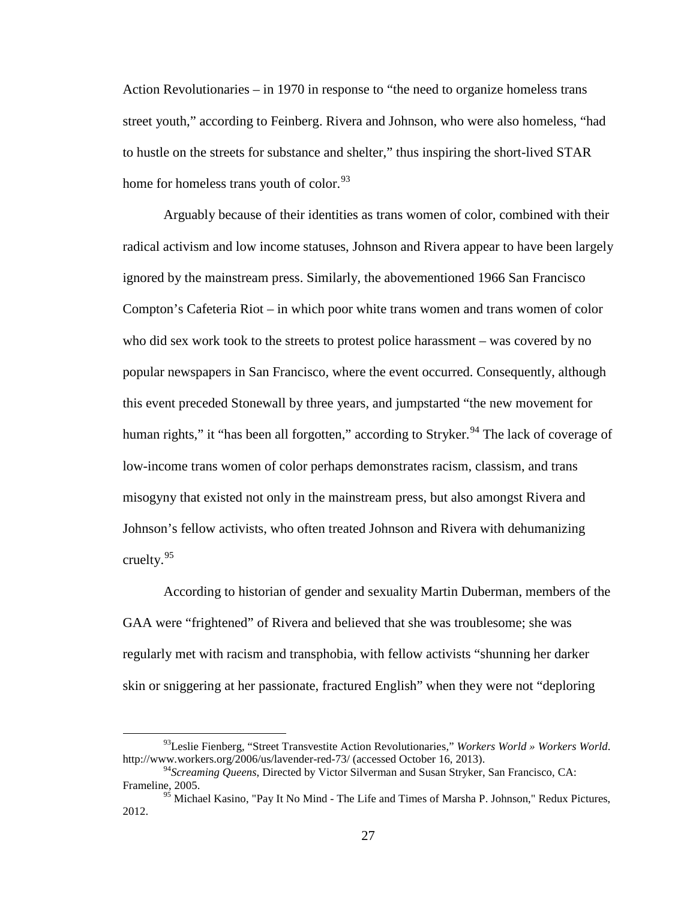Action Revolutionaries – in 1970 in response to "the need to organize homeless trans street youth," according to Feinberg. Rivera and Johnson, who were also homeless, "had to hustle on the streets for substance and shelter," thus inspiring the short-lived STAR home for homeless trans youth of color.  $93$ 

Arguably because of their identities as trans women of color, combined with their radical activism and low income statuses, Johnson and Rivera appear to have been largely ignored by the mainstream press. Similarly, the abovementioned 1966 San Francisco Compton's Cafeteria Riot – in which poor white trans women and trans women of color who did sex work took to the streets to protest police harassment – was covered by no popular newspapers in San Francisco, where the event occurred. Consequently, although this event preceded Stonewall by three years, and jumpstarted "the new movement for human rights," it "has been all forgotten," according to Stryker.<sup>[94](#page-31-1)</sup> The lack of coverage of low-income trans women of color perhaps demonstrates racism, classism, and trans misogyny that existed not only in the mainstream press, but also amongst Rivera and Johnson's fellow activists, who often treated Johnson and Rivera with dehumanizing cruelty.[95](#page-31-2)

According to historian of gender and sexuality Martin Duberman, members of the GAA were "frightened" of Rivera and believed that she was troublesome; she was regularly met with racism and transphobia, with fellow activists "shunning her darker skin or sniggering at her passionate, fractured English" when they were not "deploring

<span id="page-31-0"></span>93Leslie Fienberg, "Street Transvestite Action Revolutionaries," *Workers World » Workers World*. http://www.workers.org/2006/us/lavender-red-73/ (accessed October 16, 2013).

<span id="page-31-1"></span><sup>94</sup>*Screaming Queens*, Directed by Victor Silverman and Susan Stryker, San Francisco, CA: Frameline, 2005.

<span id="page-31-2"></span><sup>&</sup>lt;sup>95</sup> Michael Kasino, "Pay It No Mind - The Life and Times of Marsha P. Johnson," Redux Pictures, 2012.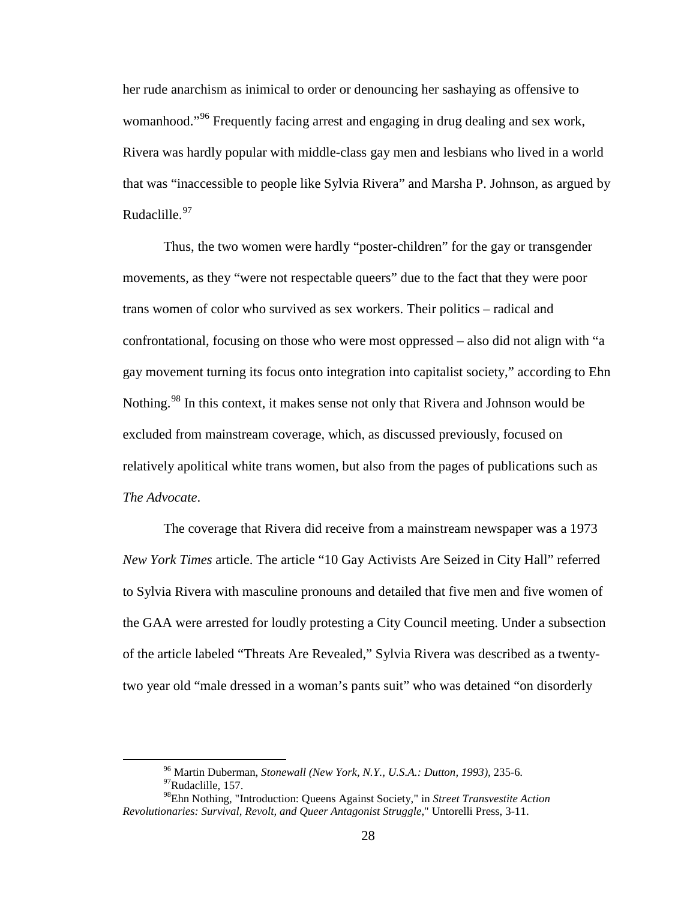her rude anarchism as inimical to order or denouncing her sashaying as offensive to womanhood."<sup>[96](#page-32-0)</sup> Frequently facing arrest and engaging in drug dealing and sex work, Rivera was hardly popular with middle-class gay men and lesbians who lived in a world that was "inaccessible to people like Sylvia Rivera" and Marsha P. Johnson, as argued by Rudaclille.[97](#page-32-1)

Thus, the two women were hardly "poster-children" for the gay or transgender movements, as they "were not respectable queers" due to the fact that they were poor trans women of color who survived as sex workers. Their politics – radical and confrontational, focusing on those who were most oppressed – also did not align with "a gay movement turning its focus onto integration into capitalist society," according to Ehn Nothing.[98](#page-32-2) In this context, it makes sense not only that Rivera and Johnson would be excluded from mainstream coverage, which, as discussed previously, focused on relatively apolitical white trans women, but also from the pages of publications such as *The Advocate*.

The coverage that Rivera did receive from a mainstream newspaper was a 1973 *New York Times* article. The article "10 Gay Activists Are Seized in City Hall" referred to Sylvia Rivera with masculine pronouns and detailed that five men and five women of the GAA were arrested for loudly protesting a City Council meeting. Under a subsection of the article labeled "Threats Are Revealed," Sylvia Rivera was described as a twentytwo year old "male dressed in a woman's pants suit" who was detained "on disorderly

<sup>96</sup> Martin Duberman, *Stonewall (New York, N.Y., U.S.A.: Dutton, 1993),* 235-6*.* 97Rudaclille, 157.

<span id="page-32-2"></span><span id="page-32-1"></span><span id="page-32-0"></span><sup>98</sup>Ehn Nothing, "Introduction: Queens Against Society," in *Street Transvestite Action Revolutionaries: Survival, Revolt, and Queer Antagonist Struggle*," Untorelli Press, 3-11.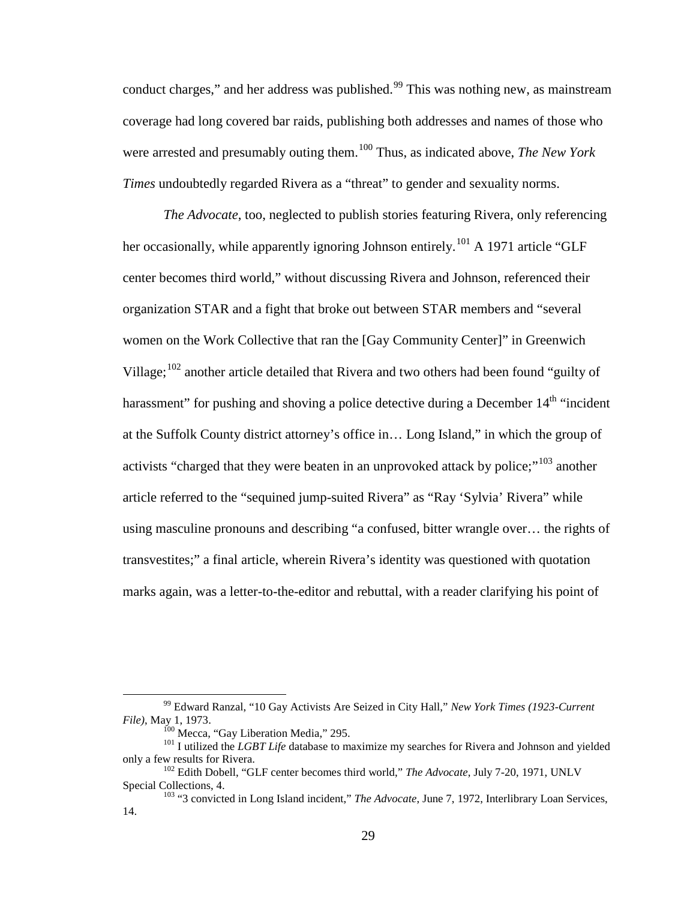conduct charges," and her address was published.<sup>[99](#page-33-0)</sup> This was nothing new, as mainstream coverage had long covered bar raids, publishing both addresses and names of those who were arrested and presumably outing them. [100](#page-33-1) Thus, as indicated above, *The New York Times* undoubtedly regarded Rivera as a "threat" to gender and sexuality norms.

*The Advocate*, too, neglected to publish stories featuring Rivera, only referencing her occasionally, while apparently ignoring Johnson entirely.<sup>[101](#page-33-2)</sup> A 1971 article "GLF center becomes third world," without discussing Rivera and Johnson, referenced their organization STAR and a fight that broke out between STAR members and "several women on the Work Collective that ran the [Gay Community Center]" in Greenwich Village;<sup>[102](#page-33-3)</sup> another article detailed that Rivera and two others had been found "guilty of harassment" for pushing and shoving a police detective during a December  $14<sup>th</sup>$  "incident" at the Suffolk County district attorney's office in… Long Island," in which the group of activists "charged that they were beaten in an unprovoked attack by police;"<sup>[103](#page-33-4)</sup> another article referred to the "sequined jump-suited Rivera" as "Ray 'Sylvia' Rivera" while using masculine pronouns and describing "a confused, bitter wrangle over… the rights of transvestites;" a final article, wherein Rivera's identity was questioned with quotation marks again, was a letter-to-the-editor and rebuttal, with a reader clarifying his point of

<sup>99</sup> Edward Ranzal, "10 Gay Activists Are Seized in City Hall," *New York Times (1923-Current* 

<span id="page-33-2"></span><span id="page-33-1"></span><span id="page-33-0"></span>*File)*, May 1, 1973.<br><sup>100</sup> Mecca, "Gay Liberation Media," 295.<br><sup>101</sup> I utilized the *LGBT Life* database to maximize my searches for Rivera and Johnson and yielded<br>only a few results for Rivera.

<sup>&</sup>lt;sup>102</sup> Edith Dobell, "GLF center becomes third world," *The Advocate*, July 7-20, 1971, UNLV

<span id="page-33-4"></span><span id="page-33-3"></span>Special Collections, 4.<br><sup>103</sup> "3 convicted in Long Island incident," *The Advocate*, June 7, 1972, Interlibrary Loan Services, 14.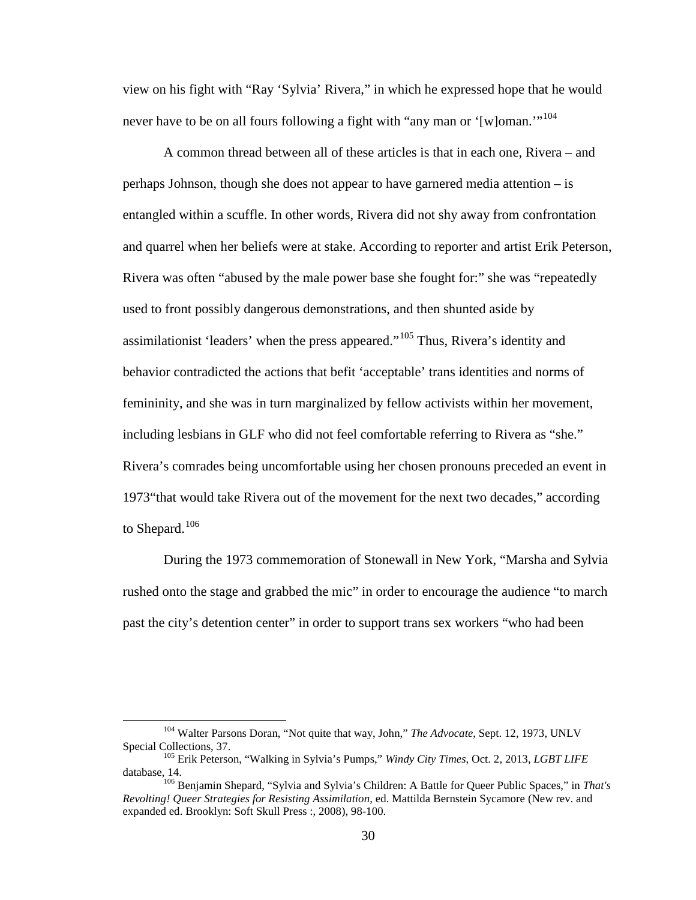view on his fight with "Ray 'Sylvia' Rivera," in which he expressed hope that he would never have to be on all fours following a fight with "any man or '[w]oman."<sup>[104](#page-34-0)</sup>

A common thread between all of these articles is that in each one, Rivera – and perhaps Johnson, though she does not appear to have garnered media attention – is entangled within a scuffle. In other words, Rivera did not shy away from confrontation and quarrel when her beliefs were at stake. According to reporter and artist Erik Peterson, Rivera was often "abused by the male power base she fought for:" she was "repeatedly used to front possibly dangerous demonstrations, and then shunted aside by assimilationist 'leaders' when the press appeared."[105](#page-34-1) Thus, Rivera's identity and behavior contradicted the actions that befit 'acceptable' trans identities and norms of femininity, and she was in turn marginalized by fellow activists within her movement, including lesbians in GLF who did not feel comfortable referring to Rivera as "she." Rivera's comrades being uncomfortable using her chosen pronouns preceded an event in 1973"that would take Rivera out of the movement for the next two decades," according to Shepard. $106$ 

During the 1973 commemoration of Stonewall in New York, "Marsha and Sylvia rushed onto the stage and grabbed the mic" in order to encourage the audience "to march past the city's detention center" in order to support trans sex workers "who had been

<span id="page-34-0"></span><sup>104</sup> Walter Parsons Doran, "Not quite that way, John," *The Advocate*, Sept. 12, 1973, UNLV Special Collections, 37.<br><sup>105</sup> Erik Peterson, "Walking in Sylvia's Pumps," *Windy City Times*, Oct. 2, 2013, *LGBT LIFE* 

<span id="page-34-1"></span>database, 14. <sup>106</sup> Benjamin Shepard, "Sylvia and Sylvia's Children: A Battle for Queer Public Spaces," in *That's* 

<span id="page-34-2"></span>*Revolting! Queer Strategies for Resisting Assimilation*, ed. Mattilda Bernstein Sycamore (New rev. and expanded ed. Brooklyn: Soft Skull Press :, 2008), 98-100.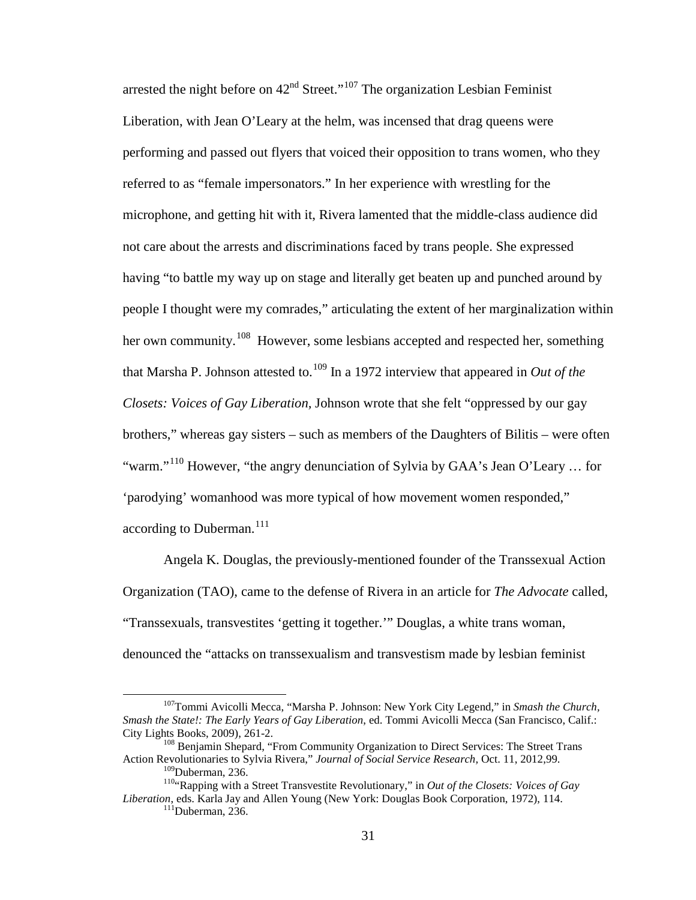arrested the night before on  $42<sup>nd</sup>$  Street."<sup>[107](#page-35-0)</sup> The organization Lesbian Feminist Liberation, with Jean O'Leary at the helm, was incensed that drag queens were performing and passed out flyers that voiced their opposition to trans women, who they referred to as "female impersonators." In her experience with wrestling for the microphone, and getting hit with it, Rivera lamented that the middle-class audience did not care about the arrests and discriminations faced by trans people. She expressed having "to battle my way up on stage and literally get beaten up and punched around by people I thought were my comrades," articulating the extent of her marginalization within her own community.<sup>[108](#page-35-1)</sup> However, some lesbians accepted and respected her, something that Marsha P. Johnson attested to.<sup>[109](#page-35-2)</sup> In a 1972 interview that appeared in *Out of the Closets: Voices of Gay Liberation,* Johnson wrote that she felt "oppressed by our gay brothers," whereas gay sisters – such as members of the Daughters of Bilitis – were often "warm."<sup>[110](#page-35-3)</sup> However, "the angry denunciation of Sylvia by GAA's Jean O'Leary ... for 'parodying' womanhood was more typical of how movement women responded," according to Duberman.<sup>[111](#page-35-4)</sup>

Angela K. Douglas, the previously-mentioned founder of the Transsexual Action Organization (TAO), came to the defense of Rivera in an article for *The Advocate* called, "Transsexuals, transvestites 'getting it together.'" Douglas, a white trans woman, denounced the "attacks on transsexualism and transvestism made by lesbian feminist

<span id="page-35-0"></span>107Tommi Avicolli Mecca, "Marsha P. Johnson: New York City Legend," in *Smash the Church, Smash the State!: The Early Years of Gay Liberation*, ed. Tommi Avicolli Mecca (San Francisco, Calif.: City Lights Books, 2009), 261-2.<br><sup>108</sup> Benjamin Shepard, "From Community Organization to Direct Services: The Street Trans

<span id="page-35-1"></span>Action Revolutionaries to Sylvia Rivera," *Journal of Social Service Research,* Oct. 11, 2012,99.

<sup>&</sup>lt;sup>110</sup>"Rapping with a Street Transvestite Revolutionary," in *Out of the Closets: Voices of Gay* 

<span id="page-35-4"></span><span id="page-35-3"></span><span id="page-35-2"></span>*Liberation*, eds. Karla Jay and Allen Young (New York: Douglas Book Corporation, 1972), 114. <sup>111</sup>Duberman, 236.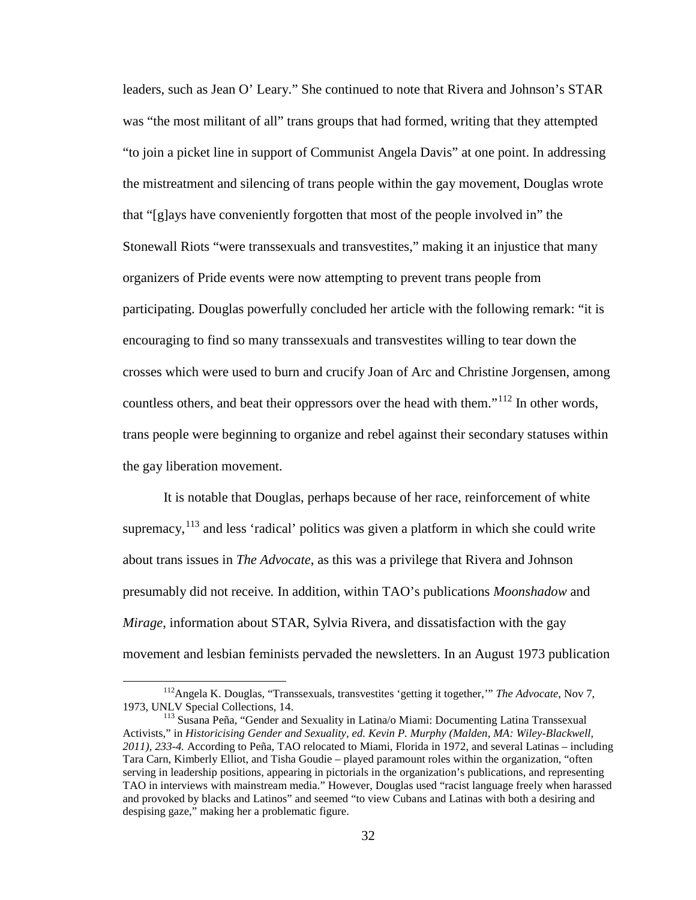leaders, such as Jean O' Leary." She continued to note that Rivera and Johnson's STAR was "the most militant of all" trans groups that had formed, writing that they attempted "to join a picket line in support of Communist Angela Davis" at one point. In addressing the mistreatment and silencing of trans people within the gay movement, Douglas wrote that "[g]ays have conveniently forgotten that most of the people involved in" the Stonewall Riots "were transsexuals and transvestites," making it an injustice that many organizers of Pride events were now attempting to prevent trans people from participating. Douglas powerfully concluded her article with the following remark: "it is encouraging to find so many transsexuals and transvestites willing to tear down the crosses which were used to burn and crucify Joan of Arc and Christine Jorgensen, among countless others, and beat their oppressors over the head with them."<sup>[112](#page-36-0)</sup> In other words, trans people were beginning to organize and rebel against their secondary statuses within the gay liberation movement.

It is notable that Douglas, perhaps because of her race, reinforcement of white supremacy, $113$  and less 'radical' politics was given a platform in which she could write about trans issues in *The Advocate*, as this was a privilege that Rivera and Johnson presumably did not receive*.* In addition, within TAO's publications *Moonshadow* and *Mirage*, information about STAR, Sylvia Rivera, and dissatisfaction with the gay movement and lesbian feminists pervaded the newsletters. In an August 1973 publication

<span id="page-36-0"></span>112Angela K. Douglas, "Transsexuals, transvestites 'getting it together,'" *The Advocate*, Nov 7,

<span id="page-36-1"></span><sup>&</sup>lt;sup>113</sup> Susana Peña, "Gender and Sexuality in Latina/o Miami: Documenting Latina Transsexual Activists," in *Historicising Gender and Sexuality, ed. Kevin P. Murphy (Malden, MA: Wiley-Blackwell, 2011), 233-4.* According to Peña, TAO relocated to Miami, Florida in 1972, and several Latinas – including Tara Carn, Kimberly Elliot, and Tisha Goudie – played paramount roles within the organization, "often serving in leadership positions, appearing in pictorials in the organization's publications, and representing TAO in interviews with mainstream media." However, Douglas used "racist language freely when harassed and provoked by blacks and Latinos" and seemed "to view Cubans and Latinas with both a desiring and despising gaze," making her a problematic figure.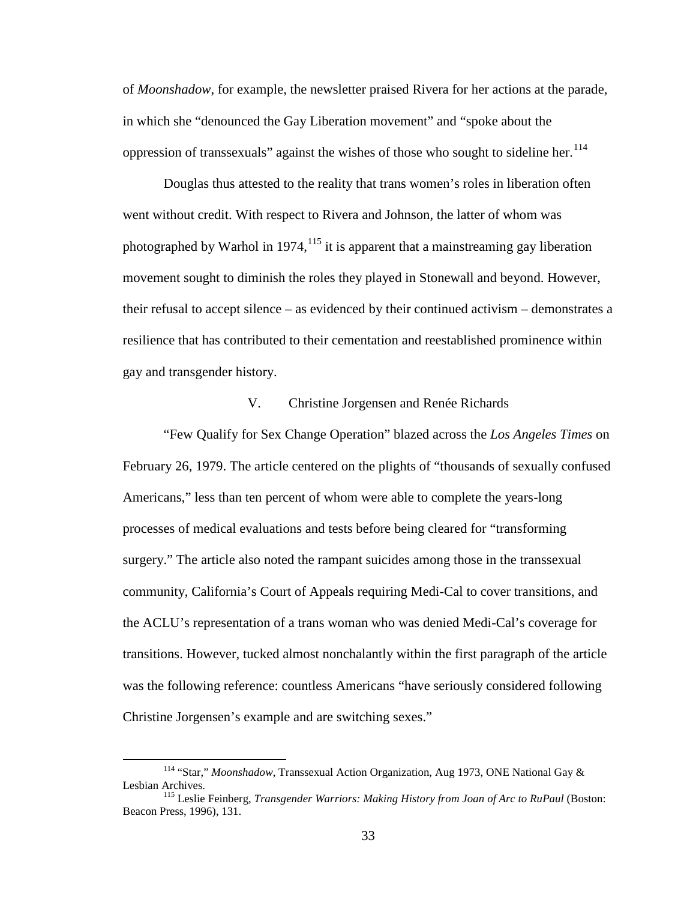of *Moonshadow*, for example, the newsletter praised Rivera for her actions at the parade, in which she "denounced the Gay Liberation movement" and "spoke about the oppression of transsexuals" against the wishes of those who sought to sideline her.<sup>[114](#page-37-0)</sup>

Douglas thus attested to the reality that trans women's roles in liberation often went without credit. With respect to Rivera and Johnson, the latter of whom was photographed by Warhol in 1974,  $115$  it is apparent that a mainstreaming gay liberation movement sought to diminish the roles they played in Stonewall and beyond. However, their refusal to accept silence – as evidenced by their continued activism – demonstrates a resilience that has contributed to their cementation and reestablished prominence within gay and transgender history.

#### V. Christine Jorgensen and Renée Richards

"Few Qualify for Sex Change Operation" blazed across the *Los Angeles Times* on February 26, 1979. The article centered on the plights of "thousands of sexually confused Americans," less than ten percent of whom were able to complete the years-long processes of medical evaluations and tests before being cleared for "transforming surgery." The article also noted the rampant suicides among those in the transsexual community, California's Court of Appeals requiring Medi-Cal to cover transitions, and the ACLU's representation of a trans woman who was denied Medi-Cal's coverage for transitions. However, tucked almost nonchalantly within the first paragraph of the article was the following reference: countless Americans "have seriously considered following Christine Jorgensen's example and are switching sexes."

<span id="page-37-0"></span><sup>&</sup>lt;sup>114</sup> "Star," Moonshadow, Transsexual Action Organization, Aug 1973, ONE National Gay & Lesbian Archives.

<span id="page-37-1"></span><sup>&</sup>lt;sup>115</sup> Leslie Feinberg, *Transgender Warriors: Making History from Joan of Arc to RuPaul* (Boston: Beacon Press, 1996), 131.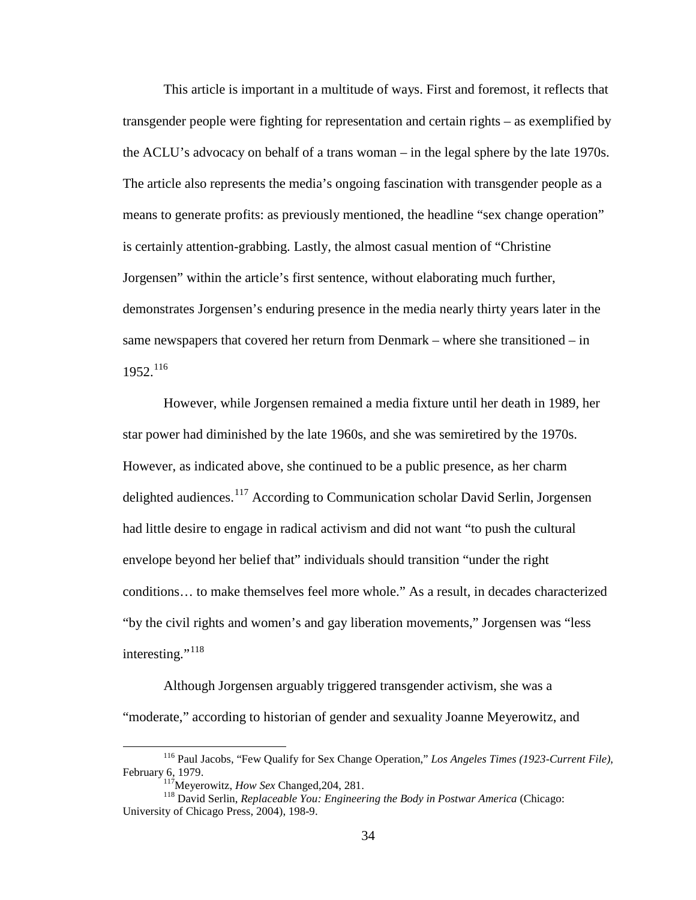This article is important in a multitude of ways. First and foremost, it reflects that transgender people were fighting for representation and certain rights – as exemplified by the ACLU's advocacy on behalf of a trans woman – in the legal sphere by the late 1970s. The article also represents the media's ongoing fascination with transgender people as a means to generate profits: as previously mentioned, the headline "sex change operation" is certainly attention-grabbing. Lastly, the almost casual mention of "Christine Jorgensen" within the article's first sentence, without elaborating much further, demonstrates Jorgensen's enduring presence in the media nearly thirty years later in the same newspapers that covered her return from Denmark – where she transitioned – in 1952.[116](#page-38-0)

However, while Jorgensen remained a media fixture until her death in 1989, her star power had diminished by the late 1960s, and she was semiretired by the 1970s. However, as indicated above, she continued to be a public presence, as her charm delighted audiences.<sup>[117](#page-38-1)</sup> According to Communication scholar David Serlin, Jorgensen had little desire to engage in radical activism and did not want "to push the cultural envelope beyond her belief that" individuals should transition "under the right conditions… to make themselves feel more whole." As a result, in decades characterized "by the civil rights and women's and gay liberation movements," Jorgensen was "less interesting." $^{118}$  $^{118}$  $^{118}$ 

Although Jorgensen arguably triggered transgender activism, she was a "moderate," according to historian of gender and sexuality Joanne Meyerowitz, and

<span id="page-38-0"></span><sup>116</sup> Paul Jacobs, "Few Qualify for Sex Change Operation," *Los Angeles Times (1923-Current File)*, February 6, 1979.<br><sup>117</sup>Meyerowitz, *How Sex Changed,204, 281. 118 David Serlin, <i>Replaceable You: Engineering the Body in Postwar America* (Chicago:

<span id="page-38-2"></span><span id="page-38-1"></span>University of Chicago Press, 2004), 198-9.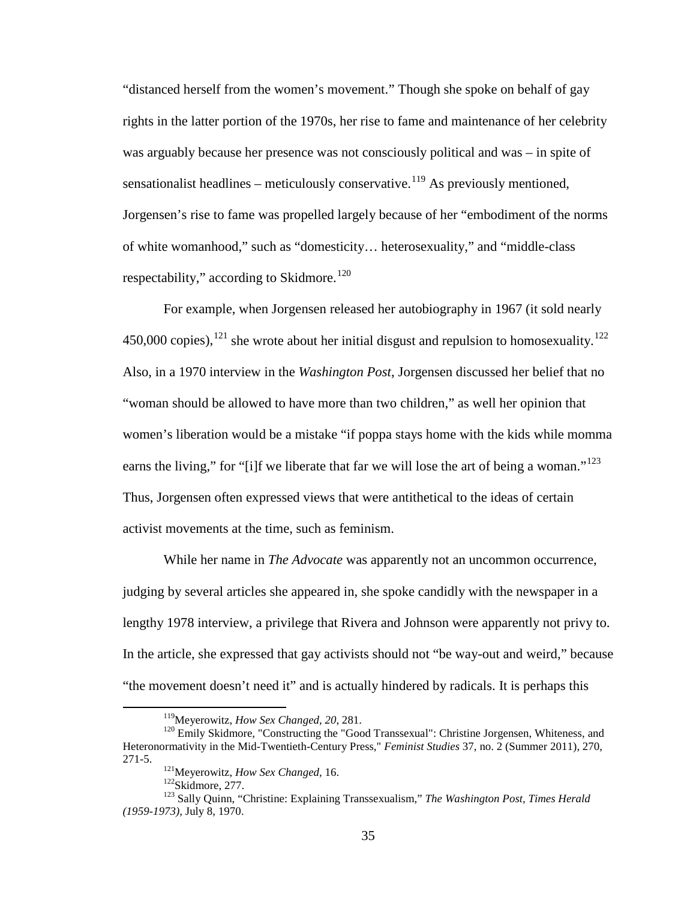"distanced herself from the women's movement." Though she spoke on behalf of gay rights in the latter portion of the 1970s, her rise to fame and maintenance of her celebrity was arguably because her presence was not consciously political and was – in spite of sensationalist headlines – meticulously conservative.<sup>[119](#page-39-0)</sup> As previously mentioned, Jorgensen's rise to fame was propelled largely because of her "embodiment of the norms of white womanhood," such as "domesticity… heterosexuality," and "middle-class respectability," according to Skidmore.<sup>[120](#page-39-1)</sup>

For example, when Jorgensen released her autobiography in 1967 (it sold nearly 450,000 copies),  $^{121}$  $^{121}$  $^{121}$  she wrote about her initial disgust and repulsion to homosexuality.<sup>[122](#page-39-3)</sup> Also, in a 1970 interview in the *Washington Post*, Jorgensen discussed her belief that no "woman should be allowed to have more than two children," as well her opinion that women's liberation would be a mistake "if poppa stays home with the kids while momma earns the living," for "[i]f we liberate that far we will lose the art of being a woman."<sup>[123](#page-39-4)</sup> Thus, Jorgensen often expressed views that were antithetical to the ideas of certain activist movements at the time, such as feminism.

While her name in *The Advocate* was apparently not an uncommon occurrence, judging by several articles she appeared in, she spoke candidly with the newspaper in a lengthy 1978 interview, a privilege that Rivera and Johnson were apparently not privy to. In the article, she expressed that gay activists should not "be way-out and weird," because "the movement doesn't need it" and is actually hindered by radicals. It is perhaps this

<span id="page-39-1"></span><span id="page-39-0"></span><sup>&</sup>lt;sup>119</sup>Meyerowitz, *How Sex Changed*, 20, 281.<br><sup>120</sup> Emily Skidmore, "Constructing the "Good Transsexual": Christine Jorgensen, Whiteness, and Heteronormativity in the Mid-Twentieth-Century Press," *Feminist Studies* 37, no. 2 (Summer 2011), 270, 271-5.<br><sup>121</sup>Meyerowitz, *How Sex Changed*, 16.<br><sup>122</sup>Skidmore, 277.<br><sup>123</sup> Sally Quinn, "Christine: Explaining Transsexualism," *The Washington Post, Times Herald* 

<span id="page-39-4"></span><span id="page-39-3"></span><span id="page-39-2"></span>*<sup>(1959-1973),</sup>* July 8, 1970.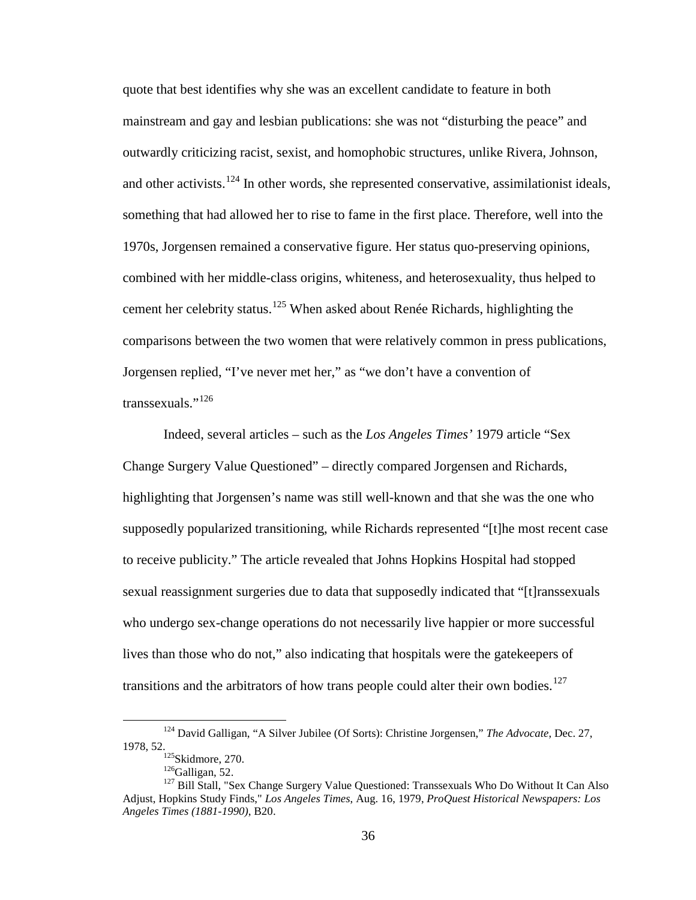quote that best identifies why she was an excellent candidate to feature in both mainstream and gay and lesbian publications: she was not "disturbing the peace" and outwardly criticizing racist, sexist, and homophobic structures, unlike Rivera, Johnson, and other activists.<sup>[124](#page-40-0)</sup> In other words, she represented conservative, assimilationist ideals, something that had allowed her to rise to fame in the first place. Therefore, well into the 1970s, Jorgensen remained a conservative figure. Her status quo-preserving opinions, combined with her middle-class origins, whiteness, and heterosexuality, thus helped to cement her celebrity status.<sup>[125](#page-40-1)</sup> When asked about Renée Richards, highlighting the comparisons between the two women that were relatively common in press publications, Jorgensen replied, "I've never met her," as "we don't have a convention of transsexuals."<sup>[126](#page-40-2)</sup>

Indeed, several articles – such as the *Los Angeles Times'* 1979 article "Sex Change Surgery Value Questioned" – directly compared Jorgensen and Richards, highlighting that Jorgensen's name was still well-known and that she was the one who supposedly popularized transitioning, while Richards represented "[t]he most recent case to receive publicity." The article revealed that Johns Hopkins Hospital had stopped sexual reassignment surgeries due to data that supposedly indicated that "[t]ranssexuals who undergo sex-change operations do not necessarily live happier or more successful lives than those who do not," also indicating that hospitals were the gatekeepers of transitions and the arbitrators of how trans people could alter their own bodies.<sup>[127](#page-40-3)</sup>

<span id="page-40-0"></span><sup>&</sup>lt;sup>124</sup> David Galligan, "A Silver Jubilee (Of Sorts): Christine Jorgensen," *The Advocate*, Dec. 27, <sup>125</sup> Skidmore, 270.

<span id="page-40-3"></span><span id="page-40-2"></span><span id="page-40-1"></span><sup>&</sup>lt;sup>126</sup>Galligan, 52.<br><sup>127</sup> Bill Stall, "Sex Change Surgery Value Questioned: Transsexuals Who Do Without It Can Also Adjust, Hopkins Study Finds," *Los Angeles Times*, Aug. 16, 1979, *ProQuest Historical Newspapers: Los Angeles Times (1881-1990)*, B20.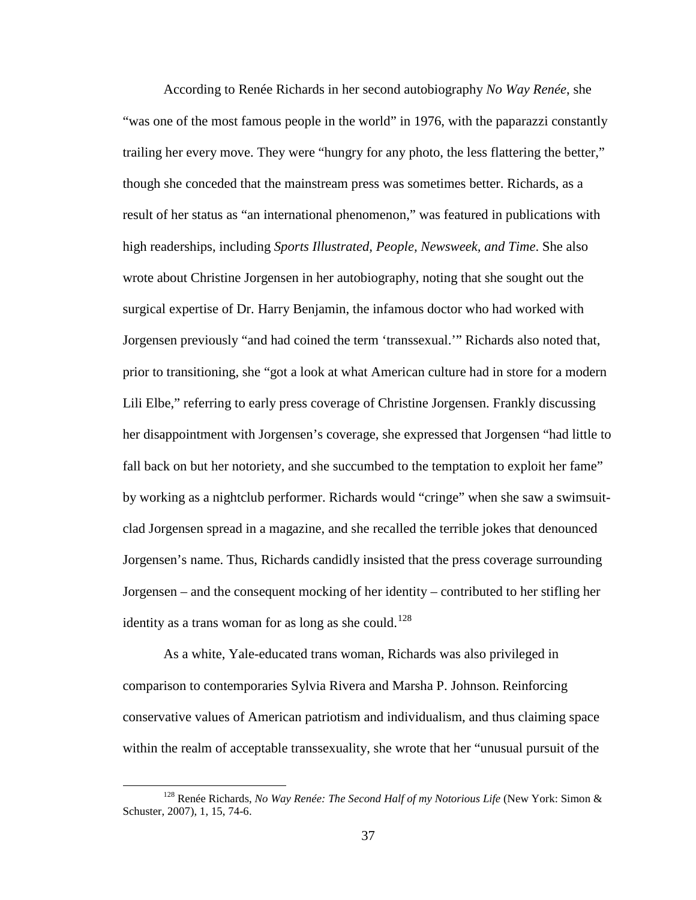According to Renée Richards in her second autobiography *No Way Renée*, she "was one of the most famous people in the world" in 1976, with the paparazzi constantly trailing her every move. They were "hungry for any photo, the less flattering the better," though she conceded that the mainstream press was sometimes better. Richards, as a result of her status as "an international phenomenon," was featured in publications with high readerships, including *Sports Illustrated, People, Newsweek, and Time*. She also wrote about Christine Jorgensen in her autobiography, noting that she sought out the surgical expertise of Dr. Harry Benjamin, the infamous doctor who had worked with Jorgensen previously "and had coined the term 'transsexual.'" Richards also noted that, prior to transitioning, she "got a look at what American culture had in store for a modern Lili Elbe," referring to early press coverage of Christine Jorgensen. Frankly discussing her disappointment with Jorgensen's coverage, she expressed that Jorgensen "had little to fall back on but her notoriety, and she succumbed to the temptation to exploit her fame" by working as a nightclub performer. Richards would "cringe" when she saw a swimsuitclad Jorgensen spread in a magazine, and she recalled the terrible jokes that denounced Jorgensen's name. Thus, Richards candidly insisted that the press coverage surrounding Jorgensen – and the consequent mocking of her identity – contributed to her stifling her identity as a trans woman for as long as she could.<sup>[128](#page-41-0)</sup>

As a white, Yale-educated trans woman, Richards was also privileged in comparison to contemporaries Sylvia Rivera and Marsha P. Johnson. Reinforcing conservative values of American patriotism and individualism, and thus claiming space within the realm of acceptable transsexuality, she wrote that her "unusual pursuit of the

<span id="page-41-0"></span><sup>128</sup> Renée Richards, *No Way Renée: The Second Half of my Notorious Life* (New York: Simon & Schuster, 2007), 1, 15, 74-6.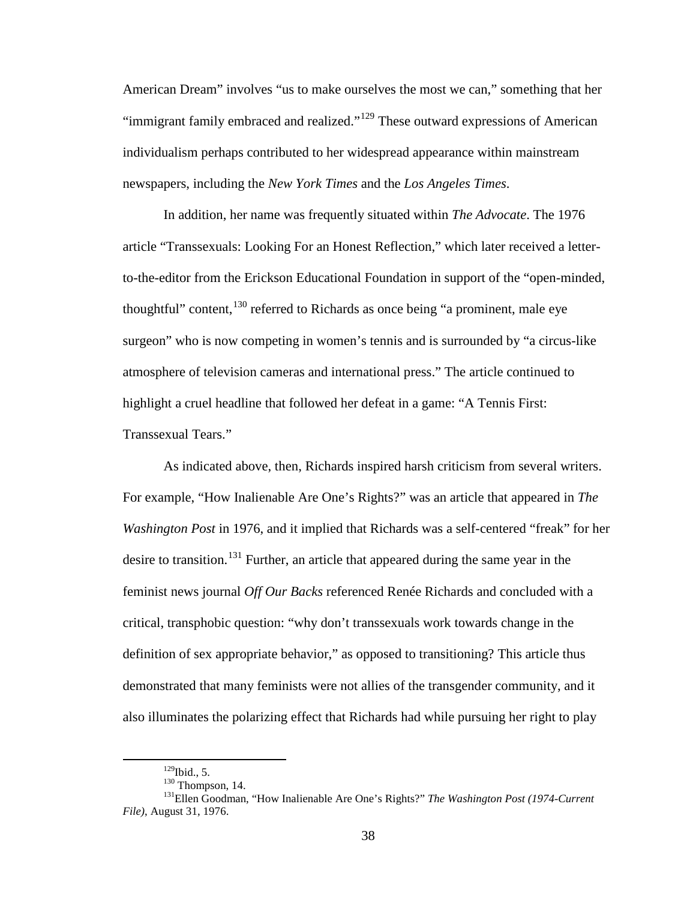American Dream" involves "us to make ourselves the most we can," something that her "immigrant family embraced and realized."<sup>[129](#page-42-0)</sup> These outward expressions of American individualism perhaps contributed to her widespread appearance within mainstream newspapers, including the *New York Times* and the *Los Angeles Times*.

In addition, her name was frequently situated within *The Advocate*. The 1976 article "Transsexuals: Looking For an Honest Reflection," which later received a letterto-the-editor from the Erickson Educational Foundation in support of the "open-minded, thoughtful" content,  $130$  referred to Richards as once being "a prominent, male eye surgeon" who is now competing in women's tennis and is surrounded by "a circus-like atmosphere of television cameras and international press." The article continued to highlight a cruel headline that followed her defeat in a game: "A Tennis First: Transsexual Tears."

As indicated above, then, Richards inspired harsh criticism from several writers. For example, "How Inalienable Are One's Rights?" was an article that appeared in *The Washington Post* in 1976, and it implied that Richards was a self-centered "freak" for her desire to transition.<sup>[131](#page-42-2)</sup> Further, an article that appeared during the same year in the feminist news journal *Off Our Backs* referenced Renée Richards and concluded with a critical, transphobic question: "why don't transsexuals work towards change in the definition of sex appropriate behavior," as opposed to transitioning? This article thus demonstrated that many feminists were not allies of the transgender community, and it also illuminates the polarizing effect that Richards had while pursuing her right to play

<span id="page-42-2"></span><span id="page-42-1"></span><span id="page-42-0"></span><sup>&</sup>lt;sup>129</sup>Ibid., 5.<br><sup>130</sup> Thompson, 14.<br><sup>131</sup>Ellen Goodman, "How Inalienable Are One's Rights?" *The Washington Post (1974-Current File)*, August 31, 1976.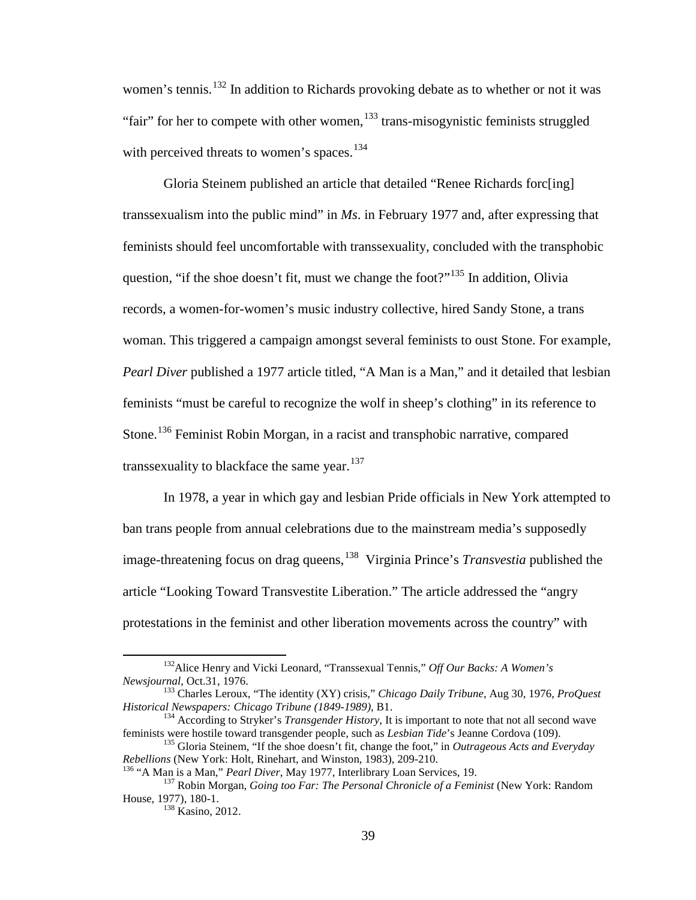women's tennis.<sup>[132](#page-43-0)</sup> In addition to Richards provoking debate as to whether or not it was "fair" for her to compete with other women, <sup>[133](#page-43-1)</sup> trans-misogynistic feminists struggled with perceived threats to women's spaces.  $134$ 

Gloria Steinem published an article that detailed "Renee Richards forc[ing] transsexualism into the public mind" in *Ms*. in February 1977 and, after expressing that feminists should feel uncomfortable with transsexuality, concluded with the transphobic question, "if the shoe doesn't fit, must we change the foot?"[135](#page-43-3) In addition, Olivia records, a women-for-women's music industry collective, hired Sandy Stone, a trans woman. This triggered a campaign amongst several feminists to oust Stone. For example, *Pearl Diver* published a 1977 article titled, "A Man is a Man," and it detailed that lesbian feminists "must be careful to recognize the wolf in sheep's clothing" in its reference to Stone.<sup>[136](#page-43-4)</sup> Feminist Robin Morgan, in a racist and transphobic narrative, compared transsexuality to blackface the same year.<sup>[137](#page-43-5)</sup>

In 1978, a year in which gay and lesbian Pride officials in New York attempted to ban trans people from annual celebrations due to the mainstream media's supposedly image-threatening focus on drag queens,<sup>138</sup> Virginia Prince's *Transvestia* published the article "Looking Toward Transvestite Liberation." The article addressed the "angry protestations in the feminist and other liberation movements across the country" with

<span id="page-43-0"></span><sup>&</sup>lt;sup>132</sup>Alice Henry and Vicki Leonard, "Transsexual Tennis," *Off Our Backs: A Women's Newsjournal*, Oct.31, 1976.

<span id="page-43-1"></span><sup>&</sup>lt;sup>133</sup> Charles Leroux, "The identity (XY) crisis," *Chicago Daily Tribune*, Aug 30, 1976, *ProQuest Historical Newspapers: Chicago Tribune* (1849-1989), B1.

<span id="page-43-2"></span><sup>&</sup>lt;sup>134</sup> According to Stryker's *Transgender History*, It is important to note that not all second wave feminists were hostile toward transgender people, such as *Lesbian Tide's* Jeanne Cordova (109).

<span id="page-43-3"></span><sup>&</sup>lt;sup>135</sup> Gloria Steinem, "If the shoe doesn't fit, change the foot," in *Outrageous Acts and Everyday Rebellions* (New York: Holt, Rinehart, and Winston, 1983), 209-210.

<span id="page-43-6"></span><span id="page-43-5"></span><span id="page-43-4"></span><sup>&</sup>lt;sup>136</sup> "A Man is a Man," *Pearl Diver*, May 1977, Interlibrary Loan Services, 19.<br><sup>137</sup> Robin Morgan, *Going too Far: The Personal Chronicle of a Feminist* (New York: Random House, 1977), 180-1.<br><sup>138</sup> Kasino, 2012.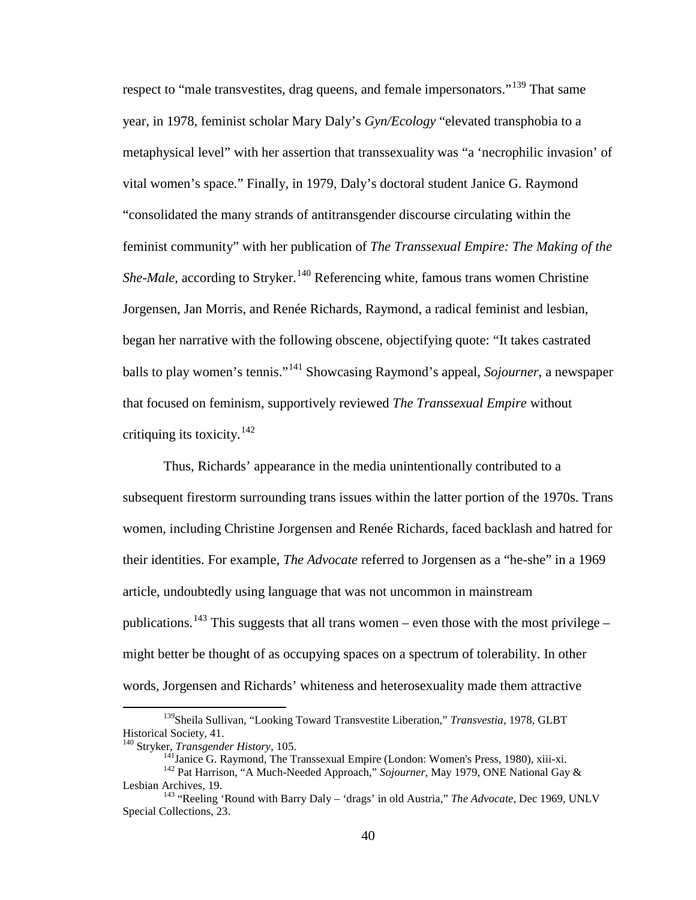respect to "male transvestites, drag queens, and female impersonators."<sup>[139](#page-44-0)</sup> That same year, in 1978, feminist scholar Mary Daly's *Gyn/Ecology* "elevated transphobia to a metaphysical level" with her assertion that transsexuality was "a 'necrophilic invasion' of vital women's space." Finally, in 1979, Daly's doctoral student Janice G. Raymond "consolidated the many strands of antitransgender discourse circulating within the feminist community" with her publication of *The Transsexual Empire: The Making of the She-Male*, according to Stryker.<sup>[140](#page-44-1)</sup> Referencing white, famous trans women Christine Jorgensen, Jan Morris, and Renée Richards, Raymond, a radical feminist and lesbian, began her narrative with the following obscene, objectifying quote: "It takes castrated balls to play women's tennis."[141](#page-44-2) Showcasing Raymond's appeal, *Sojourner*, a newspaper that focused on feminism, supportively reviewed *The Transsexual Empire* without critiquing its toxicity.<sup>[142](#page-44-3)</sup>

Thus, Richards' appearance in the media unintentionally contributed to a subsequent firestorm surrounding trans issues within the latter portion of the 1970s. Trans women, including Christine Jorgensen and Renée Richards, faced backlash and hatred for their identities. For example, *The Advocate* referred to Jorgensen as a "he-she" in a 1969 article, undoubtedly using language that was not uncommon in mainstream publications.<sup>[143](#page-44-4)</sup> This suggests that all trans women – even those with the most privilege – might better be thought of as occupying spaces on a spectrum of tolerability. In other words, Jorgensen and Richards' whiteness and heterosexuality made them attractive

<span id="page-44-0"></span>139Sheila Sullivan, "Looking Toward Transvestite Liberation," *Transvestia*, 1978, GLBT Historical Society, 41.<br><sup>140</sup> Stryker, *Transgender History*, 105.

<span id="page-44-3"></span><span id="page-44-2"></span><span id="page-44-1"></span><sup>&</sup>lt;sup>141</sup> Janice G. Raymond, The Transsexual Empire (London: Women's Press, 1980), xiii-xi.<br><sup>142</sup> Pat Harrison, "A Much-Needed Approach," *Sojourner*, May 1979, ONE National Gay &<br>Lesbian Archives, 19.

<span id="page-44-4"></span><sup>143 &</sup>quot;Reeling 'Round with Barry Daly – 'drags' in old Austria," *The Advocate*, Dec 1969, UNLV Special Collections, 23.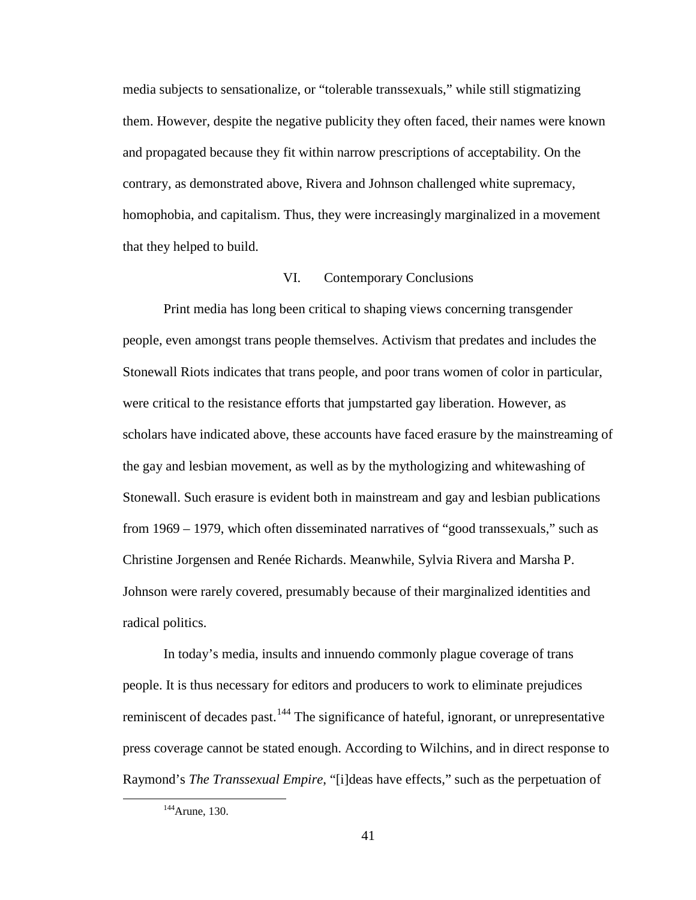media subjects to sensationalize, or "tolerable transsexuals," while still stigmatizing them. However, despite the negative publicity they often faced, their names were known and propagated because they fit within narrow prescriptions of acceptability. On the contrary, as demonstrated above, Rivera and Johnson challenged white supremacy, homophobia, and capitalism. Thus, they were increasingly marginalized in a movement that they helped to build.

#### VI. Contemporary Conclusions

Print media has long been critical to shaping views concerning transgender people, even amongst trans people themselves. Activism that predates and includes the Stonewall Riots indicates that trans people, and poor trans women of color in particular, were critical to the resistance efforts that jumpstarted gay liberation. However, as scholars have indicated above, these accounts have faced erasure by the mainstreaming of the gay and lesbian movement, as well as by the mythologizing and whitewashing of Stonewall. Such erasure is evident both in mainstream and gay and lesbian publications from 1969 – 1979, which often disseminated narratives of "good transsexuals," such as Christine Jorgensen and Renée Richards. Meanwhile, Sylvia Rivera and Marsha P. Johnson were rarely covered, presumably because of their marginalized identities and radical politics.

In today's media, insults and innuendo commonly plague coverage of trans people. It is thus necessary for editors and producers to work to eliminate prejudices reminiscent of decades past.<sup>[144](#page-45-0)</sup> The significance of hateful, ignorant, or unrepresentative press coverage cannot be stated enough. According to Wilchins, and in direct response to Raymond's *The Transsexual Empire*, "[i]deas have effects," such as the perpetuation of

<span id="page-45-0"></span>144Arune, 130.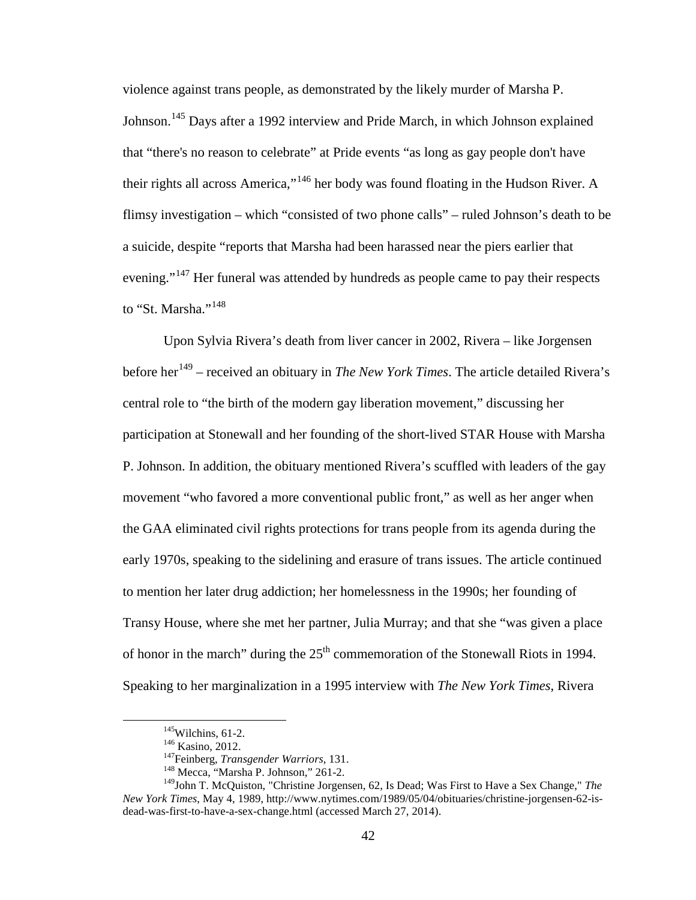violence against trans people, as demonstrated by the likely murder of Marsha P. Johnson.<sup>[145](#page-46-0)</sup> Days after a 1992 interview and Pride March, in which Johnson explained that "there's no reason to celebrate" at Pride events "as long as gay people don't have their rights all across America,"[146](#page-46-1) her body was found floating in the Hudson River. A flimsy investigation – which "consisted of two phone calls" – ruled Johnson's death to be a suicide, despite "reports that Marsha had been harassed near the piers earlier that evening."<sup>[147](#page-46-2)</sup> Her funeral was attended by hundreds as people came to pay their respects to "St. Marsha."<sup>[148](#page-46-3)</sup>

Upon Sylvia Rivera's death from liver cancer in 2002, Rivera – like Jorgensen before her<sup>[149](#page-46-4)</sup> – received an obituary in *The New York Times*. The article detailed Rivera's central role to "the birth of the modern gay liberation movement," discussing her participation at Stonewall and her founding of the short-lived STAR House with Marsha P. Johnson. In addition, the obituary mentioned Rivera's scuffled with leaders of the gay movement "who favored a more conventional public front," as well as her anger when the GAA eliminated civil rights protections for trans people from its agenda during the early 1970s, speaking to the sidelining and erasure of trans issues. The article continued to mention her later drug addiction; her homelessness in the 1990s; her founding of Transy House, where she met her partner, Julia Murray; and that she "was given a place of honor in the march" during the  $25<sup>th</sup>$  commemoration of the Stonewall Riots in 1994. Speaking to her marginalization in a 1995 interview with *The New York Times,* Rivera

<sup>&</sup>lt;sup>145</sup>Wilchins, 61-2.<br><sup>146</sup> Kasino, 2012.<br><sup>147</sup>Feinberg, *Transgender Warriors*, 131.<br><sup>148</sup> Mecca, "Marsha P. Johnson," 261-2.

<span id="page-46-4"></span><span id="page-46-3"></span><span id="page-46-2"></span><span id="page-46-1"></span><span id="page-46-0"></span><sup>149</sup>John T. McQuiston, "Christine Jorgensen, 62, Is Dead; Was First to Have a Sex Change," *The New York Times*, May 4, 1989, http://www.nytimes.com/1989/05/04/obituaries/christine-jorgensen-62-isdead-was-first-to-have-a-sex-change.html (accessed March 27, 2014).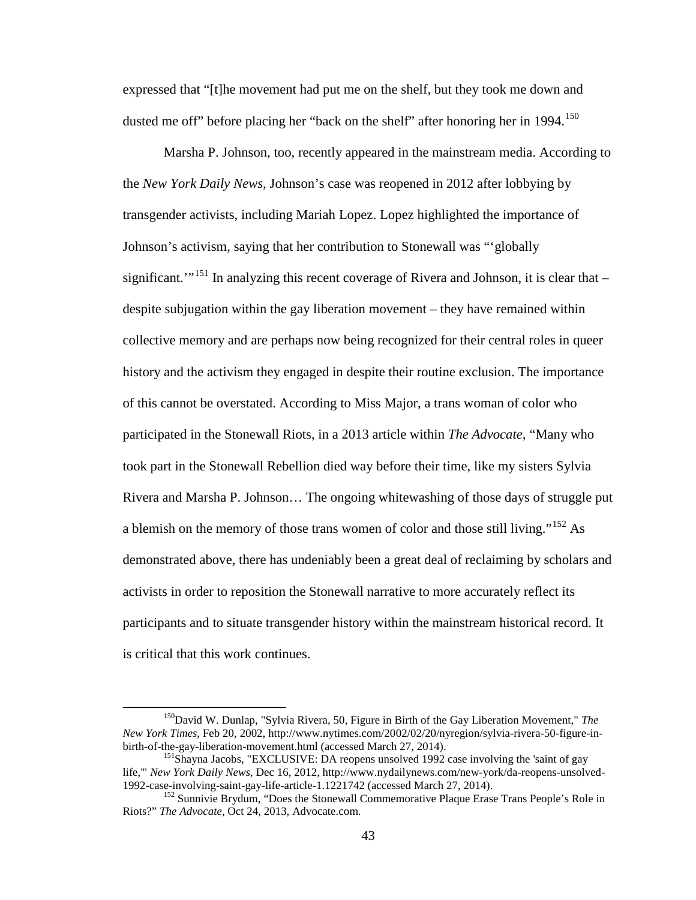expressed that "[t]he movement had put me on the shelf, but they took me down and dusted me off" before placing her "back on the shelf" after honoring her in 1994.<sup>[150](#page-47-0)</sup>

Marsha P. Johnson, too, recently appeared in the mainstream media. According to the *New York Daily News*, Johnson's case was reopened in 2012 after lobbying by transgender activists, including Mariah Lopez. Lopez highlighted the importance of Johnson's activism, saying that her contribution to Stonewall was "'globally significant.<sup>""<sup>[151](#page-47-1)</sup> In analyzing this recent coverage of Rivera and Johnson, it is clear that –</sup> despite subjugation within the gay liberation movement – they have remained within collective memory and are perhaps now being recognized for their central roles in queer history and the activism they engaged in despite their routine exclusion. The importance of this cannot be overstated. According to Miss Major, a trans woman of color who participated in the Stonewall Riots, in a 2013 article within *The Advocate*, "Many who took part in the Stonewall Rebellion died way before their time, like my sisters Sylvia Rivera and Marsha P. Johnson… The ongoing whitewashing of those days of struggle put a blemish on the memory of those trans women of color and those still living."[152](#page-47-2) As demonstrated above, there has undeniably been a great deal of reclaiming by scholars and activists in order to reposition the Stonewall narrative to more accurately reflect its participants and to situate transgender history within the mainstream historical record. It is critical that this work continues.

<span id="page-47-0"></span>150David W. Dunlap, "Sylvia Rivera, 50, Figure in Birth of the Gay Liberation Movement," *The New York Times*, Feb 20, 2002, http://www.nytimes.com/2002/02/20/nyregion/sylvia-rivera-50-figure-inbirth-of-the-gay-liberation-movement.html (accessed March 27, 2014).<br><sup>151</sup>Shayna Jacobs, "EXCLUSIVE: DA reopens unsolved 1992 case involving the 'saint of gay

<span id="page-47-1"></span>life," *New York Daily News*, Dec 16, 2012, http://www.nydailynews.com/new-york/da-reopens-unsolved-<br>1992-case-involving-saint-gay-life-article-1.1221742 (accessed March 27, 2014).

<span id="page-47-2"></span><sup>&</sup>lt;sup>152</sup> Sunnivie Brydum, "Does the Stonewall Commemorative Plaque Erase Trans People's Role in Riots?" *The Advocate*, Oct 24, 2013, Advocate.com.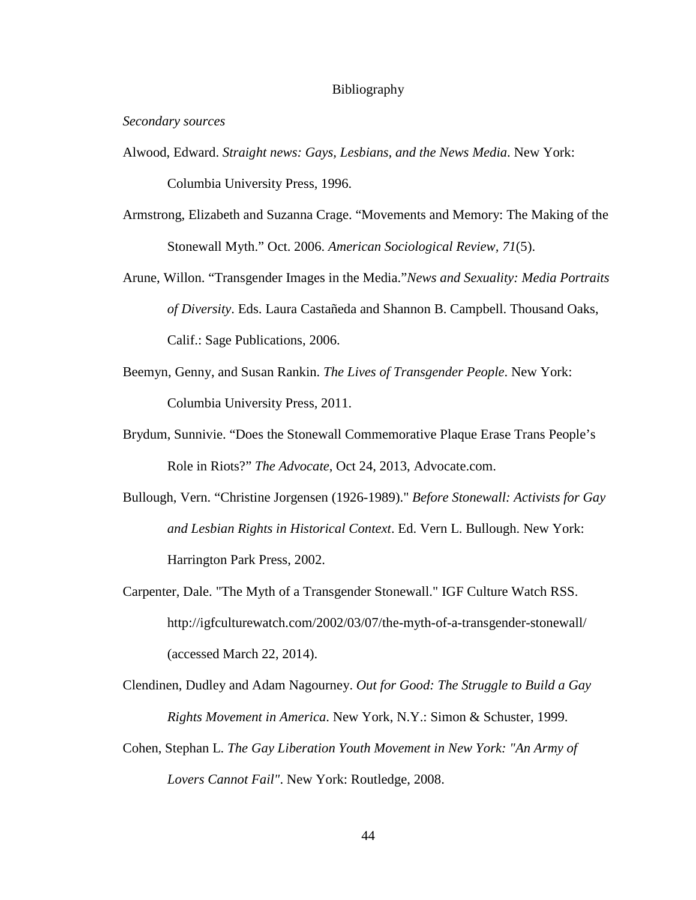#### Bibliography

*Secondary sources*

- Alwood, Edward. *Straight news: Gays, Lesbians, and the News Media*. New York: Columbia University Press, 1996.
- Armstrong, Elizabeth and Suzanna Crage. "Movements and Memory: The Making of the Stonewall Myth." Oct. 2006. *American Sociological Review, 71*(5).
- Arune, Willon. "Transgender Images in the Media."*News and Sexuality: Media Portraits of Diversity*. Eds. Laura Castañeda and Shannon B. Campbell. Thousand Oaks, Calif.: Sage Publications, 2006.
- Beemyn, Genny, and Susan Rankin. *The Lives of Transgender People*. New York: Columbia University Press, 2011.
- Brydum, Sunnivie. "Does the Stonewall Commemorative Plaque Erase Trans People's Role in Riots?" *The Advocate*, Oct 24, 2013, Advocate.com.
- Bullough, Vern. "Christine Jorgensen (1926-1989)." *Before Stonewall: Activists for Gay and Lesbian Rights in Historical Context*. Ed. Vern L. Bullough. New York: Harrington Park Press, 2002.
- Carpenter, Dale. "The Myth of a Transgender Stonewall." IGF Culture Watch RSS. http://igfculturewatch.com/2002/03/07/the-myth-of-a-transgender-stonewall/ (accessed March 22, 2014).
- Clendinen, Dudley and Adam Nagourney. *Out for Good: The Struggle to Build a Gay Rights Movement in America*. New York, N.Y.: Simon & Schuster, 1999.
- Cohen, Stephan L. *The Gay Liberation Youth Movement in New York: "An Army of Lovers Cannot Fail"*. New York: Routledge, 2008.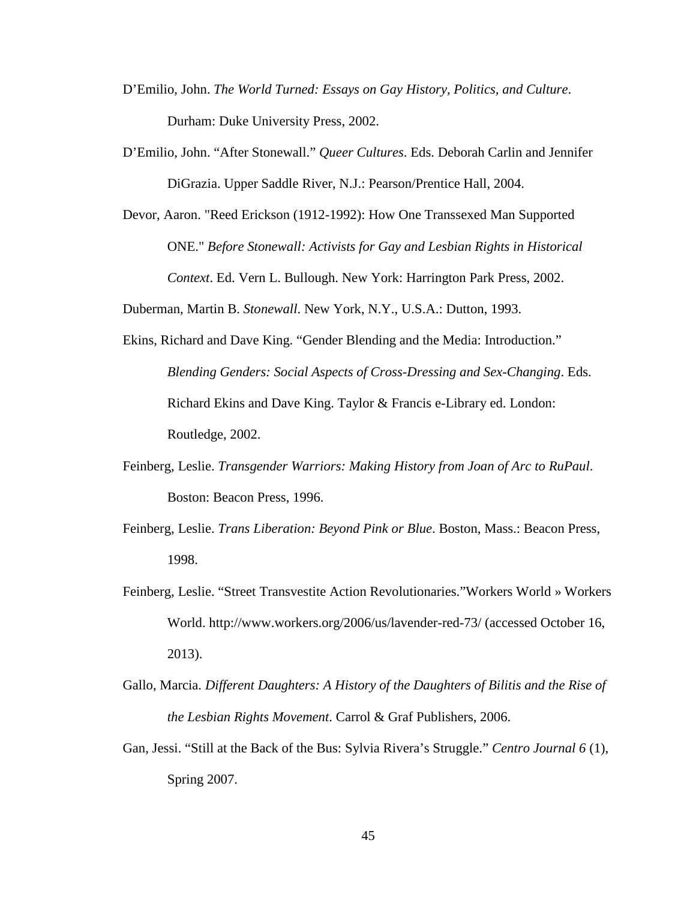- D'Emilio, John. *The World Turned: Essays on Gay History, Politics, and Culture*. Durham: Duke University Press, 2002.
- D'Emilio, John. "After Stonewall." *Queer Cultures*. Eds. Deborah Carlin and Jennifer DiGrazia. Upper Saddle River, N.J.: Pearson/Prentice Hall, 2004.
- Devor, Aaron. "Reed Erickson (1912-1992): How One Transsexed Man Supported ONE." *Before Stonewall: Activists for Gay and Lesbian Rights in Historical Context*. Ed. Vern L. Bullough. New York: Harrington Park Press, 2002.

Duberman, Martin B. *Stonewall*. New York, N.Y., U.S.A.: Dutton, 1993.

- Ekins, Richard and Dave King. "Gender Blending and the Media: Introduction." *Blending Genders: Social Aspects of Cross-Dressing and Sex-Changing*. Eds. Richard Ekins and Dave King. Taylor & Francis e-Library ed. London: Routledge, 2002.
- Feinberg, Leslie. *Transgender Warriors: Making History from Joan of Arc to RuPaul*. Boston: Beacon Press, 1996.
- Feinberg, Leslie. *Trans Liberation: Beyond Pink or Blue*. Boston, Mass.: Beacon Press, 1998.
- Feinberg, Leslie. "Street Transvestite Action Revolutionaries."Workers World » Workers World. http://www.workers.org/2006/us/lavender-red-73/ (accessed October 16, 2013).
- Gallo, Marcia. *Different Daughters: A History of the Daughters of Bilitis and the Rise of the Lesbian Rights Movement*. Carrol & Graf Publishers, 2006.
- Gan, Jessi. "Still at the Back of the Bus: Sylvia Rivera's Struggle." *Centro Journal 6* (1), Spring 2007.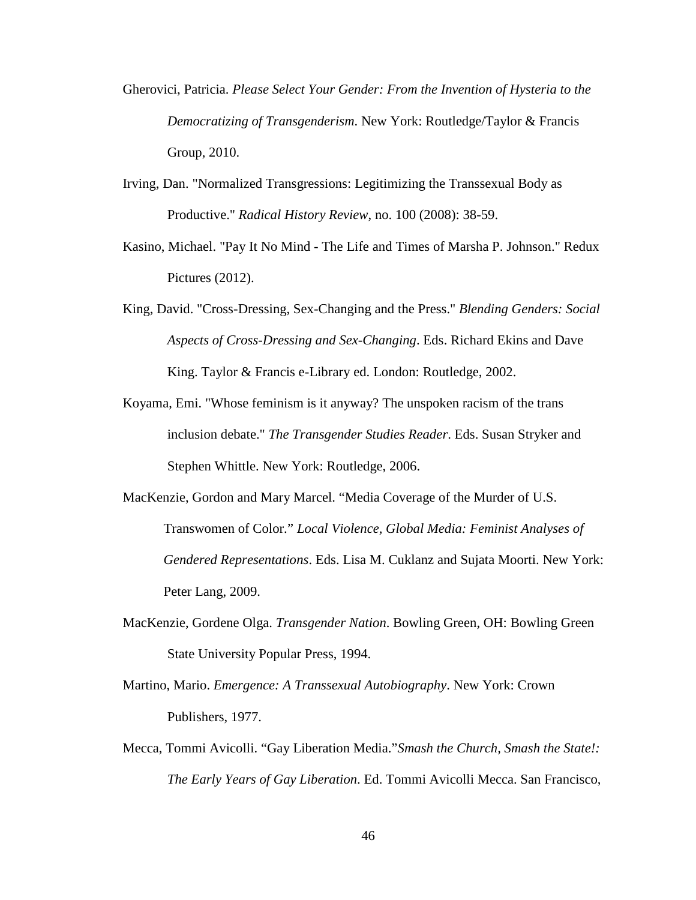- Gherovici, Patricia. *Please Select Your Gender: From the Invention of Hysteria to the Democratizing of Transgenderism*. New York: Routledge/Taylor & Francis Group, 2010.
- Irving, Dan. "Normalized Transgressions: Legitimizing the Transsexual Body as Productive." *Radical History Review*, no. 100 (2008): 38-59.
- Kasino, Michael. "Pay It No Mind The Life and Times of Marsha P. Johnson." Redux Pictures (2012).
- King, David. "Cross-Dressing, Sex-Changing and the Press." *Blending Genders: Social Aspects of Cross-Dressing and Sex-Changing*. Eds. Richard Ekins and Dave King. Taylor & Francis e-Library ed. London: Routledge, 2002.
- Koyama, Emi. "Whose feminism is it anyway? The unspoken racism of the trans inclusion debate." *The Transgender Studies Reader*. Eds. Susan Stryker and Stephen Whittle. New York: Routledge, 2006.
- MacKenzie, Gordon and Mary Marcel. "Media Coverage of the Murder of U.S. Transwomen of Color." *Local Violence, Global Media: Feminist Analyses of Gendered Representations*. Eds. Lisa M. Cuklanz and Sujata Moorti. New York: Peter Lang, 2009.
- MacKenzie, Gordene Olga. *Transgender Nation*. Bowling Green, OH: Bowling Green State University Popular Press, 1994.
- Martino, Mario. *Emergence: A Transsexual Autobiography*. New York: Crown Publishers, 1977.
- Mecca, Tommi Avicolli. "Gay Liberation Media."*Smash the Church, Smash the State!: The Early Years of Gay Liberation*. Ed. Tommi Avicolli Mecca. San Francisco,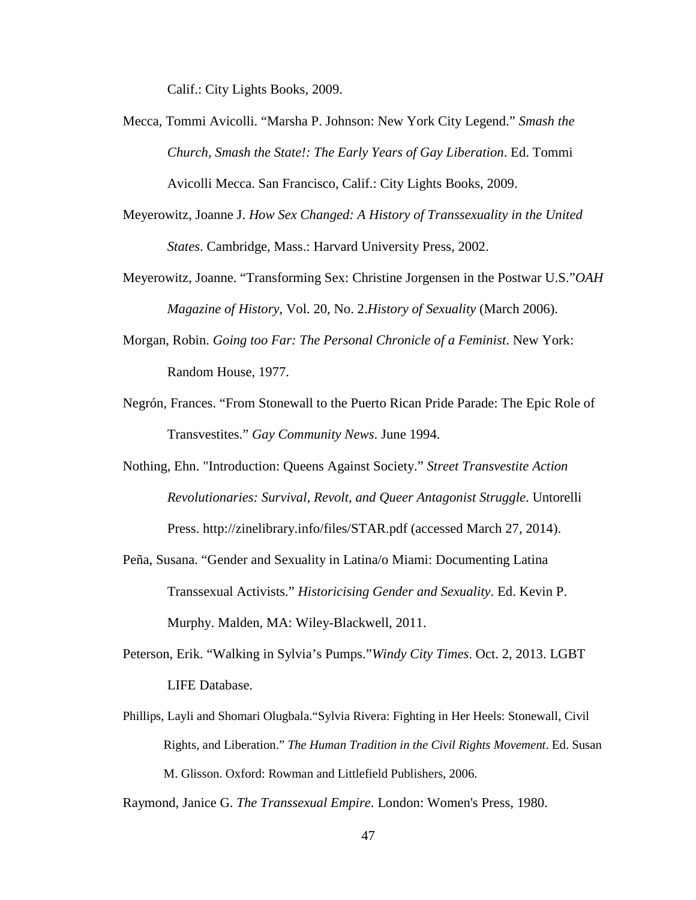Calif.: City Lights Books, 2009.

- Mecca, Tommi Avicolli. "Marsha P. Johnson: New York City Legend." *Smash the Church, Smash the State!: The Early Years of Gay Liberation*. Ed. Tommi Avicolli Mecca. San Francisco, Calif.: City Lights Books, 2009.
- Meyerowitz, Joanne J. *How Sex Changed: A History of Transsexuality in the United States*. Cambridge, Mass.: Harvard University Press, 2002.
- Meyerowitz, Joanne. "Transforming Sex: Christine Jorgensen in the Postwar U.S."*OAH Magazine of History,* Vol. 20, No. 2.*History of Sexuality* (March 2006).
- Morgan, Robin. *Going too Far: The Personal Chronicle of a Feminist*. New York: Random House, 1977.
- Negrón, Frances. "From Stonewall to the Puerto Rican Pride Parade: The Epic Role of Transvestites." *Gay Community News*. June 1994.
- Nothing, Ehn. "Introduction: Queens Against Society." *Street Transvestite Action Revolutionaries: Survival, Revolt, and Queer Antagonist Struggle*. Untorelli Press. http://zinelibrary.info/files/STAR.pdf (accessed March 27, 2014).
- Peña, Susana. "Gender and Sexuality in Latina/o Miami: Documenting Latina Transsexual Activists." *Historicising Gender and Sexuality*. Ed. Kevin P. Murphy. Malden, MA: Wiley-Blackwell, 2011.
- Peterson, Erik. "Walking in Sylvia's Pumps."*Windy City Times*. Oct. 2, 2013. LGBT LIFE Database.
- Phillips, Layli and Shomari Olugbala."Sylvia Rivera: Fighting in Her Heels: Stonewall, Civil Rights, and Liberation." *The Human Tradition in the Civil Rights Movement*. Ed. Susan M. Glisson. Oxford: Rowman and Littlefield Publishers, 2006.

Raymond, Janice G. *The Transsexual Empire*. London: Women's Press, 1980.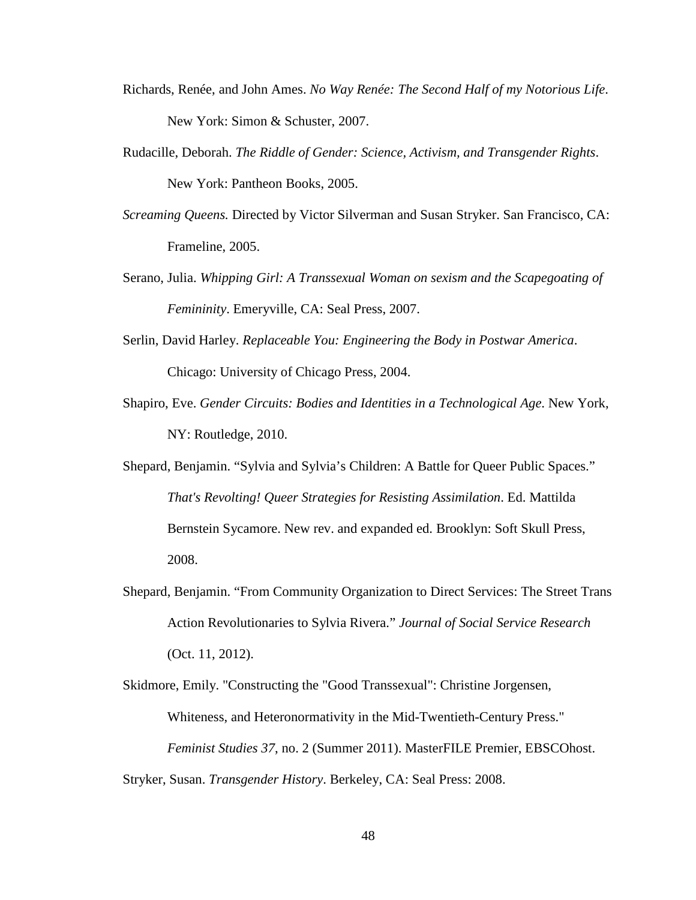- Richards, Renée, and John Ames. *No Way Renée: The Second Half of my Notorious Life*. New York: Simon & Schuster, 2007.
- Rudacille, Deborah. *The Riddle of Gender: Science, Activism, and Transgender Rights*. New York: Pantheon Books, 2005.
- *Screaming Queens.* Directed by Victor Silverman and Susan Stryker. San Francisco, CA: Frameline, 2005.
- Serano, Julia. *Whipping Girl: A Transsexual Woman on sexism and the Scapegoating of Femininity*. Emeryville, CA: Seal Press, 2007.
- Serlin, David Harley. *Replaceable You: Engineering the Body in Postwar America*. Chicago: University of Chicago Press, 2004.
- Shapiro, Eve. *Gender Circuits: Bodies and Identities in a Technological Age*. New York, NY: Routledge, 2010.
- Shepard, Benjamin. "Sylvia and Sylvia's Children: A Battle for Queer Public Spaces." *That's Revolting! Queer Strategies for Resisting Assimilation*. Ed. Mattilda Bernstein Sycamore. New rev. and expanded ed. Brooklyn: Soft Skull Press, 2008.
- Shepard, Benjamin. "From Community Organization to Direct Services: The Street Trans Action Revolutionaries to Sylvia Rivera." *Journal of Social Service Research* (Oct. 11, 2012).
- Skidmore, Emily. "Constructing the "Good Transsexual": Christine Jorgensen, Whiteness, and Heteronormativity in the Mid-Twentieth-Century Press." *Feminist Studies 37*, no. 2 (Summer 2011). MasterFILE Premier, EBSCOhost. Stryker, Susan. *Transgender History*. Berkeley, CA: Seal Press: 2008.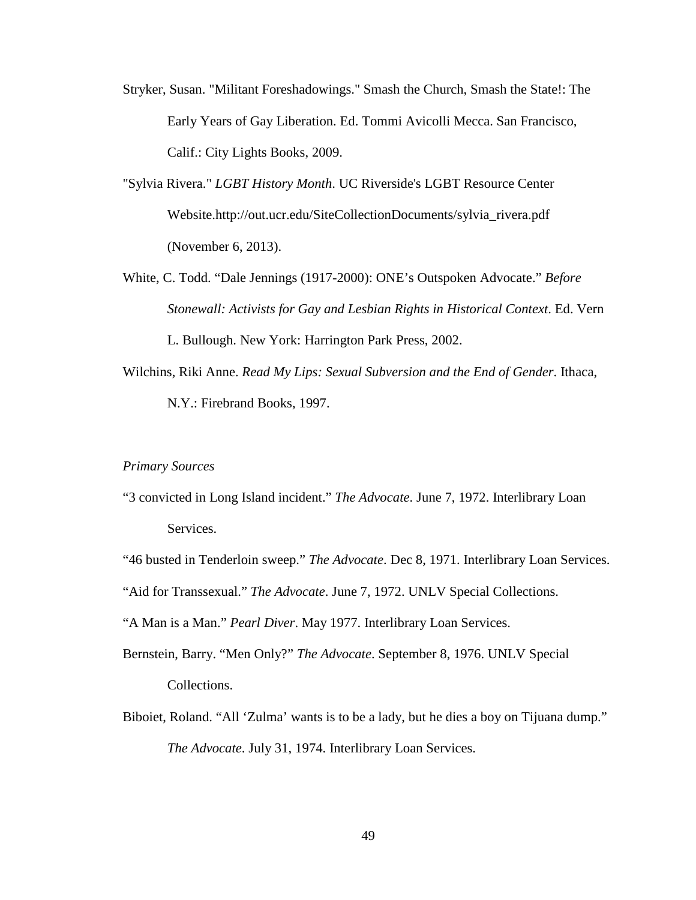- Stryker, Susan. "Militant Foreshadowings." Smash the Church, Smash the State!: The Early Years of Gay Liberation. Ed. Tommi Avicolli Mecca. San Francisco, Calif.: City Lights Books, 2009.
- "Sylvia Rivera." *LGBT History Month*. UC Riverside's LGBT Resource Center Website.http://out.ucr.edu/SiteCollectionDocuments/sylvia\_rivera.pdf (November 6, 2013).
- White, C. Todd. "Dale Jennings (1917-2000): ONE's Outspoken Advocate." *Before Stonewall: Activists for Gay and Lesbian Rights in Historical Context*. Ed. Vern L. Bullough. New York: Harrington Park Press, 2002.
- Wilchins, Riki Anne. *Read My Lips: Sexual Subversion and the End of Gender*. Ithaca, N.Y.: Firebrand Books, 1997.

#### *Primary Sources*

- "3 convicted in Long Island incident." *The Advocate*. June 7, 1972. Interlibrary Loan Services.
- "46 busted in Tenderloin sweep." *The Advocate*. Dec 8, 1971. Interlibrary Loan Services.
- "Aid for Transsexual." *The Advocate*. June 7, 1972. UNLV Special Collections.
- "A Man is a Man." *Pearl Diver*. May 1977. Interlibrary Loan Services.
- Bernstein, Barry. "Men Only?" *The Advocate*. September 8, 1976. UNLV Special Collections.
- Biboiet, Roland. "All 'Zulma' wants is to be a lady, but he dies a boy on Tijuana dump." *The Advocate*. July 31, 1974. Interlibrary Loan Services.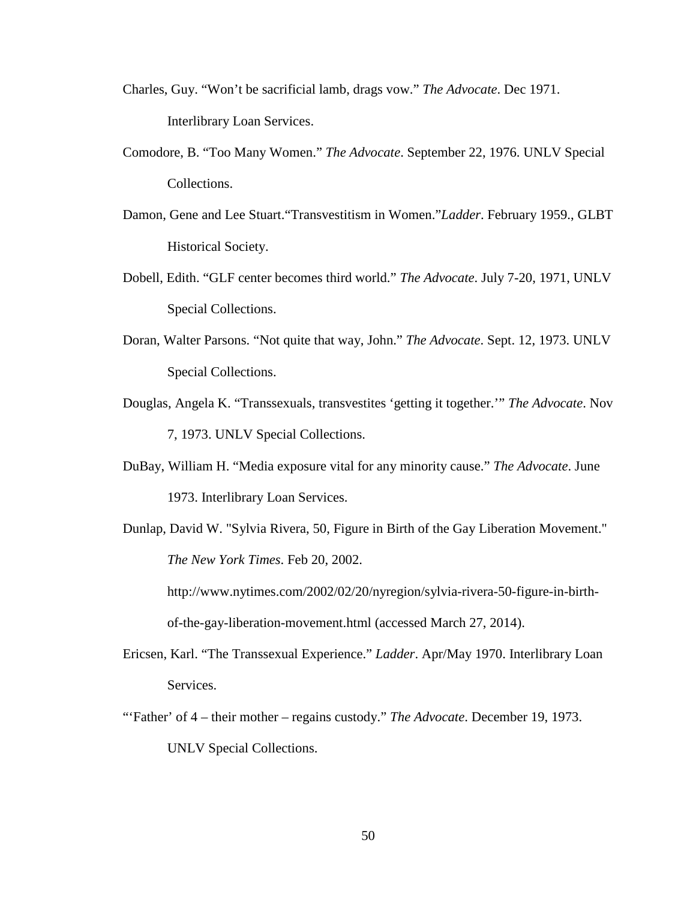- Charles, Guy. "Won't be sacrificial lamb, drags vow." *The Advocate*. Dec 1971. Interlibrary Loan Services.
- Comodore, B. "Too Many Women." *The Advocate*. September 22, 1976. UNLV Special Collections.
- Damon, Gene and Lee Stuart."Transvestitism in Women."*Ladder*. February 1959., GLBT Historical Society.
- Dobell, Edith. "GLF center becomes third world." *The Advocate*. July 7-20, 1971, UNLV Special Collections.
- Doran, Walter Parsons. "Not quite that way, John." *The Advocate*. Sept. 12, 1973. UNLV Special Collections.
- Douglas, Angela K. "Transsexuals, transvestites 'getting it together.'" *The Advocate*. Nov 7, 1973. UNLV Special Collections.
- DuBay, William H. "Media exposure vital for any minority cause." *The Advocate*. June 1973. Interlibrary Loan Services.
- Dunlap, David W. "Sylvia Rivera, 50, Figure in Birth of the Gay Liberation Movement." *The New York Times*. Feb 20, 2002.

http://www.nytimes.com/2002/02/20/nyregion/sylvia-rivera-50-figure-in-birthof-the-gay-liberation-movement.html (accessed March 27, 2014).

- Ericsen, Karl. "The Transsexual Experience." *Ladder*. Apr/May 1970. Interlibrary Loan Services.
- "'Father' of 4 their mother regains custody." *The Advocate*. December 19, 1973. UNLV Special Collections.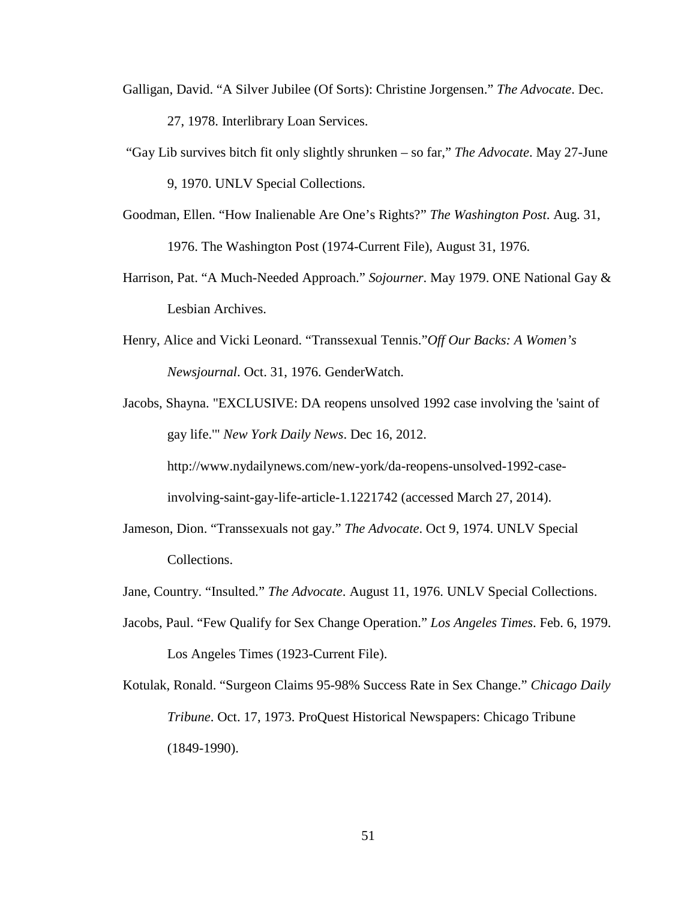- Galligan, David. "A Silver Jubilee (Of Sorts): Christine Jorgensen." *The Advocate*. Dec.
	- 27, 1978. Interlibrary Loan Services.
- "Gay Lib survives bitch fit only slightly shrunken so far," *The Advocate*. May 27-June

9, 1970. UNLV Special Collections.

- Goodman, Ellen. "How Inalienable Are One's Rights?" *The Washington Post*. Aug. 31, 1976. The Washington Post (1974-Current File), August 31, 1976.
- Harrison, Pat. "A Much-Needed Approach." *Sojourner*. May 1979. ONE National Gay & Lesbian Archives.
- Henry, Alice and Vicki Leonard. "Transsexual Tennis."*Off Our Backs: A Women's Newsjournal*. Oct. 31, 1976. GenderWatch.
- Jacobs, Shayna. "EXCLUSIVE: DA reopens unsolved 1992 case involving the 'saint of gay life.'" *New York Daily News*. Dec 16, 2012.

http://www.nydailynews.com/new-york/da-reopens-unsolved-1992-caseinvolving-saint-gay-life-article-1.1221742 (accessed March 27, 2014).

- Jameson, Dion. "Transsexuals not gay." *The Advocate*. Oct 9, 1974. UNLV Special Collections.
- Jane, Country. "Insulted." *The Advocate*. August 11, 1976. UNLV Special Collections.
- Jacobs, Paul. "Few Qualify for Sex Change Operation." *Los Angeles Times*. Feb. 6, 1979. Los Angeles Times (1923-Current File).
- Kotulak, Ronald. "Surgeon Claims 95-98% Success Rate in Sex Change." *Chicago Daily Tribune*. Oct. 17, 1973. ProQuest Historical Newspapers: Chicago Tribune (1849-1990).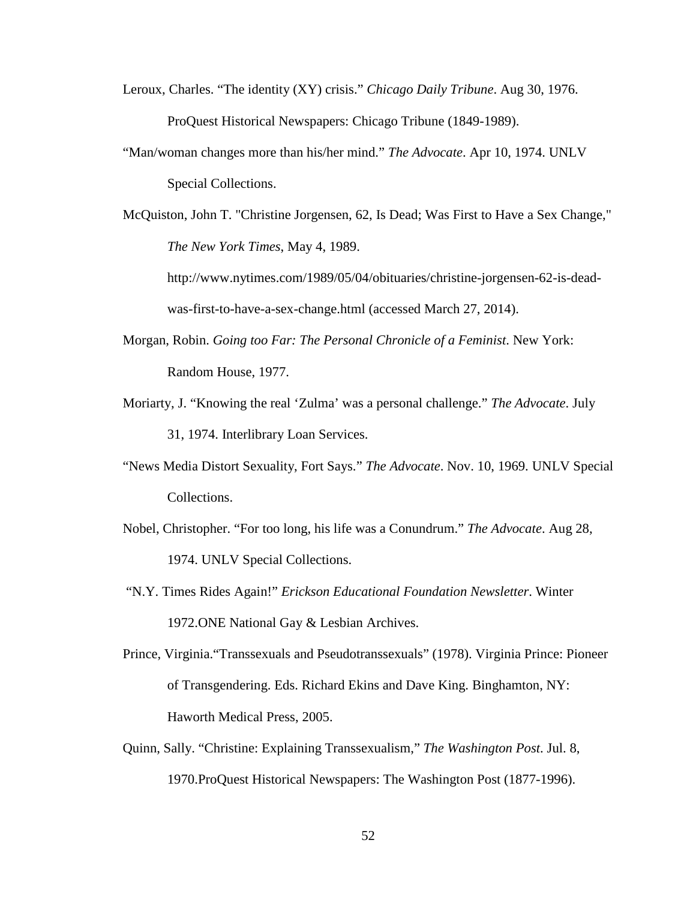- Leroux, Charles. "The identity (XY) crisis." *Chicago Daily Tribune*. Aug 30, 1976. ProQuest Historical Newspapers: Chicago Tribune (1849-1989).
- "Man/woman changes more than his/her mind." *The Advocate*. Apr 10, 1974. UNLV Special Collections.
- McQuiston, John T. "Christine Jorgensen, 62, Is Dead; Was First to Have a Sex Change," *The New York Times*, May 4, 1989.

http://www.nytimes.com/1989/05/04/obituaries/christine-jorgensen-62-is-deadwas-first-to-have-a-sex-change.html (accessed March 27, 2014).

- Morgan, Robin. *Going too Far: The Personal Chronicle of a Feminist*. New York: Random House, 1977.
- Moriarty, J. "Knowing the real 'Zulma' was a personal challenge." *The Advocate*. July 31, 1974. Interlibrary Loan Services.
- "News Media Distort Sexuality, Fort Says." *The Advocate*. Nov. 10, 1969. UNLV Special Collections.
- Nobel, Christopher. "For too long, his life was a Conundrum." *The Advocate*. Aug 28, 1974. UNLV Special Collections.
- "N.Y. Times Rides Again!" *Erickson Educational Foundation Newsletter*. Winter 1972.ONE National Gay & Lesbian Archives.
- Prince, Virginia."Transsexuals and Pseudotranssexuals" (1978). Virginia Prince: Pioneer of Transgendering. Eds. Richard Ekins and Dave King. Binghamton, NY: Haworth Medical Press, 2005.
- Quinn, Sally. "Christine: Explaining Transsexualism," *The Washington Post*. Jul. 8, 1970.ProQuest Historical Newspapers: The Washington Post (1877-1996).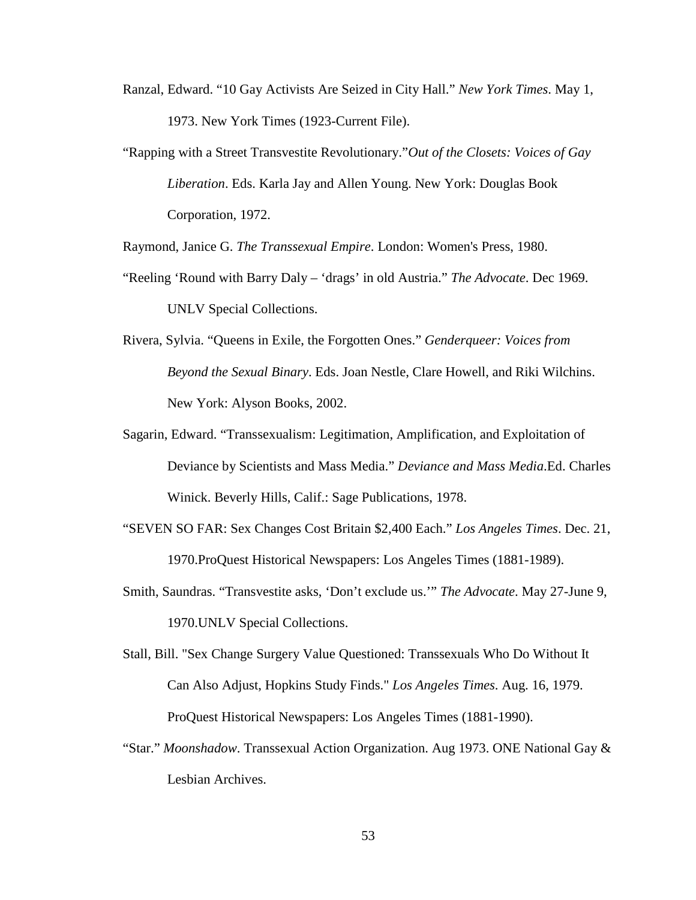- Ranzal, Edward. "10 Gay Activists Are Seized in City Hall." *New York Times*. May 1, 1973. New York Times (1923-Current File).
- "Rapping with a Street Transvestite Revolutionary."*Out of the Closets: Voices of Gay Liberation*. Eds. Karla Jay and Allen Young. New York: Douglas Book Corporation, 1972.

Raymond, Janice G. *The Transsexual Empire*. London: Women's Press, 1980.

- "Reeling 'Round with Barry Daly 'drags' in old Austria." *The Advocate*. Dec 1969. UNLV Special Collections.
- Rivera, Sylvia. "Queens in Exile, the Forgotten Ones." *Genderqueer: Voices from Beyond the Sexual Binary*. Eds. Joan Nestle, Clare Howell, and Riki Wilchins. New York: Alyson Books, 2002.
- Sagarin, Edward. "Transsexualism: Legitimation, Amplification, and Exploitation of Deviance by Scientists and Mass Media." *Deviance and Mass Media*.Ed. Charles Winick. Beverly Hills, Calif.: Sage Publications, 1978.
- "SEVEN SO FAR: Sex Changes Cost Britain \$2,400 Each." *Los Angeles Times*. Dec. 21, 1970.ProQuest Historical Newspapers: Los Angeles Times (1881-1989).
- Smith, Saundras. "Transvestite asks, 'Don't exclude us.'" *The Advocate*. May 27-June 9, 1970.UNLV Special Collections.
- Stall, Bill. "Sex Change Surgery Value Questioned: Transsexuals Who Do Without It Can Also Adjust, Hopkins Study Finds." *Los Angeles Times*. Aug. 16, 1979. ProQuest Historical Newspapers: Los Angeles Times (1881-1990).
- "Star." *Moonshadow*. Transsexual Action Organization. Aug 1973. ONE National Gay & Lesbian Archives.